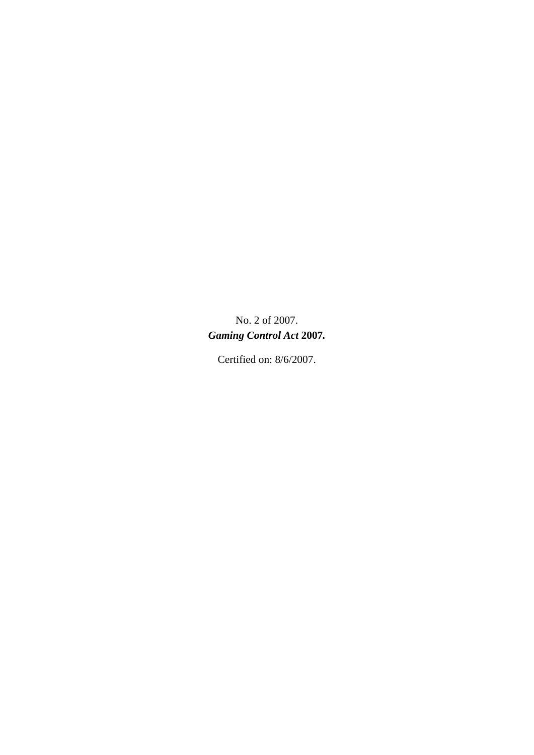No. 2 of 2007. *Gaming Control Act* **2007***.* 

Certified on: 8/6/2007.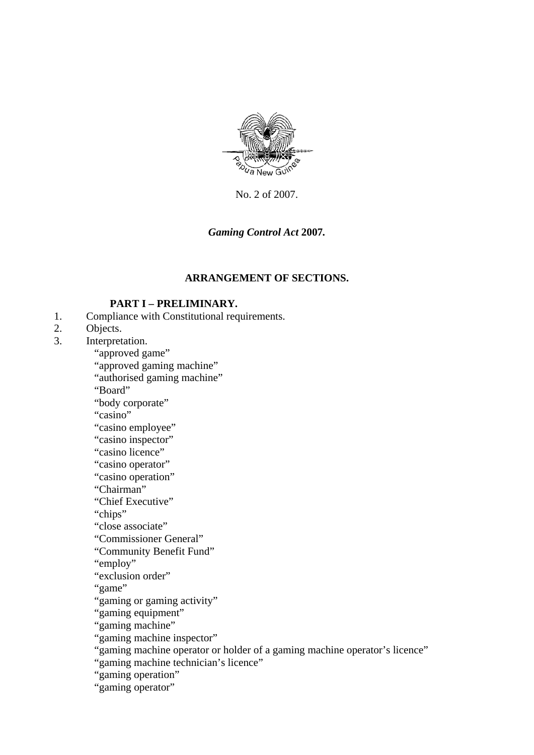

No. 2 of 2007.

## *Gaming Control Act* **2007***.*

### **ARRANGEMENT OF SECTIONS.**

#### **PART I – PRELIMINARY.**

- 1. Compliance with Constitutional requirements.
- 2. Objects.
- 3. Interpretation.

"approved game"

"approved gaming machine"

"authorised gaming machine"

"Board"

"body corporate"

"casino"

"casino employee"

"casino inspector"

"casino licence"

"casino operator"

"casino operation"

"Chairman"

"Chief Executive"

"chips"

"close associate"

"Commissioner General"

"Community Benefit Fund"

"employ"

"exclusion order"

"game"

"gaming or gaming activity"

"gaming equipment"

"gaming machine"

"gaming machine inspector"

"gaming machine operator or holder of a gaming machine operator's licence"

"gaming machine technician's licence"

"gaming operation"

"gaming operator"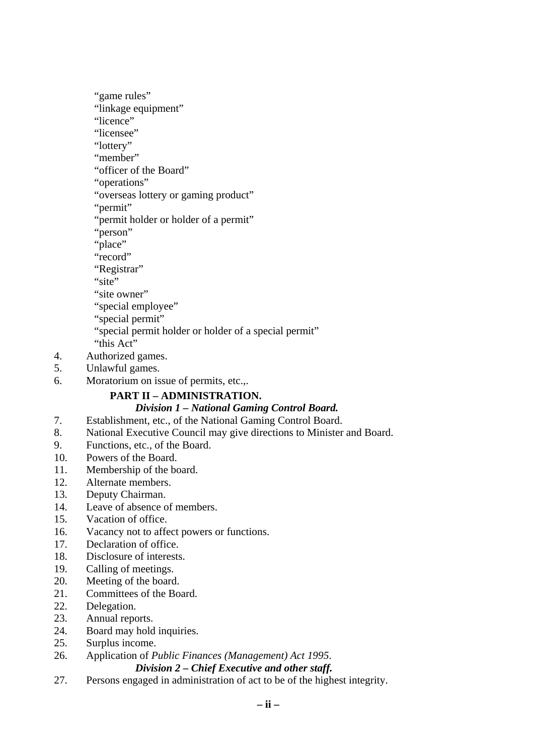"game rules"

"linkage equipment"

"licence"

"licensee"

"lottery"

"member"

"officer of the Board"

"operations"

"overseas lottery or gaming product"

"permit"

"permit holder or holder of a permit"

"person"

"place"

"record"

"Registrar"

"site"

"site owner"

"special employee"

"special permit"

"special permit holder or holder of a special permit"

"this Act"

- 4. Authorized games.
- 5. Unlawful games.
- 6. Moratorium on issue of permits, etc.,.

## **PART II – ADMINISTRATION.**

### *Division 1 – National Gaming Control Board.*

- 7. Establishment, etc., of the National Gaming Control Board.
- 8. National Executive Council may give directions to Minister and Board.
- 9. Functions, etc., of the Board.
- 10. Powers of the Board.
- 11. Membership of the board.
- 12. Alternate members.
- 13. Deputy Chairman.
- 14. Leave of absence of members.
- 15. Vacation of office.
- 16. Vacancy not to affect powers or functions.
- 17. Declaration of office.
- 18. Disclosure of interests.
- 19. Calling of meetings.
- 20. Meeting of the board.
- 21. Committees of the Board.
- 22. Delegation.
- 23. Annual reports.
- 24. Board may hold inquiries.
- 25. Surplus income.
- 26. Application of *Public Finances (Management) Act 1995*.

### *Division 2 – Chief Executive and other staff.*

27. Persons engaged in administration of act to be of the highest integrity.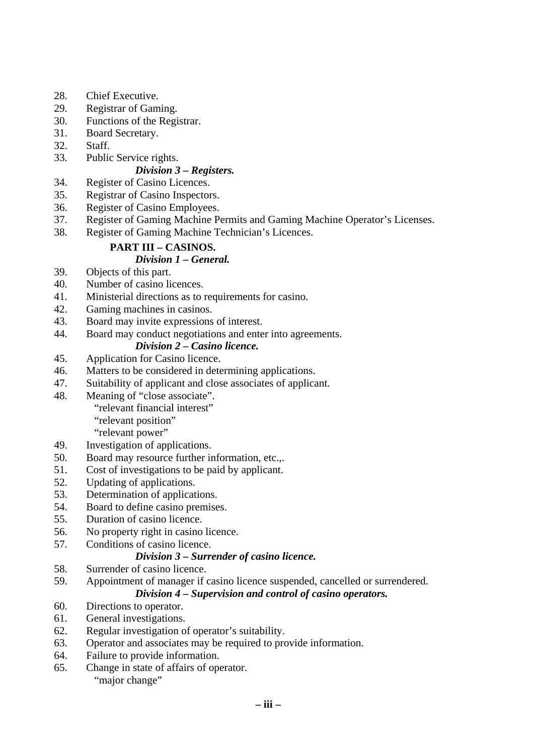- 28. Chief Executive.
- 29. Registrar of Gaming.
- 30. Functions of the Registrar.
- 31. Board Secretary.
- 32. Staff.
- 33. Public Service rights.

### *Division 3 – Registers.*

- 34. Register of Casino Licences.
- 35. Registrar of Casino Inspectors.
- 36. Register of Casino Employees.
- 37. Register of Gaming Machine Permits and Gaming Machine Operator's Licenses.
- 38. Register of Gaming Machine Technician's Licences.

## **PART III – CASINOS.**

## *Division 1 – General.*

- 39. Objects of this part.
- 40. Number of casino licences.
- 41. Ministerial directions as to requirements for casino.
- 42. Gaming machines in casinos.
- 43. Board may invite expressions of interest.
- 44. Board may conduct negotiations and enter into agreements.

## *Division 2 – Casino licence.*

- 45. Application for Casino licence.
- 46. Matters to be considered in determining applications.
- 47. Suitability of applicant and close associates of applicant.
- 48. Meaning of "close associate".

"relevant financial interest"

"relevant position"

"relevant power"

- 49. Investigation of applications.
- 50. Board may resource further information, etc.,.
- 51. Cost of investigations to be paid by applicant.
- 52. Updating of applications.
- 53. Determination of applications.
- 54. Board to define casino premises.
- 55. Duration of casino licence.
- 56. No property right in casino licence.
- 57. Conditions of casino licence.

## *Division 3 – Surrender of casino licence.*

- 58. Surrender of casino licence.
- 59. Appointment of manager if casino licence suspended, cancelled or surrendered.

### *Division 4 – Supervision and control of casino operators.*

- 60. Directions to operator.
- 61. General investigations.
- 62. Regular investigation of operator's suitability.
- 63. Operator and associates may be required to provide information.
- 64. Failure to provide information.
- 65. Change in state of affairs of operator. "major change"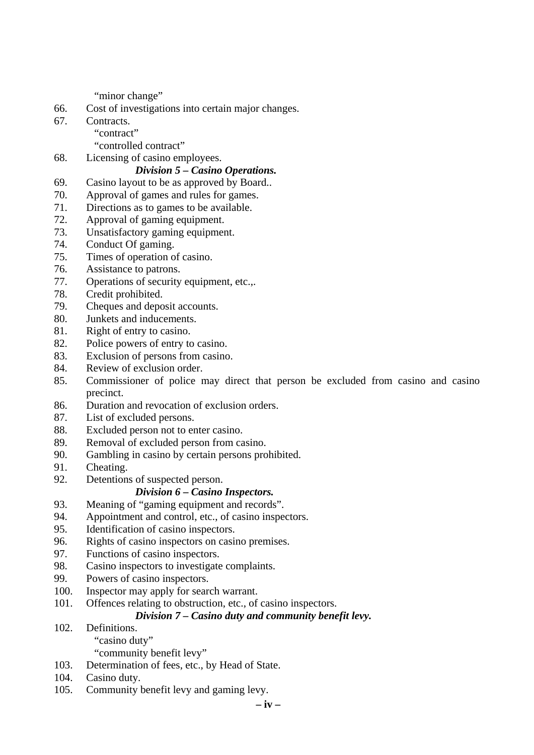"minor change"

- 66. Cost of investigations into certain major changes.
- 67. Contracts.
	- "contract"

"controlled contract"

68. Licensing of casino employees.

### *Division 5 – Casino Operations.*

- 69. Casino layout to be as approved by Board..
- 70. Approval of games and rules for games.
- 71. Directions as to games to be available.
- 72. Approval of gaming equipment.
- 73. Unsatisfactory gaming equipment.
- 74. Conduct Of gaming.
- 75. Times of operation of casino.
- 76. Assistance to patrons.
- 77. Operations of security equipment, etc.,.
- 78. Credit prohibited.
- 79. Cheques and deposit accounts.
- 80. Junkets and inducements.
- 81. Right of entry to casino.
- 82. Police powers of entry to casino.
- 83. Exclusion of persons from casino.
- 84. Review of exclusion order.
- 85. Commissioner of police may direct that person be excluded from casino and casino precinct.
- 86. Duration and revocation of exclusion orders.
- 87. List of excluded persons.
- 88. Excluded person not to enter casino.
- 89. Removal of excluded person from casino.
- 90. Gambling in casino by certain persons prohibited.
- 91. Cheating.
- 92. Detentions of suspected person.

### *Division 6 – Casino Inspectors.*

- 93. Meaning of "gaming equipment and records".
- 94. Appointment and control, etc., of casino inspectors.
- 95. Identification of casino inspectors.
- 96. Rights of casino inspectors on casino premises.
- 97. Functions of casino inspectors.
- 98. Casino inspectors to investigate complaints.
- 99. Powers of casino inspectors.
- 100. Inspector may apply for search warrant.
- 101. Offences relating to obstruction, etc., of casino inspectors.

## *Division 7 – Casino duty and community benefit levy.*

102. Definitions.

"casino duty"

- "community benefit levy"
- 103. Determination of fees, etc., by Head of State.
- 104. Casino duty.
- 105. Community benefit levy and gaming levy.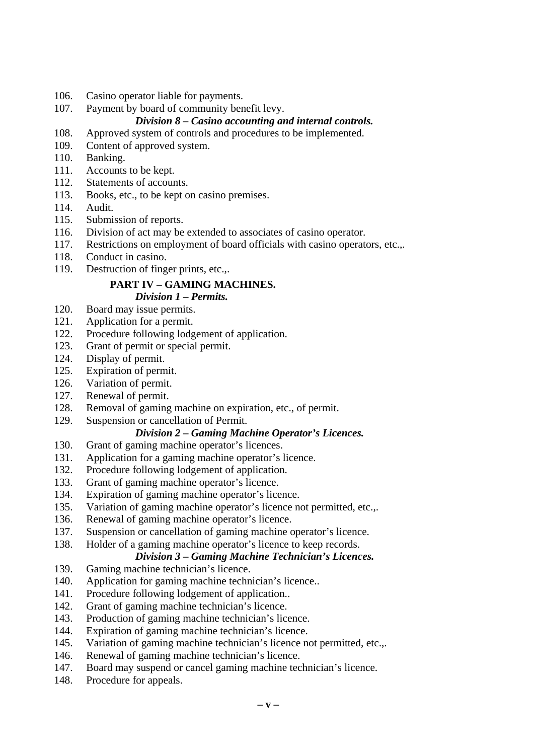106. Casino operator liable for payments.

## 107. Payment by board of community benefit levy.

## *Division 8 – Casino accounting and internal controls.*

- 108. Approved system of controls and procedures to be implemented.
- 109. Content of approved system.
- 110. Banking.
- 111. Accounts to be kept.
- 112. Statements of accounts.
- 113. Books, etc., to be kept on casino premises.
- 114. Audit.
- 115. Submission of reports.
- 116. Division of act may be extended to associates of casino operator.
- 117. Restrictions on employment of board officials with casino operators, etc.,.
- 118. Conduct in casino.
- 119. Destruction of finger prints, etc.,.

# **PART IV – GAMING MACHINES.**

### *Division 1 – Permits.*

- 120. Board may issue permits.
- 121. Application for a permit.
- 122. Procedure following lodgement of application.
- 123. Grant of permit or special permit.
- 124. Display of permit.
- 125. Expiration of permit.
- 126. Variation of permit.
- 127. Renewal of permit.
- 128. Removal of gaming machine on expiration, etc., of permit.
- 129. Suspension or cancellation of Permit.

## *Division 2 – Gaming Machine Operator's Licences.*

- 130. Grant of gaming machine operator's licences.
- 131. Application for a gaming machine operator's licence.
- 132. Procedure following lodgement of application.
- 133. Grant of gaming machine operator's licence.
- 134. Expiration of gaming machine operator's licence.
- 135. Variation of gaming machine operator's licence not permitted, etc.,.
- 136. Renewal of gaming machine operator's licence.
- 137. Suspension or cancellation of gaming machine operator's licence.
- 138. Holder of a gaming machine operator's licence to keep records.

## *Division 3 – Gaming Machine Technician's Licences.*

- 139. Gaming machine technician's licence.
- 140. Application for gaming machine technician's licence..
- 141. Procedure following lodgement of application..
- 142. Grant of gaming machine technician's licence.
- 143. Production of gaming machine technician's licence.
- 144. Expiration of gaming machine technician's licence.
- 145. Variation of gaming machine technician's licence not permitted, etc.,.
- 146. Renewal of gaming machine technician's licence.
- 147. Board may suspend or cancel gaming machine technician's licence.
- 148. Procedure for appeals.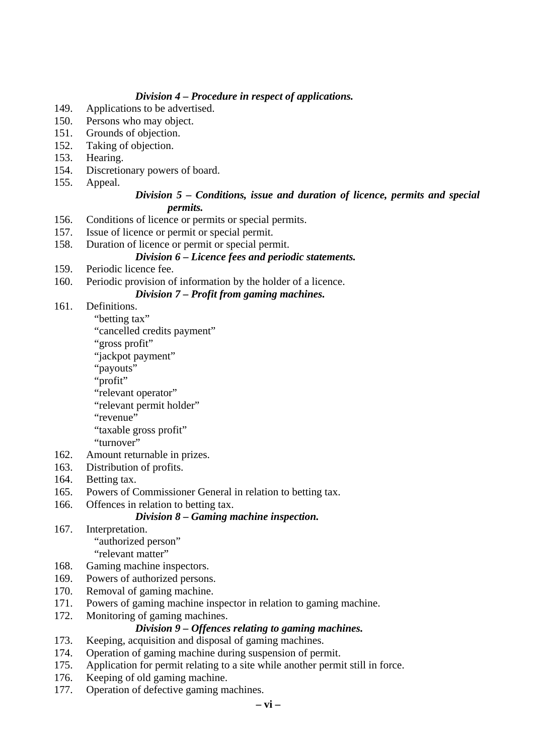#### *Division 4 – Procedure in respect of applications.*

- 149. Applications to be advertised.
- 150. Persons who may object.
- 151. Grounds of objection.
- 152. Taking of objection.
- 153. Hearing.
- 154. Discretionary powers of board.
- 155. Appeal.

#### *Division 5 – Conditions, issue and duration of licence, permits and special permits.*

- 156. Conditions of licence or permits or special permits.
- 157. Issue of licence or permit or special permit.
- 158. Duration of licence or permit or special permit.

## *Division 6 – Licence fees and periodic statements.*

- 159. Periodic licence fee.
- 160. Periodic provision of information by the holder of a licence.

## *Division 7 – Profit from gaming machines.*

- 161. Definitions.
	- "betting tax"
	- "cancelled credits payment"
	- "gross profit"
	- "jackpot payment"
	- "payouts"
	- "profit"
	- "relevant operator"
	- "relevant permit holder"
	- "revenue"

"taxable gross profit"

- "turnover"
- 162. Amount returnable in prizes.
- 163. Distribution of profits.
- 164. Betting tax.
- 165. Powers of Commissioner General in relation to betting tax.
- 166. Offences in relation to betting tax.

### *Division 8 – Gaming machine inspection.*

167. Interpretation.

"authorized person"

- "relevant matter"
- 168. Gaming machine inspectors.
- 169. Powers of authorized persons.
- 170. Removal of gaming machine.
- 171. Powers of gaming machine inspector in relation to gaming machine.
- 172. Monitoring of gaming machines.

### *Division 9 – Offences relating to gaming machines.*

- 173. Keeping, acquisition and disposal of gaming machines.
- 174. Operation of gaming machine during suspension of permit.
- 175. Application for permit relating to a site while another permit still in force.
- 176. Keeping of old gaming machine.
- 177. Operation of defective gaming machines.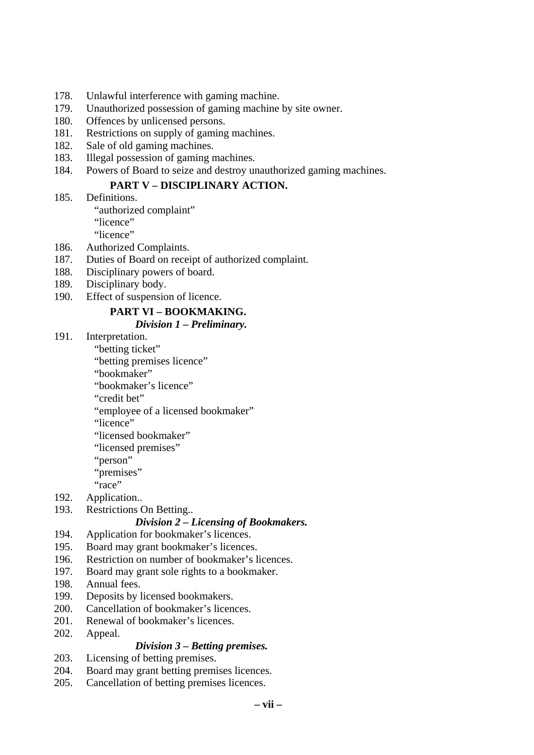- 178. Unlawful interference with gaming machine.
- 179. Unauthorized possession of gaming machine by site owner.
- 180. Offences by unlicensed persons.
- 181. Restrictions on supply of gaming machines.
- 182. Sale of old gaming machines.
- 183. Illegal possession of gaming machines.
- 184. Powers of Board to seize and destroy unauthorized gaming machines.

#### **PART V – DISCIPLINARY ACTION.**

185. Definitions.

"authorized complaint"

"licence"

"licence"

- 186. Authorized Complaints.
- 187. Duties of Board on receipt of authorized complaint.
- 188. Disciplinary powers of board.
- 189. Disciplinary body.
- 190. Effect of suspension of licence.

## **PART VI – BOOKMAKING.**

### *Division 1 – Preliminary.*

- 191. Interpretation.
	- "betting ticket"

"betting premises licence"

"bookmaker"

"bookmaker's licence"

"credit bet"

"employee of a licensed bookmaker"

"licence"

"licensed bookmaker"

- "licensed premises"
- "person"

"premises"

"race"

192. Application..

193. Restrictions On Betting..

### *Division 2 – Licensing of Bookmakers.*

- 194. Application for bookmaker's licences.
- 195. Board may grant bookmaker's licences.
- 196. Restriction on number of bookmaker's licences.
- 197. Board may grant sole rights to a bookmaker.
- 198. Annual fees.
- 199. Deposits by licensed bookmakers.
- 200. Cancellation of bookmaker's licences.
- 201. Renewal of bookmaker's licences.
- 202. Appeal.

### *Division 3 – Betting premises.*

- 203. Licensing of betting premises.
- 204. Board may grant betting premises licences.
- 205. Cancellation of betting premises licences.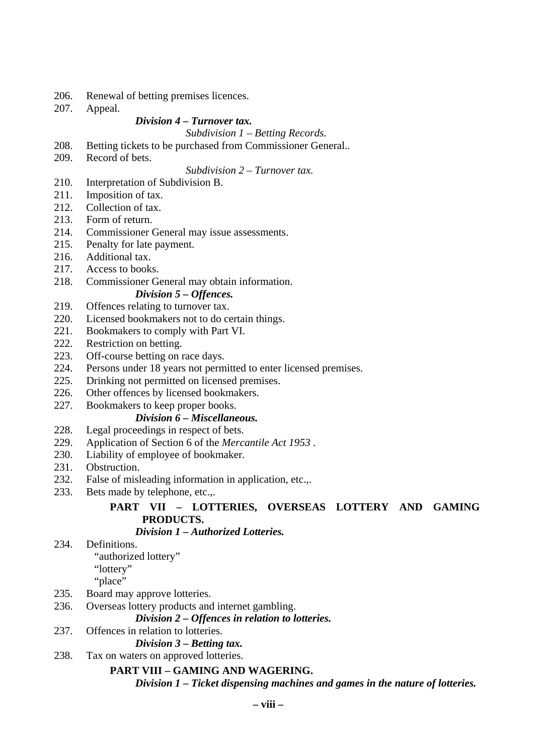- 206. Renewal of betting premises licences.
- 207. Appeal.

#### *Division 4 – Turnover tax.*

 *Subdivision 1 – Betting Records.* 

- 208. Betting tickets to be purchased from Commissioner General..
- 209. Record of bets.

 *Subdivision 2 – Turnover tax.* 

- 210. Interpretation of Subdivision B.
- 211. Imposition of tax.
- 212. Collection of tax.
- 213. Form of return.
- 214. Commissioner General may issue assessments.
- 215. Penalty for late payment.
- 216. Additional tax.
- 217. Access to books.
- 218. Commissioner General may obtain information.

#### *Division 5 – Offences.*

- 219. Offences relating to turnover tax.
- 220. Licensed bookmakers not to do certain things.
- 221. Bookmakers to comply with Part VI.
- 222. Restriction on betting.
- 223. Off-course betting on race days.
- 224. Persons under 18 years not permitted to enter licensed premises.
- 225. Drinking not permitted on licensed premises.
- 226. Other offences by licensed bookmakers.
- 227. Bookmakers to keep proper books.

#### *Division 6 – Miscellaneous.*

- 228. Legal proceedings in respect of bets.
- 229. Application of Section 6 of the *Mercantile Act 1953* .
- 230. Liability of employee of bookmaker.
- 231. Obstruction.
- 232. False of misleading information in application, etc.,.
- 233. Bets made by telephone, etc.,.

# **PART VII – LOTTERIES, OVERSEAS LOTTERY AND GAMING PRODUCTS.**

## *Division 1 – Authorized Lotteries.*

234. Definitions.

"authorized lottery"

"lottery"

"place"

- 235. Board may approve lotteries.
- 236. Overseas lottery products and internet gambling.

### *Division 2 – Offences in relation to lotteries.*

237. Offences in relation to lotteries.

#### *Division 3 – Betting tax.*

238. Tax on waters on approved lotteries.

### **PART VIII – GAMING AND WAGERING.**

*Division 1 – Ticket dispensing machines and games in the nature of lotteries.*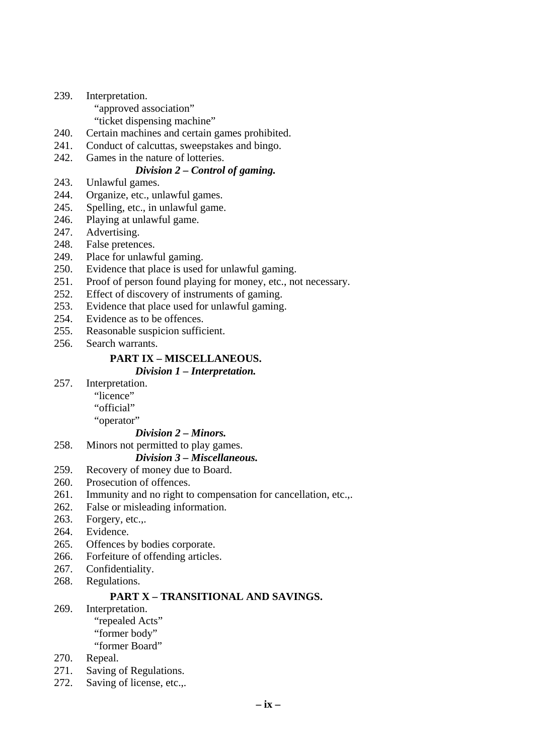- 239. Interpretation.
	- "approved association"
	- "ticket dispensing machine"
- 240. Certain machines and certain games prohibited.
- 241. Conduct of calcuttas, sweepstakes and bingo.
- 242. Games in the nature of lotteries.

### *Division 2 – Control of gaming.*

- 243. Unlawful games.
- 244. Organize, etc., unlawful games.
- 245. Spelling, etc., in unlawful game.
- 246. Playing at unlawful game.
- 247. Advertising.
- 248. False pretences.
- 249. Place for unlawful gaming.
- 250. Evidence that place is used for unlawful gaming.
- 251. Proof of person found playing for money, etc., not necessary.
- 252. Effect of discovery of instruments of gaming.
- 253. Evidence that place used for unlawful gaming.
- 254. Evidence as to be offences.
- 255. Reasonable suspicion sufficient.
- 256. Search warrants.

# **PART IX – MISCELLANEOUS.**

#### *Division 1 – Interpretation.*

- 257. Interpretation.
	- "licence"
		- "official"
		- "operator"

#### *Division 2 – Minors.*

258. Minors not permitted to play games.

## *Division 3 – Miscellaneous.*

- 259. Recovery of money due to Board.
- 260. Prosecution of offences.
- 261. Immunity and no right to compensation for cancellation, etc.,.
- 262. False or misleading information.
- 263. Forgery, etc.,.
- 264. Evidence.
- 265. Offences by bodies corporate.
- 266. Forfeiture of offending articles.
- 267. Confidentiality.
- 268. Regulations.

### **PART X – TRANSITIONAL AND SAVINGS.**

#### 269. Interpretation.

 "repealed Acts" "former body"

"former Board"

- 270. Repeal.
- 271. Saving of Regulations.
- 272. Saving of license, etc.,.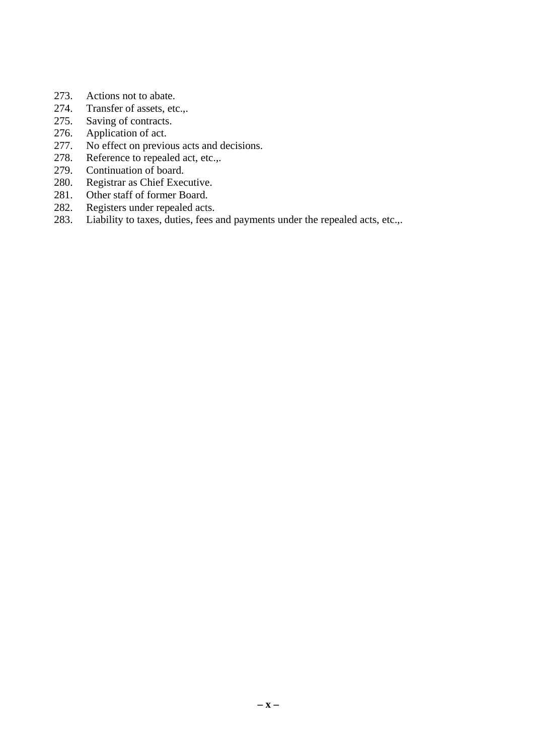- 273. Actions not to abate.
- 274. Transfer of assets, etc.,.
- 275. Saving of contracts.<br>276. Application of act.
- Application of act.
- 277. No effect on previous acts and decisions.
- 278. Reference to repealed act, etc.,.
- 279. Continuation of board.
- 280. Registrar as Chief Executive.
- 281. Other staff of former Board.
- 282. Registers under repealed acts.
- 283. Liability to taxes, duties, fees and payments under the repealed acts, etc.,.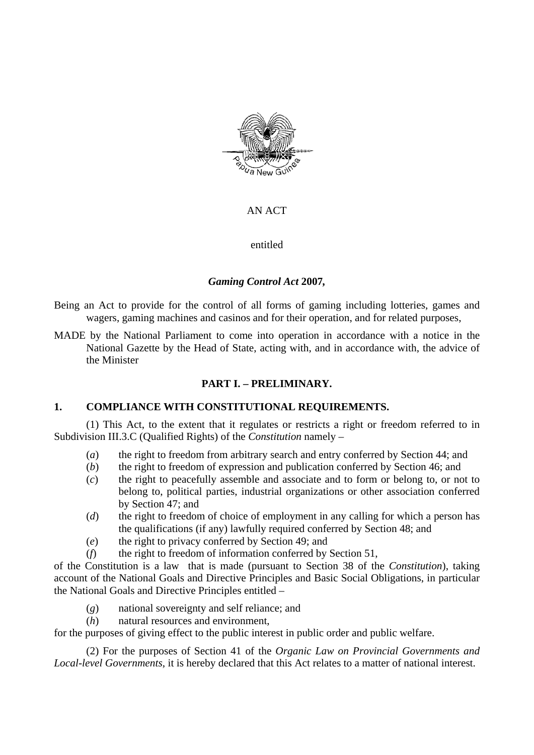

### AN ACT

entitled

## *Gaming Control Act* **2007***,*

- Being an Act to provide for the control of all forms of gaming including lotteries, games and wagers, gaming machines and casinos and for their operation, and for related purposes,
- MADE by the National Parliament to come into operation in accordance with a notice in the National Gazette by the Head of State, acting with, and in accordance with, the advice of the Minister

## **PART I. – PRELIMINARY.**

### **1. COMPLIANCE WITH CONSTITUTIONAL REQUIREMENTS.**

(1) This Act, to the extent that it regulates or restricts a right or freedom referred to in Subdivision III.3.C (Qualified Rights) of the *Constitution* namely –

- (*a*) the right to freedom from arbitrary search and entry conferred by Section 44; and
- (*b*) the right to freedom of expression and publication conferred by Section 46; and
- (*c*) the right to peacefully assemble and associate and to form or belong to, or not to belong to, political parties, industrial organizations or other association conferred by Section 47; and
- (*d*) the right to freedom of choice of employment in any calling for which a person has the qualifications (if any) lawfully required conferred by Section 48; and
- (*e*) the right to privacy conferred by Section 49; and
- (*f*) the right to freedom of information conferred by Section 51,

of the Constitution is a law that is made (pursuant to Section 38 of the *Constitution*), taking account of the National Goals and Directive Principles and Basic Social Obligations, in particular the National Goals and Directive Principles entitled –

- (*g*) national sovereignty and self reliance; and
- (*h*) natural resources and environment,

for the purposes of giving effect to the public interest in public order and public welfare.

(2) For the purposes of Section 41 of the *Organic Law on Provincial Governments and Local-level Governments*, it is hereby declared that this Act relates to a matter of national interest.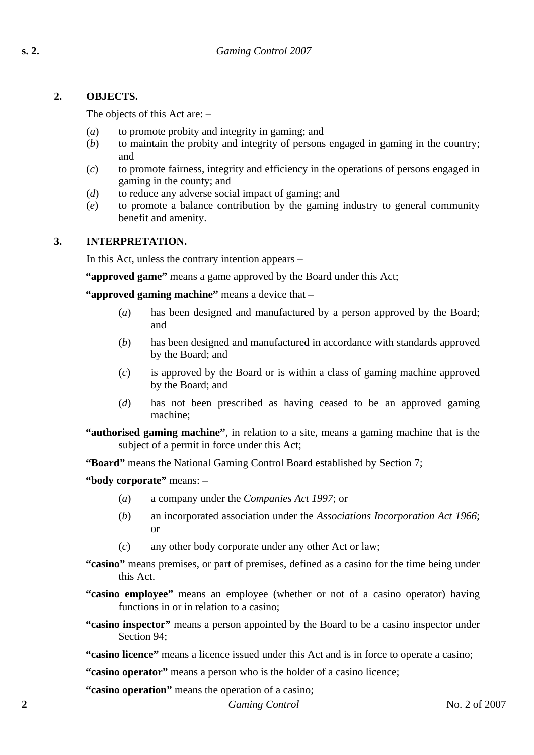## **2. OBJECTS.**

The objects of this Act are: –

- (*a*) to promote probity and integrity in gaming; and
- (*b*) to maintain the probity and integrity of persons engaged in gaming in the country; and
- (*c*) to promote fairness, integrity and efficiency in the operations of persons engaged in gaming in the county; and
- (*d*) to reduce any adverse social impact of gaming; and
- (*e*) to promote a balance contribution by the gaming industry to general community benefit and amenity.

## **3. INTERPRETATION.**

In this Act, unless the contrary intention appears –

**"approved game"** means a game approved by the Board under this Act;

**"approved gaming machine"** means a device that –

- (*a*) has been designed and manufactured by a person approved by the Board; and
- (*b*) has been designed and manufactured in accordance with standards approved by the Board; and
- (*c*) is approved by the Board or is within a class of gaming machine approved by the Board; and
- (*d*) has not been prescribed as having ceased to be an approved gaming machine;
- **"authorised gaming machine"**, in relation to a site, means a gaming machine that is the subject of a permit in force under this Act;

**"Board"** means the National Gaming Control Board established by Section 7;

**"body corporate"** means: –

- (*a*) a company under the *Companies Act 1997*; or
- (*b*) an incorporated association under the *Associations Incorporation Act 1966*; or
- (*c*) any other body corporate under any other Act or law;
- **"casino"** means premises, or part of premises, defined as a casino for the time being under this Act.
- **"casino employee"** means an employee (whether or not of a casino operator) having functions in or in relation to a casino:
- **"casino inspector"** means a person appointed by the Board to be a casino inspector under Section 94;

**"casino licence"** means a licence issued under this Act and is in force to operate a casino;

**"casino operator"** means a person who is the holder of a casino licence;

**2** *Gaming Control* No. 2 of 2007 **"casino operation"** means the operation of a casino;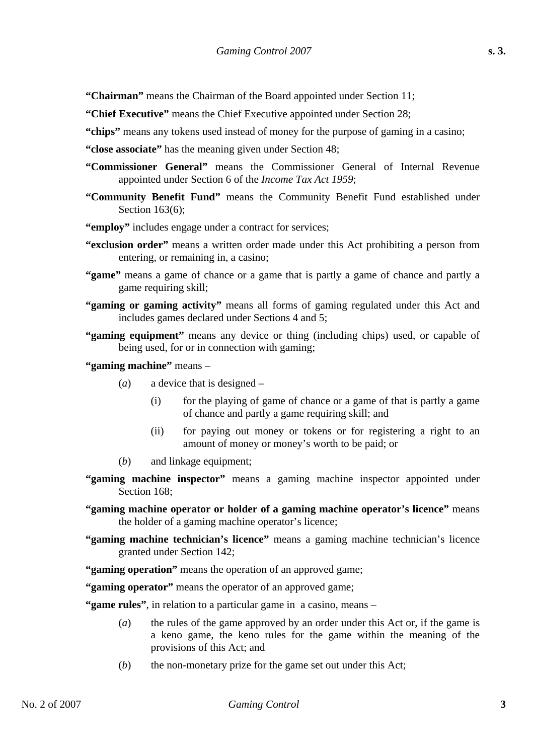- **"Chairman"** means the Chairman of the Board appointed under Section 11;
- **"Chief Executive"** means the Chief Executive appointed under Section 28;
- **"chips"** means any tokens used instead of money for the purpose of gaming in a casino;
- **"close associate"** has the meaning given under Section 48;
- **"Commissioner General"** means the Commissioner General of Internal Revenue appointed under Section 6 of the *Income Tax Act 1959*;
- **"Community Benefit Fund"** means the Community Benefit Fund established under Section 163(6);
- **"employ"** includes engage under a contract for services;
- **"exclusion order"** means a written order made under this Act prohibiting a person from entering, or remaining in, a casino;
- **"game"** means a game of chance or a game that is partly a game of chance and partly a game requiring skill;
- **"gaming or gaming activity"** means all forms of gaming regulated under this Act and includes games declared under Sections 4 and 5;
- **"gaming equipment"** means any device or thing (including chips) used, or capable of being used, for or in connection with gaming;
- **"gaming machine"** means
	- (*a*) a device that is designed
		- (i) for the playing of game of chance or a game of that is partly a game of chance and partly a game requiring skill; and
		- (ii) for paying out money or tokens or for registering a right to an amount of money or money's worth to be paid; or
	- (*b*) and linkage equipment;
- **"gaming machine inspector"** means a gaming machine inspector appointed under Section 168:
- **"gaming machine operator or holder of a gaming machine operator's licence"** means the holder of a gaming machine operator's licence;
- **"gaming machine technician's licence"** means a gaming machine technician's licence granted under Section 142;
- **"gaming operation"** means the operation of an approved game;
- **"gaming operator"** means the operator of an approved game;

**"game rules"**, in relation to a particular game in a casino, means –

- (*a*) the rules of the game approved by an order under this Act or, if the game is a keno game, the keno rules for the game within the meaning of the provisions of this Act; and
- (*b*) the non-monetary prize for the game set out under this Act;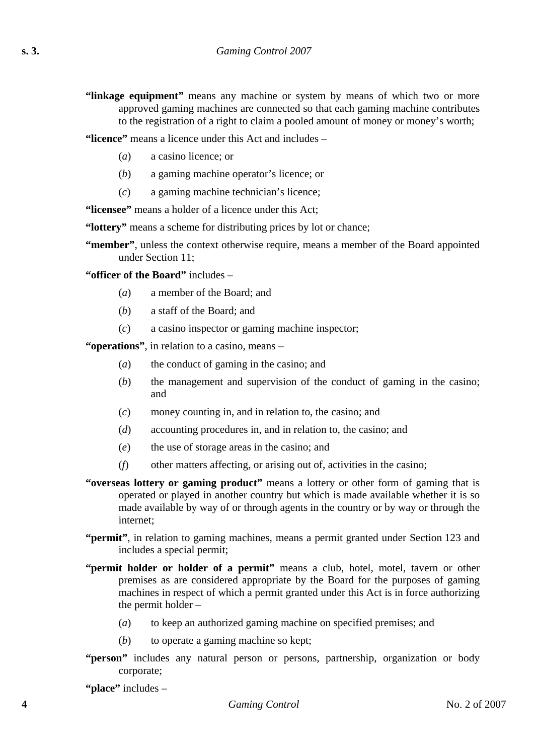- **"linkage equipment"** means any machine or system by means of which two or more approved gaming machines are connected so that each gaming machine contributes to the registration of a right to claim a pooled amount of money or money's worth;
- **"licence"** means a licence under this Act and includes
	- (*a*) a casino licence; or
	- (*b*) a gaming machine operator's licence; or
	- (*c*) a gaming machine technician's licence;

**"licensee"** means a holder of a licence under this Act;

- **"lottery"** means a scheme for distributing prices by lot or chance;
- **"member"**, unless the context otherwise require, means a member of the Board appointed under Section 11;
- **"officer of the Board"** includes
	- (*a*) a member of the Board; and
	- (*b*) a staff of the Board; and
	- (*c*) a casino inspector or gaming machine inspector;

**"operations"**, in relation to a casino, means –

- (*a*) the conduct of gaming in the casino; and
- (*b*) the management and supervision of the conduct of gaming in the casino; and
- (*c*) money counting in, and in relation to, the casino; and
- (*d*) accounting procedures in, and in relation to, the casino; and
- (*e*) the use of storage areas in the casino; and
- (*f*) other matters affecting, or arising out of, activities in the casino;
- **"overseas lottery or gaming product"** means a lottery or other form of gaming that is operated or played in another country but which is made available whether it is so made available by way of or through agents in the country or by way or through the internet;
- **"permit"**, in relation to gaming machines, means a permit granted under Section 123 and includes a special permit;
- **"permit holder or holder of a permit"** means a club, hotel, motel, tavern or other premises as are considered appropriate by the Board for the purposes of gaming machines in respect of which a permit granted under this Act is in force authorizing the permit holder –
	- (*a*) to keep an authorized gaming machine on specified premises; and
	- (*b*) to operate a gaming machine so kept;
- **"person"** includes any natural person or persons, partnership, organization or body corporate;

**"place"** includes –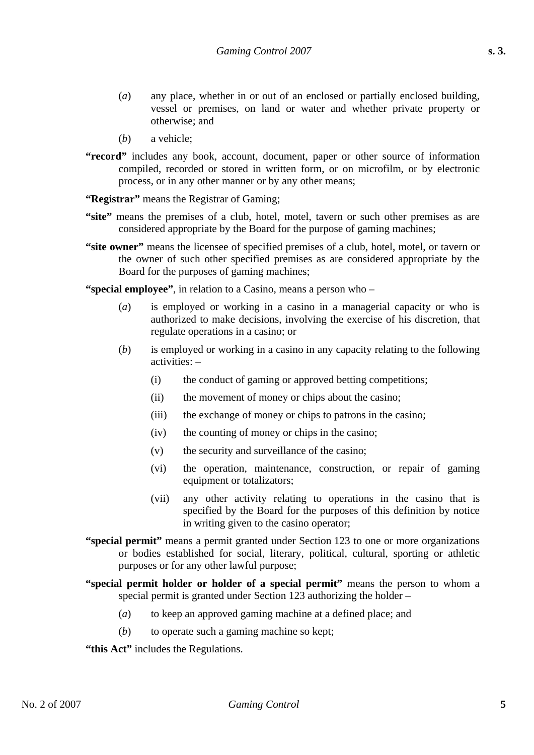- (*a*) any place, whether in or out of an enclosed or partially enclosed building, vessel or premises, on land or water and whether private property or otherwise; and
- (*b*) a vehicle;
- "record" includes any book, account, document, paper or other source of information compiled, recorded or stored in written form, or on microfilm, or by electronic process, or in any other manner or by any other means;
- **"Registrar"** means the Registrar of Gaming;
- **"site"** means the premises of a club, hotel, motel, tavern or such other premises as are considered appropriate by the Board for the purpose of gaming machines;
- **"site owner"** means the licensee of specified premises of a club, hotel, motel, or tavern or the owner of such other specified premises as are considered appropriate by the Board for the purposes of gaming machines;
- **"special employee"**, in relation to a Casino, means a person who
	- (*a*) is employed or working in a casino in a managerial capacity or who is authorized to make decisions, involving the exercise of his discretion, that regulate operations in a casino; or
	- (*b*) is employed or working in a casino in any capacity relating to the following activities: –
		- (i) the conduct of gaming or approved betting competitions;
		- (ii) the movement of money or chips about the casino;
		- (iii) the exchange of money or chips to patrons in the casino;
		- (iv) the counting of money or chips in the casino;
		- (v) the security and surveillance of the casino;
		- (vi) the operation, maintenance, construction, or repair of gaming equipment or totalizators;
		- (vii) any other activity relating to operations in the casino that is specified by the Board for the purposes of this definition by notice in writing given to the casino operator;
- **"special permit"** means a permit granted under Section 123 to one or more organizations or bodies established for social, literary, political, cultural, sporting or athletic purposes or for any other lawful purpose;
- **"special permit holder or holder of a special permit"** means the person to whom a special permit is granted under Section 123 authorizing the holder –
	- (*a*) to keep an approved gaming machine at a defined place; and
	- (*b*) to operate such a gaming machine so kept;

**"this Act"** includes the Regulations.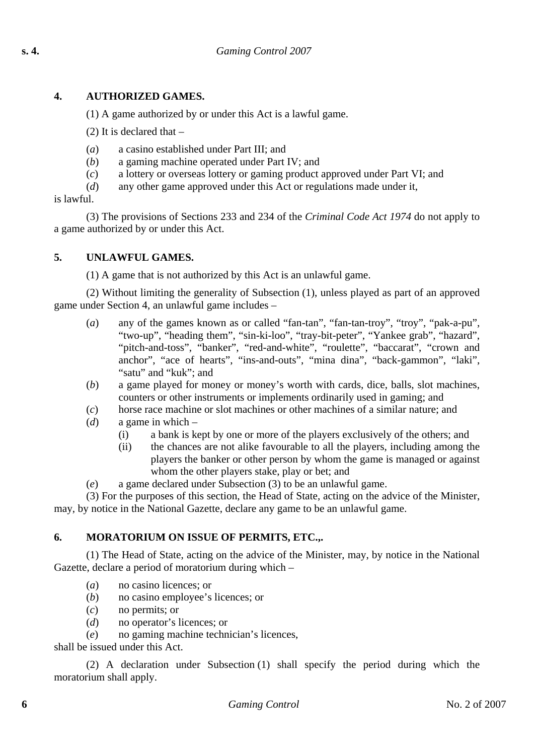## **4. AUTHORIZED GAMES.**

(1) A game authorized by or under this Act is a lawful game.

(2) It is declared that –

- (*a*) a casino established under Part III; and
- (*b*) a gaming machine operated under Part IV; and
- (*c*) a lottery or overseas lottery or gaming product approved under Part VI; and
- (*d*) any other game approved under this Act or regulations made under it,

is lawful.

(3) The provisions of Sections 233 and 234 of the *Criminal Code Act 1974* do not apply to a game authorized by or under this Act.

#### **5. UNLAWFUL GAMES.**

(1) A game that is not authorized by this Act is an unlawful game.

(2) Without limiting the generality of Subsection (1), unless played as part of an approved game under Section 4, an unlawful game includes –

- (*a*) any of the games known as or called "fan-tan", "fan-tan-troy", "troy", "pak-a-pu", "two-up", "heading them", "sin-ki-loo", "tray-bit-peter", "Yankee grab", "hazard", "pitch-and-toss", "banker", "red-and-white", "roulette", "baccarat", "crown and anchor", "ace of hearts", "ins-and-outs", "mina dina", "back-gammon", "laki", "satu" and "kuk"; and
- (*b*) a game played for money or money's worth with cards, dice, balls, slot machines, counters or other instruments or implements ordinarily used in gaming; and
- (*c*) horse race machine or slot machines or other machines of a similar nature; and
- (*d*) a game in which
	- (i) a bank is kept by one or more of the players exclusively of the others; and
	- (ii) the chances are not alike favourable to all the players, including among the players the banker or other person by whom the game is managed or against whom the other players stake, play or bet; and
- (*e*) a game declared under Subsection (3) to be an unlawful game.

(3) For the purposes of this section, the Head of State, acting on the advice of the Minister, may, by notice in the National Gazette, declare any game to be an unlawful game.

## **6. MORATORIUM ON ISSUE OF PERMITS, ETC.,.**

(1) The Head of State, acting on the advice of the Minister, may, by notice in the National Gazette, declare a period of moratorium during which –

- (*a*) no casino licences; or
- (*b*) no casino employee's licences; or
- (*c*) no permits; or
- (*d*) no operator's licences; or
- (*e*) no gaming machine technician's licences,

shall be issued under this Act.

(2) A declaration under Subsection (1) shall specify the period during which the moratorium shall apply.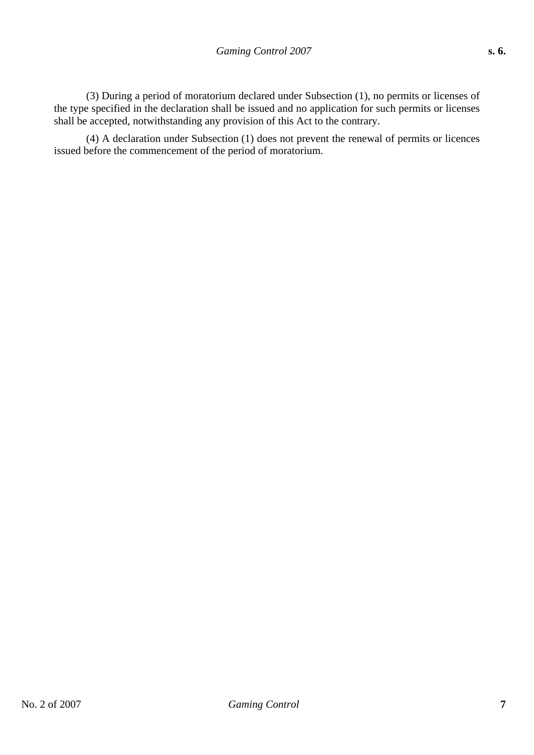(3) During a period of moratorium declared under Subsection (1), no permits or licenses of the type specified in the declaration shall be issued and no application for such permits or licenses shall be accepted, notwithstanding any provision of this Act to the contrary.

(4) A declaration under Subsection (1) does not prevent the renewal of permits or licences issued before the commencement of the period of moratorium.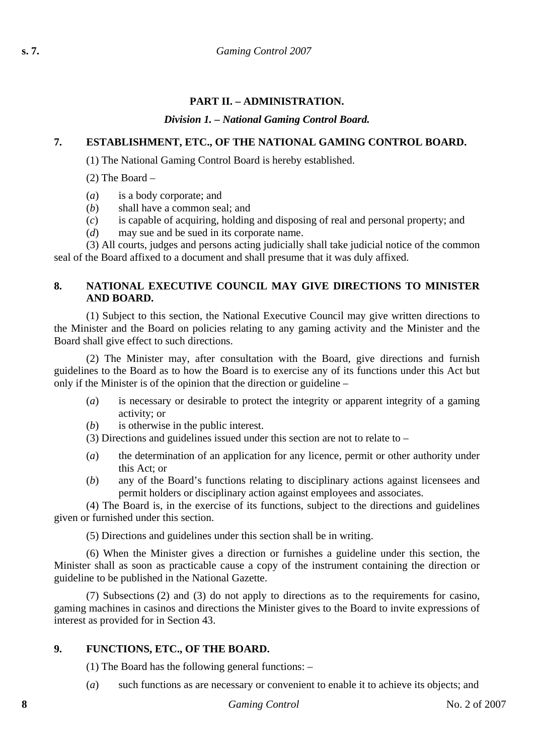## **PART II. – ADMINISTRATION.**

### *Division 1. – National Gaming Control Board.*

## **7. ESTABLISHMENT, ETC., OF THE NATIONAL GAMING CONTROL BOARD.**

(1) The National Gaming Control Board is hereby established.

(2) The Board –

(*a*) is a body corporate; and

(*b*) shall have a common seal; and

(*c*) is capable of acquiring, holding and disposing of real and personal property; and

(*d*) may sue and be sued in its corporate name.

(3) All courts, judges and persons acting judicially shall take judicial notice of the common seal of the Board affixed to a document and shall presume that it was duly affixed.

### **8. NATIONAL EXECUTIVE COUNCIL MAY GIVE DIRECTIONS TO MINISTER AND BOARD.**

(1) Subject to this section, the National Executive Council may give written directions to the Minister and the Board on policies relating to any gaming activity and the Minister and the Board shall give effect to such directions.

(2) The Minister may, after consultation with the Board, give directions and furnish guidelines to the Board as to how the Board is to exercise any of its functions under this Act but only if the Minister is of the opinion that the direction or guideline –

- (*a*) is necessary or desirable to protect the integrity or apparent integrity of a gaming activity; or
- (*b*) is otherwise in the public interest.

(3) Directions and guidelines issued under this section are not to relate to –

- (*a*) the determination of an application for any licence, permit or other authority under this Act; or
- (*b*) any of the Board's functions relating to disciplinary actions against licensees and permit holders or disciplinary action against employees and associates.

(4) The Board is, in the exercise of its functions, subject to the directions and guidelines given or furnished under this section.

(5) Directions and guidelines under this section shall be in writing.

(6) When the Minister gives a direction or furnishes a guideline under this section, the Minister shall as soon as practicable cause a copy of the instrument containing the direction or guideline to be published in the National Gazette.

(7) Subsections (2) and (3) do not apply to directions as to the requirements for casino, gaming machines in casinos and directions the Minister gives to the Board to invite expressions of interest as provided for in Section 43.

### **9. FUNCTIONS, ETC., OF THE BOARD.**

(1) The Board has the following general functions: –

(*a*) such functions as are necessary or convenient to enable it to achieve its objects; and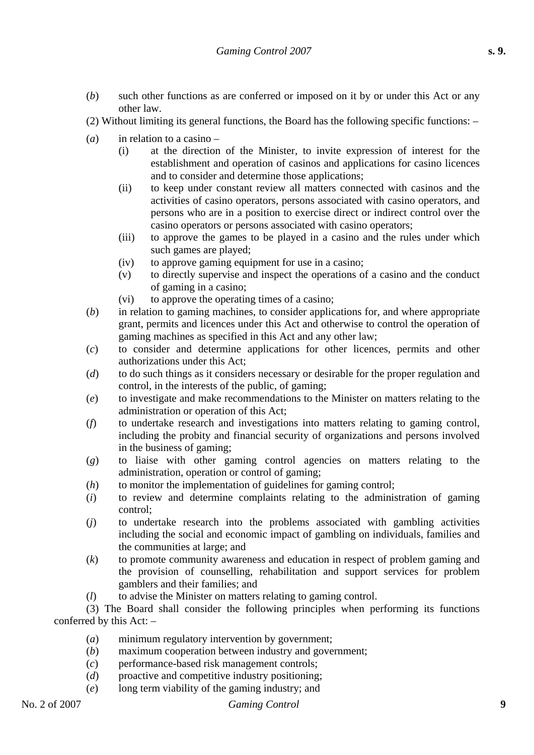- (*b*) such other functions as are conferred or imposed on it by or under this Act or any other law.
- (2) Without limiting its general functions, the Board has the following specific functions: –
- (*a*) in relation to a casino
	- (i) at the direction of the Minister, to invite expression of interest for the establishment and operation of casinos and applications for casino licences and to consider and determine those applications;
	- (ii) to keep under constant review all matters connected with casinos and the activities of casino operators, persons associated with casino operators, and persons who are in a position to exercise direct or indirect control over the casino operators or persons associated with casino operators;
	- (iii) to approve the games to be played in a casino and the rules under which such games are played;
	- (iv) to approve gaming equipment for use in a casino;
	- (v) to directly supervise and inspect the operations of a casino and the conduct of gaming in a casino;
	- (vi) to approve the operating times of a casino;
- (*b*) in relation to gaming machines, to consider applications for, and where appropriate grant, permits and licences under this Act and otherwise to control the operation of gaming machines as specified in this Act and any other law;
- (*c*) to consider and determine applications for other licences, permits and other authorizations under this Act;
- (*d*) to do such things as it considers necessary or desirable for the proper regulation and control, in the interests of the public, of gaming;
- (*e*) to investigate and make recommendations to the Minister on matters relating to the administration or operation of this Act;
- (*f*) to undertake research and investigations into matters relating to gaming control, including the probity and financial security of organizations and persons involved in the business of gaming;
- (*g*) to liaise with other gaming control agencies on matters relating to the administration, operation or control of gaming;
- (*h*) to monitor the implementation of guidelines for gaming control;
- (*i*) to review and determine complaints relating to the administration of gaming control;
- (*j*) to undertake research into the problems associated with gambling activities including the social and economic impact of gambling on individuals, families and the communities at large; and
- (*k*) to promote community awareness and education in respect of problem gaming and the provision of counselling, rehabilitation and support services for problem gamblers and their families; and
- (*l*) to advise the Minister on matters relating to gaming control.

(3) The Board shall consider the following principles when performing its functions conferred by this Act: –

- (*a*) minimum regulatory intervention by government;
- (*b*) maximum cooperation between industry and government;
- (*c*) performance-based risk management controls;
- (*d*) proactive and competitive industry positioning;
- (*e*) long term viability of the gaming industry; and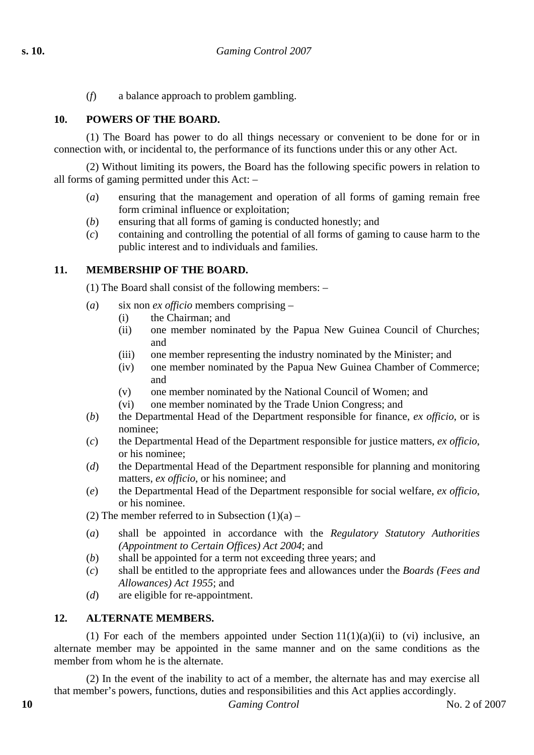(*f*) a balance approach to problem gambling.

#### **10. POWERS OF THE BOARD.**

(1) The Board has power to do all things necessary or convenient to be done for or in connection with, or incidental to, the performance of its functions under this or any other Act.

(2) Without limiting its powers, the Board has the following specific powers in relation to all forms of gaming permitted under this Act: –

- (*a*) ensuring that the management and operation of all forms of gaming remain free form criminal influence or exploitation;
- (*b*) ensuring that all forms of gaming is conducted honestly; and
- (*c*) containing and controlling the potential of all forms of gaming to cause harm to the public interest and to individuals and families.

#### **11. MEMBERSHIP OF THE BOARD.**

(1) The Board shall consist of the following members: –

- (*a*) six non *ex officio* members comprising
	- (i) the Chairman; and
	- (ii) one member nominated by the Papua New Guinea Council of Churches; and
	- (iii) one member representing the industry nominated by the Minister; and
	- (iv) one member nominated by the Papua New Guinea Chamber of Commerce; and
	- (v) one member nominated by the National Council of Women; and
	- (vi) one member nominated by the Trade Union Congress; and
- (*b*) the Departmental Head of the Department responsible for finance, *ex officio*, or is nominee;
- (*c*) the Departmental Head of the Department responsible for justice matters, *ex officio*, or his nominee;
- (*d*) the Departmental Head of the Department responsible for planning and monitoring matters, *ex officio*, or his nominee; and
- (*e*) the Departmental Head of the Department responsible for social welfare, *ex officio*, or his nominee.

(2) The member referred to in Subsection  $(1)(a)$  –

- (*a*) shall be appointed in accordance with the *Regulatory Statutory Authorities (Appointment to Certain Offices) Act 2004*; and
- (*b*) shall be appointed for a term not exceeding three years; and
- (*c*) shall be entitled to the appropriate fees and allowances under the *Boards (Fees and Allowances) Act 1955*; and
- (*d*) are eligible for re-appointment.

### **12. ALTERNATE MEMBERS.**

(1) For each of the members appointed under Section  $11(1)(a)(ii)$  to (vi) inclusive, an alternate member may be appointed in the same manner and on the same conditions as the member from whom he is the alternate.

(2) In the event of the inability to act of a member, the alternate has and may exercise all that member's powers, functions, duties and responsibilities and this Act applies accordingly.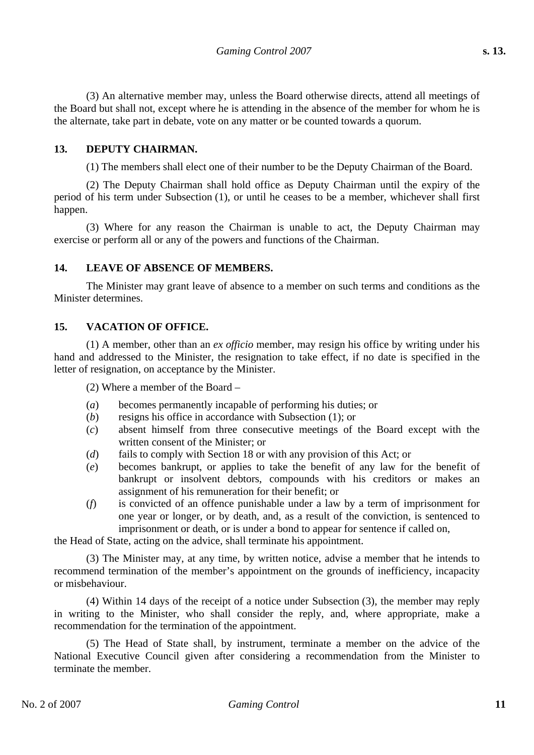(3) An alternative member may, unless the Board otherwise directs, attend all meetings of the Board but shall not, except where he is attending in the absence of the member for whom he is the alternate, take part in debate, vote on any matter or be counted towards a quorum.

#### **13. DEPUTY CHAIRMAN.**

(1) The members shall elect one of their number to be the Deputy Chairman of the Board.

(2) The Deputy Chairman shall hold office as Deputy Chairman until the expiry of the period of his term under Subsection (1), or until he ceases to be a member, whichever shall first happen.

(3) Where for any reason the Chairman is unable to act, the Deputy Chairman may exercise or perform all or any of the powers and functions of the Chairman.

#### **14. LEAVE OF ABSENCE OF MEMBERS.**

The Minister may grant leave of absence to a member on such terms and conditions as the Minister determines.

#### **15. VACATION OF OFFICE.**

(1) A member, other than an *ex officio* member, may resign his office by writing under his hand and addressed to the Minister, the resignation to take effect, if no date is specified in the letter of resignation, on acceptance by the Minister.

(2) Where a member of the Board –

- (*a*) becomes permanently incapable of performing his duties; or
- (*b*) resigns his office in accordance with Subsection (1); or
- (*c*) absent himself from three consecutive meetings of the Board except with the written consent of the Minister; or
- (*d*) fails to comply with Section 18 or with any provision of this Act; or
- (*e*) becomes bankrupt, or applies to take the benefit of any law for the benefit of bankrupt or insolvent debtors, compounds with his creditors or makes an assignment of his remuneration for their benefit; or
- (*f*) is convicted of an offence punishable under a law by a term of imprisonment for one year or longer, or by death, and, as a result of the conviction, is sentenced to imprisonment or death, or is under a bond to appear for sentence if called on,

the Head of State, acting on the advice, shall terminate his appointment.

(3) The Minister may, at any time, by written notice, advise a member that he intends to recommend termination of the member's appointment on the grounds of inefficiency, incapacity or misbehaviour.

(4) Within 14 days of the receipt of a notice under Subsection (3), the member may reply in writing to the Minister, who shall consider the reply, and, where appropriate, make a recommendation for the termination of the appointment.

(5) The Head of State shall, by instrument, terminate a member on the advice of the National Executive Council given after considering a recommendation from the Minister to terminate the member.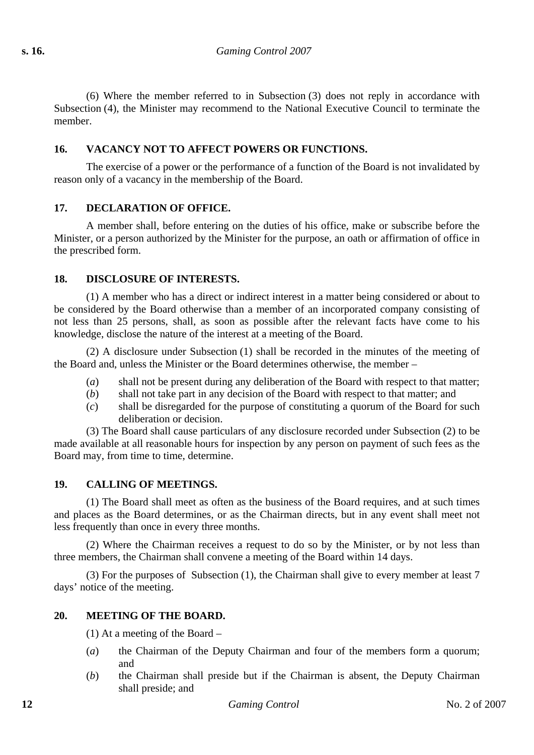(6) Where the member referred to in Subsection (3) does not reply in accordance with Subsection (4), the Minister may recommend to the National Executive Council to terminate the member.

## **16. VACANCY NOT TO AFFECT POWERS OR FUNCTIONS.**

The exercise of a power or the performance of a function of the Board is not invalidated by reason only of a vacancy in the membership of the Board.

### **17. DECLARATION OF OFFICE.**

A member shall, before entering on the duties of his office, make or subscribe before the Minister, or a person authorized by the Minister for the purpose, an oath or affirmation of office in the prescribed form.

#### **18. DISCLOSURE OF INTERESTS.**

(1) A member who has a direct or indirect interest in a matter being considered or about to be considered by the Board otherwise than a member of an incorporated company consisting of not less than 25 persons, shall, as soon as possible after the relevant facts have come to his knowledge, disclose the nature of the interest at a meeting of the Board.

(2) A disclosure under Subsection (1) shall be recorded in the minutes of the meeting of the Board and, unless the Minister or the Board determines otherwise, the member –

- (*a*) shall not be present during any deliberation of the Board with respect to that matter;
- (*b*) shall not take part in any decision of the Board with respect to that matter; and
- (*c*) shall be disregarded for the purpose of constituting a quorum of the Board for such deliberation or decision.

(3) The Board shall cause particulars of any disclosure recorded under Subsection (2) to be made available at all reasonable hours for inspection by any person on payment of such fees as the Board may, from time to time, determine.

### **19. CALLING OF MEETINGS.**

(1) The Board shall meet as often as the business of the Board requires, and at such times and places as the Board determines, or as the Chairman directs, but in any event shall meet not less frequently than once in every three months.

(2) Where the Chairman receives a request to do so by the Minister, or by not less than three members, the Chairman shall convene a meeting of the Board within 14 days.

(3) For the purposes of Subsection (1), the Chairman shall give to every member at least 7 days' notice of the meeting.

### **20. MEETING OF THE BOARD.**

(1) At a meeting of the Board –

- (*a*) the Chairman of the Deputy Chairman and four of the members form a quorum; and
- (*b*) the Chairman shall preside but if the Chairman is absent, the Deputy Chairman shall preside; and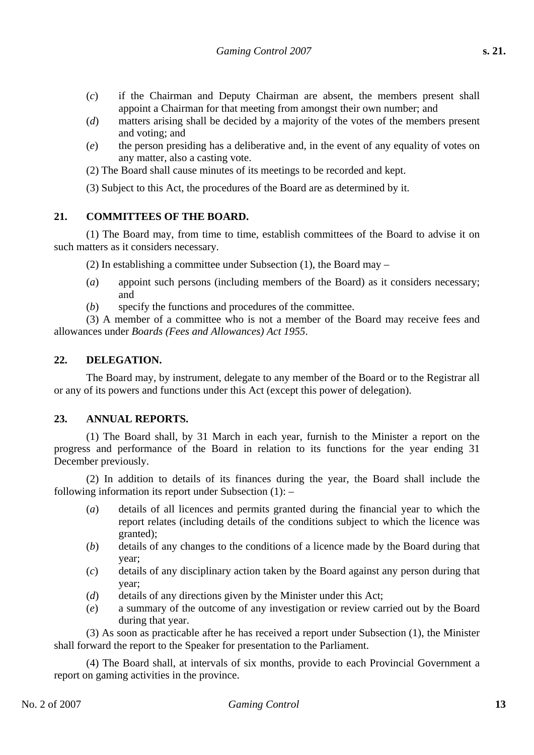- (*c*) if the Chairman and Deputy Chairman are absent, the members present shall appoint a Chairman for that meeting from amongst their own number; and
- (*d*) matters arising shall be decided by a majority of the votes of the members present and voting; and
- (*e*) the person presiding has a deliberative and, in the event of any equality of votes on any matter, also a casting vote.
- (2) The Board shall cause minutes of its meetings to be recorded and kept.

(3) Subject to this Act, the procedures of the Board are as determined by it.

#### **21. COMMITTEES OF THE BOARD.**

(1) The Board may, from time to time, establish committees of the Board to advise it on such matters as it considers necessary.

(2) In establishing a committee under Subsection (1), the Board may –

- (*a*) appoint such persons (including members of the Board) as it considers necessary; and
- (*b*) specify the functions and procedures of the committee.

(3) A member of a committee who is not a member of the Board may receive fees and allowances under *Boards (Fees and Allowances) Act 1955*.

### **22. DELEGATION.**

The Board may, by instrument, delegate to any member of the Board or to the Registrar all or any of its powers and functions under this Act (except this power of delegation).

### **23. ANNUAL REPORTS.**

(1) The Board shall, by 31 March in each year, furnish to the Minister a report on the progress and performance of the Board in relation to its functions for the year ending 31 December previously.

(2) In addition to details of its finances during the year, the Board shall include the following information its report under Subsection (1): –

- (*a*) details of all licences and permits granted during the financial year to which the report relates (including details of the conditions subject to which the licence was granted);
- (*b*) details of any changes to the conditions of a licence made by the Board during that year;
- (*c*) details of any disciplinary action taken by the Board against any person during that year;
- (*d*) details of any directions given by the Minister under this Act;
- (*e*) a summary of the outcome of any investigation or review carried out by the Board during that year.

(3) As soon as practicable after he has received a report under Subsection (1), the Minister shall forward the report to the Speaker for presentation to the Parliament.

(4) The Board shall, at intervals of six months, provide to each Provincial Government a report on gaming activities in the province.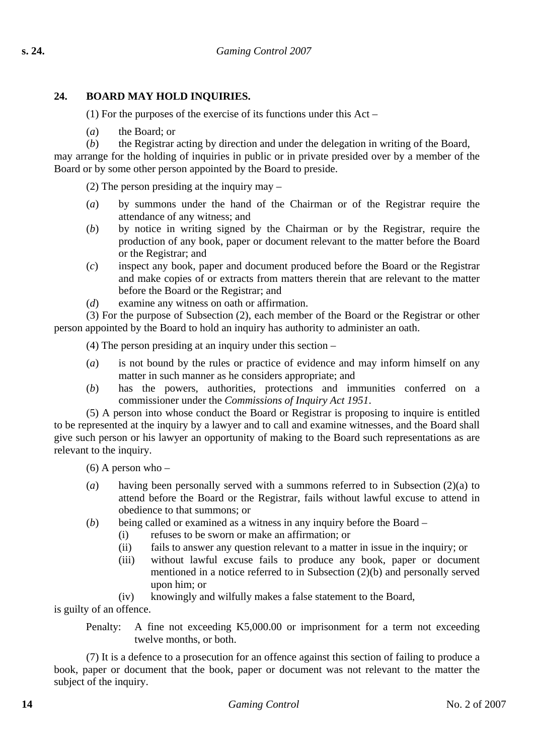## **24. BOARD MAY HOLD INQUIRIES.**

(1) For the purposes of the exercise of its functions under this Act –

- (*a*) the Board; or
- (*b*) the Registrar acting by direction and under the delegation in writing of the Board,

may arrange for the holding of inquiries in public or in private presided over by a member of the Board or by some other person appointed by the Board to preside.

(2) The person presiding at the inquiry may –

- (*a*) by summons under the hand of the Chairman or of the Registrar require the attendance of any witness; and
- (*b*) by notice in writing signed by the Chairman or by the Registrar, require the production of any book, paper or document relevant to the matter before the Board or the Registrar; and
- (*c*) inspect any book, paper and document produced before the Board or the Registrar and make copies of or extracts from matters therein that are relevant to the matter before the Board or the Registrar; and
- (*d*) examine any witness on oath or affirmation.

(3) For the purpose of Subsection (2), each member of the Board or the Registrar or other person appointed by the Board to hold an inquiry has authority to administer an oath.

(4) The person presiding at an inquiry under this section –

- (*a*) is not bound by the rules or practice of evidence and may inform himself on any matter in such manner as he considers appropriate; and
- (*b*) has the powers, authorities, protections and immunities conferred on a commissioner under the *Commissions of Inquiry Act 1951*.

(5) A person into whose conduct the Board or Registrar is proposing to inquire is entitled to be represented at the inquiry by a lawyer and to call and examine witnesses, and the Board shall give such person or his lawyer an opportunity of making to the Board such representations as are relevant to the inquiry.

 $(6)$  A person who –

- (*a*) having been personally served with a summons referred to in Subsection (2)(a) to attend before the Board or the Registrar, fails without lawful excuse to attend in obedience to that summons; or
- (*b*) being called or examined as a witness in any inquiry before the Board
	- (i) refuses to be sworn or make an affirmation; or
	- (ii) fails to answer any question relevant to a matter in issue in the inquiry; or
	- (iii) without lawful excuse fails to produce any book, paper or document mentioned in a notice referred to in Subsection (2)(b) and personally served upon him; or
	- (iv) knowingly and wilfully makes a false statement to the Board,

is guilty of an offence.

Penalty: A fine not exceeding K5,000.00 or imprisonment for a term not exceeding twelve months, or both.

(7) It is a defence to a prosecution for an offence against this section of failing to produce a book, paper or document that the book, paper or document was not relevant to the matter the subject of the inquiry.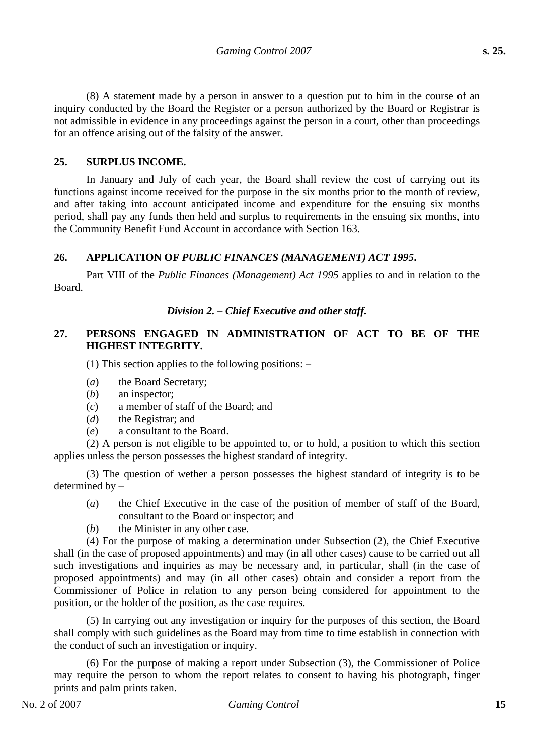(8) A statement made by a person in answer to a question put to him in the course of an inquiry conducted by the Board the Register or a person authorized by the Board or Registrar is not admissible in evidence in any proceedings against the person in a court, other than proceedings for an offence arising out of the falsity of the answer.

#### **25. SURPLUS INCOME.**

In January and July of each year, the Board shall review the cost of carrying out its functions against income received for the purpose in the six months prior to the month of review, and after taking into account anticipated income and expenditure for the ensuing six months period, shall pay any funds then held and surplus to requirements in the ensuing six months, into the Community Benefit Fund Account in accordance with Section 163.

#### **26. APPLICATION OF** *PUBLIC FINANCES (MANAGEMENT) ACT 1995***.**

Part VIII of the *Public Finances (Management) Act 1995* applies to and in relation to the Board.

#### *Division 2. – Chief Executive and other staff.*

### **27. PERSONS ENGAGED IN ADMINISTRATION OF ACT TO BE OF THE HIGHEST INTEGRITY.**

(1) This section applies to the following positions: –

- (*a*) the Board Secretary;
- (*b*) an inspector;
- (*c*) a member of staff of the Board; and
- (*d*) the Registrar; and
- (*e*) a consultant to the Board.

(2) A person is not eligible to be appointed to, or to hold, a position to which this section applies unless the person possesses the highest standard of integrity.

(3) The question of wether a person possesses the highest standard of integrity is to be determined by –

- (*a*) the Chief Executive in the case of the position of member of staff of the Board, consultant to the Board or inspector; and
- (*b*) the Minister in any other case.

(4) For the purpose of making a determination under Subsection (2), the Chief Executive shall (in the case of proposed appointments) and may (in all other cases) cause to be carried out all such investigations and inquiries as may be necessary and, in particular, shall (in the case of proposed appointments) and may (in all other cases) obtain and consider a report from the Commissioner of Police in relation to any person being considered for appointment to the position, or the holder of the position, as the case requires.

(5) In carrying out any investigation or inquiry for the purposes of this section, the Board shall comply with such guidelines as the Board may from time to time establish in connection with the conduct of such an investigation or inquiry.

(6) For the purpose of making a report under Subsection (3), the Commissioner of Police may require the person to whom the report relates to consent to having his photograph, finger prints and palm prints taken.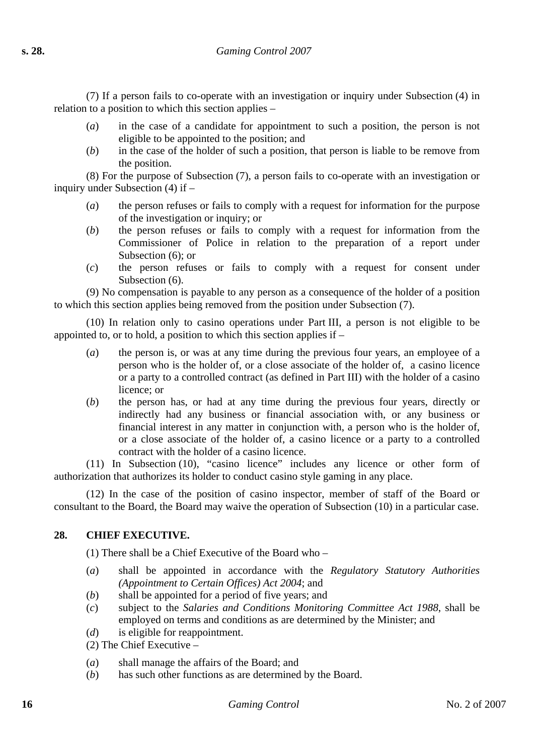(7) If a person fails to co-operate with an investigation or inquiry under Subsection (4) in relation to a position to which this section applies –

- (*a*) in the case of a candidate for appointment to such a position, the person is not eligible to be appointed to the position; and
- (*b*) in the case of the holder of such a position, that person is liable to be remove from the position.

(8) For the purpose of Subsection (7), a person fails to co-operate with an investigation or inquiry under Subsection (4) if –

- (*a*) the person refuses or fails to comply with a request for information for the purpose of the investigation or inquiry; or
- (*b*) the person refuses or fails to comply with a request for information from the Commissioner of Police in relation to the preparation of a report under Subsection (6); or
- (*c*) the person refuses or fails to comply with a request for consent under Subsection  $(6)$ .

(9) No compensation is payable to any person as a consequence of the holder of a position to which this section applies being removed from the position under Subsection (7).

(10) In relation only to casino operations under Part III, a person is not eligible to be appointed to, or to hold, a position to which this section applies if –

- (*a*) the person is, or was at any time during the previous four years, an employee of a person who is the holder of, or a close associate of the holder of, a casino licence or a party to a controlled contract (as defined in Part III) with the holder of a casino licence; or
- (*b*) the person has, or had at any time during the previous four years, directly or indirectly had any business or financial association with, or any business or financial interest in any matter in conjunction with, a person who is the holder of, or a close associate of the holder of, a casino licence or a party to a controlled contract with the holder of a casino licence.

(11) In Subsection (10), "casino licence" includes any licence or other form of authorization that authorizes its holder to conduct casino style gaming in any place.

(12) In the case of the position of casino inspector, member of staff of the Board or consultant to the Board, the Board may waive the operation of Subsection (10) in a particular case.

## **28. CHIEF EXECUTIVE.**

(1) There shall be a Chief Executive of the Board who –

- (*a*) shall be appointed in accordance with the *Regulatory Statutory Authorities (Appointment to Certain Offices) Act 2004*; and
- (*b*) shall be appointed for a period of five years; and
- (*c*) subject to the *Salaries and Conditions Monitoring Committee Act 1988*, shall be employed on terms and conditions as are determined by the Minister; and
- (*d*) is eligible for reappointment.
- (2) The Chief Executive –
- (*a*) shall manage the affairs of the Board; and
- (*b*) has such other functions as are determined by the Board.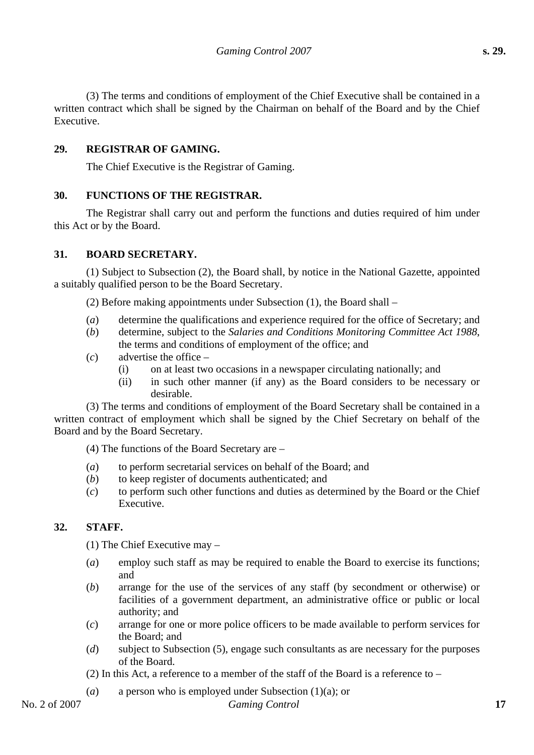(3) The terms and conditions of employment of the Chief Executive shall be contained in a written contract which shall be signed by the Chairman on behalf of the Board and by the Chief Executive.

## **29. REGISTRAR OF GAMING.**

The Chief Executive is the Registrar of Gaming.

### **30. FUNCTIONS OF THE REGISTRAR.**

The Registrar shall carry out and perform the functions and duties required of him under this Act or by the Board.

### **31. BOARD SECRETARY.**

(1) Subject to Subsection (2), the Board shall, by notice in the National Gazette, appointed a suitably qualified person to be the Board Secretary.

(2) Before making appointments under Subsection (1), the Board shall –

- (*a*) determine the qualifications and experience required for the office of Secretary; and
- (*b*) determine, subject to the *Salaries and Conditions Monitoring Committee Act 1988*, the terms and conditions of employment of the office; and
- (*c*) advertise the office
	- (i) on at least two occasions in a newspaper circulating nationally; and
	- (ii) in such other manner (if any) as the Board considers to be necessary or desirable.

(3) The terms and conditions of employment of the Board Secretary shall be contained in a written contract of employment which shall be signed by the Chief Secretary on behalf of the Board and by the Board Secretary.

(4) The functions of the Board Secretary are –

- (*a*) to perform secretarial services on behalf of the Board; and
- (*b*) to keep register of documents authenticated; and
- (*c*) to perform such other functions and duties as determined by the Board or the Chief Executive.

## **32. STAFF.**

(1) The Chief Executive may –

- (*a*) employ such staff as may be required to enable the Board to exercise its functions; and
- (*b*) arrange for the use of the services of any staff (by secondment or otherwise) or facilities of a government department, an administrative office or public or local authority; and
- (*c*) arrange for one or more police officers to be made available to perform services for the Board; and
- (*d*) subject to Subsection (5), engage such consultants as are necessary for the purposes of the Board.
- (2) In this Act, a reference to a member of the staff of the Board is a reference to  $-$
- (*a*) a person who is employed under Subsection (1)(a); or

### No. 2 of 2007 *Gaming Control* **17**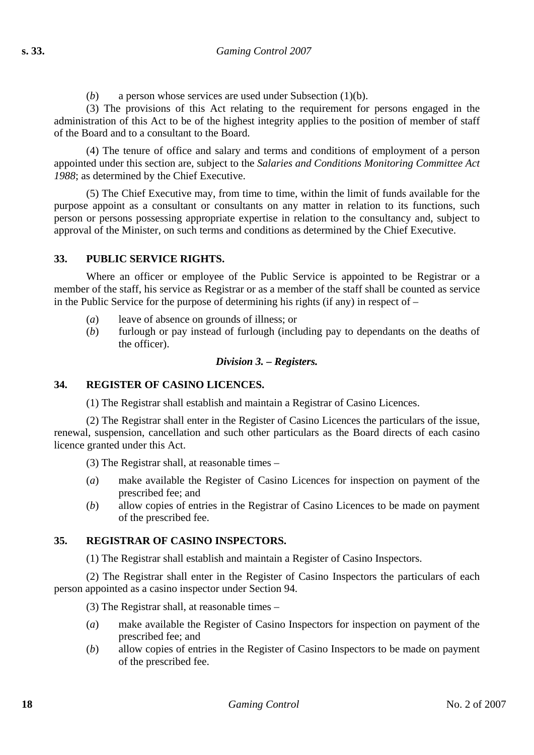(*b*) a person whose services are used under Subsection (1)(b).

(3) The provisions of this Act relating to the requirement for persons engaged in the administration of this Act to be of the highest integrity applies to the position of member of staff of the Board and to a consultant to the Board.

(4) The tenure of office and salary and terms and conditions of employment of a person appointed under this section are, subject to the *Salaries and Conditions Monitoring Committee Act 1988*; as determined by the Chief Executive.

(5) The Chief Executive may, from time to time, within the limit of funds available for the purpose appoint as a consultant or consultants on any matter in relation to its functions, such person or persons possessing appropriate expertise in relation to the consultancy and, subject to approval of the Minister, on such terms and conditions as determined by the Chief Executive.

### **33. PUBLIC SERVICE RIGHTS.**

Where an officer or employee of the Public Service is appointed to be Registrar or a member of the staff, his service as Registrar or as a member of the staff shall be counted as service in the Public Service for the purpose of determining his rights (if any) in respect of –

- (*a*) leave of absence on grounds of illness; or
- (*b*) furlough or pay instead of furlough (including pay to dependants on the deaths of the officer).

#### *Division 3. – Registers.*

#### **34. REGISTER OF CASINO LICENCES.**

(1) The Registrar shall establish and maintain a Registrar of Casino Licences.

(2) The Registrar shall enter in the Register of Casino Licences the particulars of the issue, renewal, suspension, cancellation and such other particulars as the Board directs of each casino licence granted under this Act.

(3) The Registrar shall, at reasonable times –

- (*a*) make available the Register of Casino Licences for inspection on payment of the prescribed fee; and
- (*b*) allow copies of entries in the Registrar of Casino Licences to be made on payment of the prescribed fee.

### **35. REGISTRAR OF CASINO INSPECTORS.**

(1) The Registrar shall establish and maintain a Register of Casino Inspectors.

(2) The Registrar shall enter in the Register of Casino Inspectors the particulars of each person appointed as a casino inspector under Section 94.

(3) The Registrar shall, at reasonable times –

- (*a*) make available the Register of Casino Inspectors for inspection on payment of the prescribed fee; and
- (*b*) allow copies of entries in the Register of Casino Inspectors to be made on payment of the prescribed fee.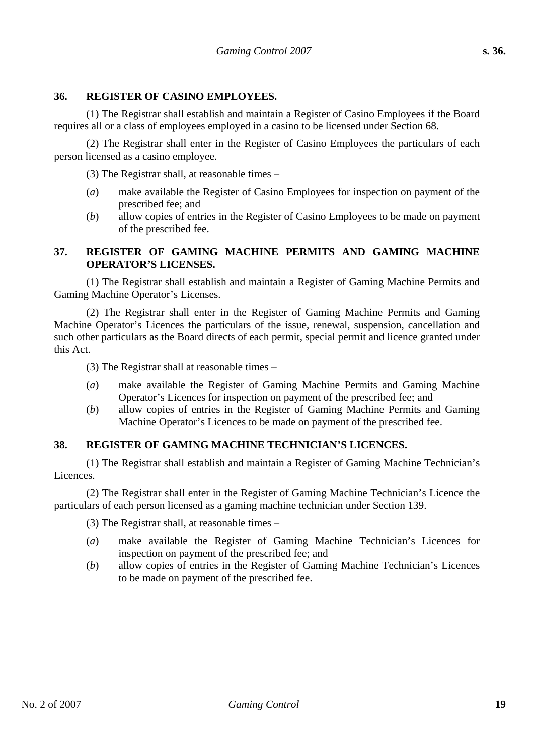#### **36. REGISTER OF CASINO EMPLOYEES.**

(1) The Registrar shall establish and maintain a Register of Casino Employees if the Board requires all or a class of employees employed in a casino to be licensed under Section 68.

(2) The Registrar shall enter in the Register of Casino Employees the particulars of each person licensed as a casino employee.

(3) The Registrar shall, at reasonable times –

- (*a*) make available the Register of Casino Employees for inspection on payment of the prescribed fee; and
- (*b*) allow copies of entries in the Register of Casino Employees to be made on payment of the prescribed fee.

## **37. REGISTER OF GAMING MACHINE PERMITS AND GAMING MACHINE OPERATOR'S LICENSES.**

(1) The Registrar shall establish and maintain a Register of Gaming Machine Permits and Gaming Machine Operator's Licenses.

(2) The Registrar shall enter in the Register of Gaming Machine Permits and Gaming Machine Operator's Licences the particulars of the issue, renewal, suspension, cancellation and such other particulars as the Board directs of each permit, special permit and licence granted under this Act.

(3) The Registrar shall at reasonable times –

- (*a*) make available the Register of Gaming Machine Permits and Gaming Machine Operator's Licences for inspection on payment of the prescribed fee; and
- (*b*) allow copies of entries in the Register of Gaming Machine Permits and Gaming Machine Operator's Licences to be made on payment of the prescribed fee.

### **38. REGISTER OF GAMING MACHINE TECHNICIAN'S LICENCES.**

(1) The Registrar shall establish and maintain a Register of Gaming Machine Technician's Licences.

(2) The Registrar shall enter in the Register of Gaming Machine Technician's Licence the particulars of each person licensed as a gaming machine technician under Section 139.

(3) The Registrar shall, at reasonable times –

- (*a*) make available the Register of Gaming Machine Technician's Licences for inspection on payment of the prescribed fee; and
- (*b*) allow copies of entries in the Register of Gaming Machine Technician's Licences to be made on payment of the prescribed fee.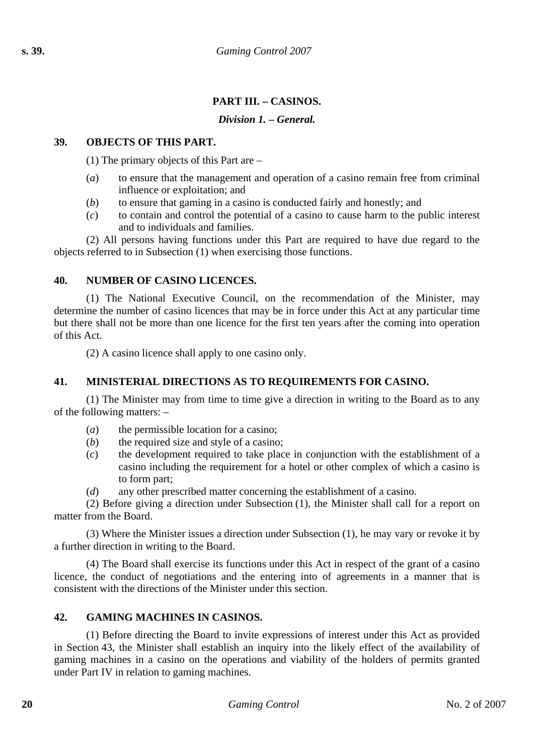# **PART III. – CASINOS.**

### *Division 1. – General.*

### **39. OBJECTS OF THIS PART.**

(1) The primary objects of this Part are –

- (*a*) to ensure that the management and operation of a casino remain free from criminal influence or exploitation; and
- (*b*) to ensure that gaming in a casino is conducted fairly and honestly; and
- (*c*) to contain and control the potential of a casino to cause harm to the public interest and to individuals and families.

(2) All persons having functions under this Part are required to have due regard to the objects referred to in Subsection (1) when exercising those functions.

#### **40. NUMBER OF CASINO LICENCES.**

(1) The National Executive Council, on the recommendation of the Minister, may determine the number of casino licences that may be in force under this Act at any particular time but there shall not be more than one licence for the first ten years after the coming into operation of this Act.

(2) A casino licence shall apply to one casino only.

## **41. MINISTERIAL DIRECTIONS AS TO REQUIREMENTS FOR CASINO.**

(1) The Minister may from time to time give a direction in writing to the Board as to any of the following matters: –

- (*a*) the permissible location for a casino;
- (*b*) the required size and style of a casino;
- (*c*) the development required to take place in conjunction with the establishment of a casino including the requirement for a hotel or other complex of which a casino is to form part;
- (*d*) any other prescribed matter concerning the establishment of a casino.

(2) Before giving a direction under Subsection (1), the Minister shall call for a report on matter from the Board.

(3) Where the Minister issues a direction under Subsection (1), he may vary or revoke it by a further direction in writing to the Board.

(4) The Board shall exercise its functions under this Act in respect of the grant of a casino licence, the conduct of negotiations and the entering into of agreements in a manner that is consistent with the directions of the Minister under this section.

### **42. GAMING MACHINES IN CASINOS.**

(1) Before directing the Board to invite expressions of interest under this Act as provided in Section 43, the Minister shall establish an inquiry into the likely effect of the availability of gaming machines in a casino on the operations and viability of the holders of permits granted under Part IV in relation to gaming machines.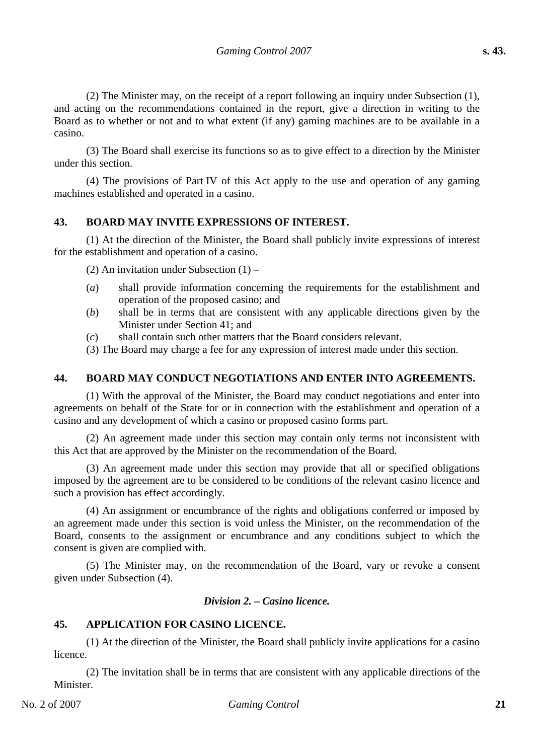(2) The Minister may, on the receipt of a report following an inquiry under Subsection (1), and acting on the recommendations contained in the report, give a direction in writing to the Board as to whether or not and to what extent (if any) gaming machines are to be available in a casino.

(3) The Board shall exercise its functions so as to give effect to a direction by the Minister under this section.

(4) The provisions of Part IV of this Act apply to the use and operation of any gaming machines established and operated in a casino.

## **43. BOARD MAY INVITE EXPRESSIONS OF INTEREST.**

(1) At the direction of the Minister, the Board shall publicly invite expressions of interest for the establishment and operation of a casino.

(2) An invitation under Subsection (1) –

- (*a*) shall provide information concerning the requirements for the establishment and operation of the proposed casino; and
- (*b*) shall be in terms that are consistent with any applicable directions given by the Minister under Section 41; and
- (*c*) shall contain such other matters that the Board considers relevant.
- (3) The Board may charge a fee for any expression of interest made under this section.

### **44. BOARD MAY CONDUCT NEGOTIATIONS AND ENTER INTO AGREEMENTS.**

(1) With the approval of the Minister, the Board may conduct negotiations and enter into agreements on behalf of the State for or in connection with the establishment and operation of a casino and any development of which a casino or proposed casino forms part.

(2) An agreement made under this section may contain only terms not inconsistent with this Act that are approved by the Minister on the recommendation of the Board.

(3) An agreement made under this section may provide that all or specified obligations imposed by the agreement are to be considered to be conditions of the relevant casino licence and such a provision has effect accordingly.

(4) An assignment or encumbrance of the rights and obligations conferred or imposed by an agreement made under this section is void unless the Minister, on the recommendation of the Board, consents to the assignment or encumbrance and any conditions subject to which the consent is given are complied with.

(5) The Minister may, on the recommendation of the Board, vary or revoke a consent given under Subsection (4).

#### *Division 2. – Casino licence.*

### **45. APPLICATION FOR CASINO LICENCE.**

(1) At the direction of the Minister, the Board shall publicly invite applications for a casino licence.

(2) The invitation shall be in terms that are consistent with any applicable directions of the Minister.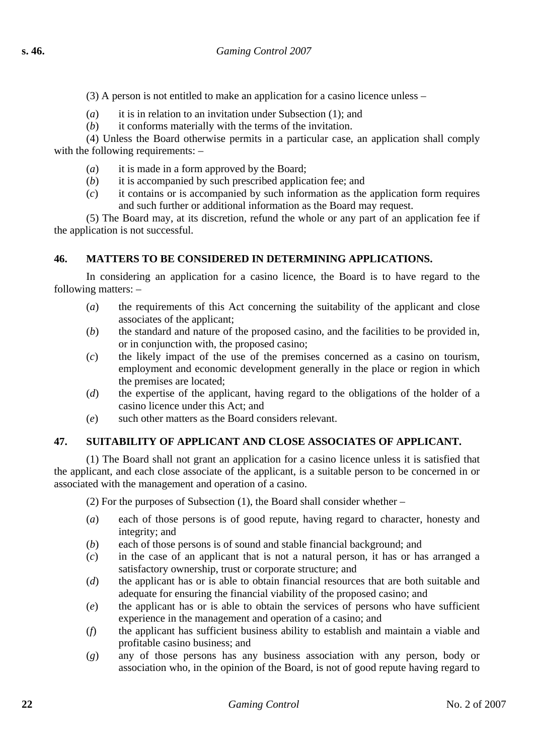- (3) A person is not entitled to make an application for a casino licence unless –
- (*a*) it is in relation to an invitation under Subsection (1); and
- (*b*) it conforms materially with the terms of the invitation.

(4) Unless the Board otherwise permits in a particular case, an application shall comply with the following requirements:  $-$ 

- (*a*) it is made in a form approved by the Board;
- (*b*) it is accompanied by such prescribed application fee; and
- (*c*) it contains or is accompanied by such information as the application form requires and such further or additional information as the Board may request.

(5) The Board may, at its discretion, refund the whole or any part of an application fee if the application is not successful.

### **46. MATTERS TO BE CONSIDERED IN DETERMINING APPLICATIONS.**

In considering an application for a casino licence, the Board is to have regard to the following matters: –

- (*a*) the requirements of this Act concerning the suitability of the applicant and close associates of the applicant;
- (*b*) the standard and nature of the proposed casino, and the facilities to be provided in, or in conjunction with, the proposed casino;
- (*c*) the likely impact of the use of the premises concerned as a casino on tourism, employment and economic development generally in the place or region in which the premises are located;
- (*d*) the expertise of the applicant, having regard to the obligations of the holder of a casino licence under this Act; and
- (*e*) such other matters as the Board considers relevant.

## **47. SUITABILITY OF APPLICANT AND CLOSE ASSOCIATES OF APPLICANT.**

(1) The Board shall not grant an application for a casino licence unless it is satisfied that the applicant, and each close associate of the applicant, is a suitable person to be concerned in or associated with the management and operation of a casino.

(2) For the purposes of Subsection (1), the Board shall consider whether –

- (*a*) each of those persons is of good repute, having regard to character, honesty and integrity; and
- (*b*) each of those persons is of sound and stable financial background; and
- (*c*) in the case of an applicant that is not a natural person, it has or has arranged a satisfactory ownership, trust or corporate structure; and
- (*d*) the applicant has or is able to obtain financial resources that are both suitable and adequate for ensuring the financial viability of the proposed casino; and
- (*e*) the applicant has or is able to obtain the services of persons who have sufficient experience in the management and operation of a casino; and
- (*f*) the applicant has sufficient business ability to establish and maintain a viable and profitable casino business; and
- (*g*) any of those persons has any business association with any person, body or association who, in the opinion of the Board, is not of good repute having regard to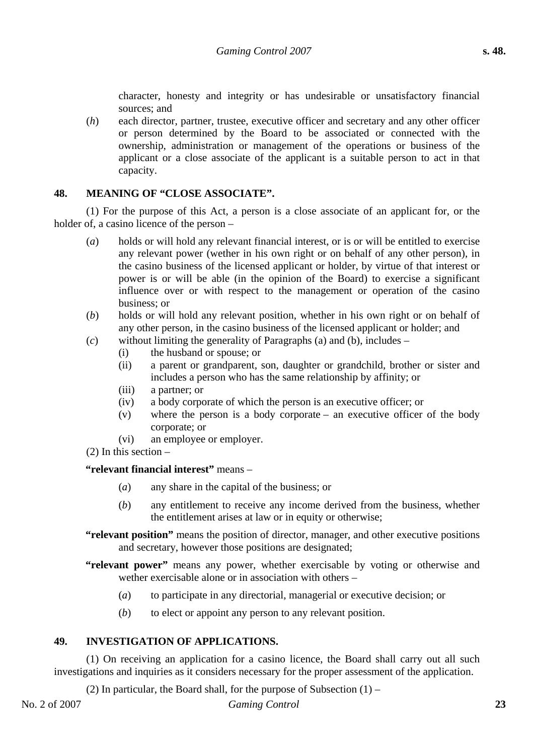character, honesty and integrity or has undesirable or unsatisfactory financial sources; and

(*h*) each director, partner, trustee, executive officer and secretary and any other officer or person determined by the Board to be associated or connected with the ownership, administration or management of the operations or business of the applicant or a close associate of the applicant is a suitable person to act in that capacity.

#### **48. MEANING OF "CLOSE ASSOCIATE".**

(1) For the purpose of this Act, a person is a close associate of an applicant for, or the holder of, a casino licence of the person –

- (*a*) holds or will hold any relevant financial interest, or is or will be entitled to exercise any relevant power (wether in his own right or on behalf of any other person), in the casino business of the licensed applicant or holder, by virtue of that interest or power is or will be able (in the opinion of the Board) to exercise a significant influence over or with respect to the management or operation of the casino business; or
- (*b*) holds or will hold any relevant position, whether in his own right or on behalf of any other person, in the casino business of the licensed applicant or holder; and
- (*c*) without limiting the generality of Paragraphs (a) and (b), includes
	- (i) the husband or spouse; or
	- (ii) a parent or grandparent, son, daughter or grandchild, brother or sister and includes a person who has the same relationship by affinity; or
	- (iii) a partner; or
	- (iv) a body corporate of which the person is an executive officer; or
	- (v) where the person is a body corporate an executive officer of the body corporate; or
	- (vi) an employee or employer.
- (2) In this section –

#### **"relevant financial interest"** means –

- (*a*) any share in the capital of the business; or
- (*b*) any entitlement to receive any income derived from the business, whether the entitlement arises at law or in equity or otherwise;
- **"relevant position"** means the position of director, manager, and other executive positions and secretary, however those positions are designated;

**"relevant power"** means any power, whether exercisable by voting or otherwise and wether exercisable alone or in association with others –

- (*a*) to participate in any directorial, managerial or executive decision; or
- (*b*) to elect or appoint any person to any relevant position.

### **49. INVESTIGATION OF APPLICATIONS.**

(1) On receiving an application for a casino licence, the Board shall carry out all such investigations and inquiries as it considers necessary for the proper assessment of the application.

(2) In particular, the Board shall, for the purpose of Subsection  $(1)$  –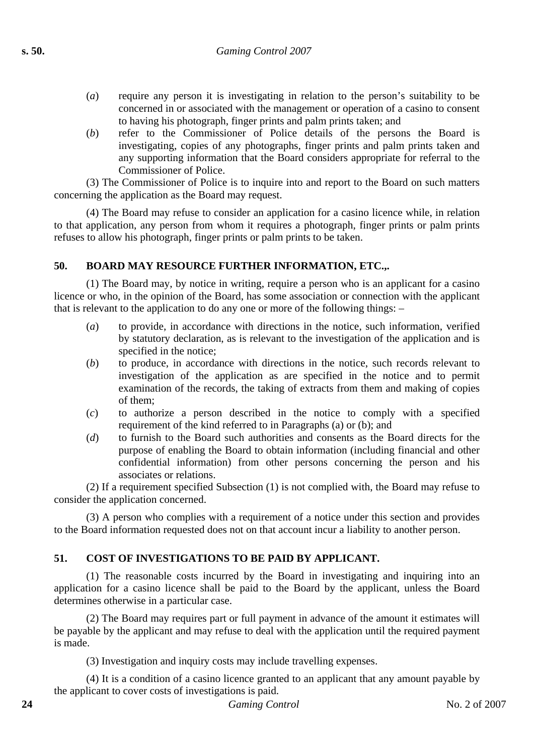- (*a*) require any person it is investigating in relation to the person's suitability to be concerned in or associated with the management or operation of a casino to consent to having his photograph, finger prints and palm prints taken; and
- (*b*) refer to the Commissioner of Police details of the persons the Board is investigating, copies of any photographs, finger prints and palm prints taken and any supporting information that the Board considers appropriate for referral to the Commissioner of Police.

(3) The Commissioner of Police is to inquire into and report to the Board on such matters concerning the application as the Board may request.

(4) The Board may refuse to consider an application for a casino licence while, in relation to that application, any person from whom it requires a photograph, finger prints or palm prints refuses to allow his photograph, finger prints or palm prints to be taken.

## **50. BOARD MAY RESOURCE FURTHER INFORMATION, ETC.,.**

(1) The Board may, by notice in writing, require a person who is an applicant for a casino licence or who, in the opinion of the Board, has some association or connection with the applicant that is relevant to the application to do any one or more of the following things: –

- (*a*) to provide, in accordance with directions in the notice, such information, verified by statutory declaration, as is relevant to the investigation of the application and is specified in the notice;
- (*b*) to produce, in accordance with directions in the notice, such records relevant to investigation of the application as are specified in the notice and to permit examination of the records, the taking of extracts from them and making of copies of them;
- (*c*) to authorize a person described in the notice to comply with a specified requirement of the kind referred to in Paragraphs (a) or (b); and
- (*d*) to furnish to the Board such authorities and consents as the Board directs for the purpose of enabling the Board to obtain information (including financial and other confidential information) from other persons concerning the person and his associates or relations.

(2) If a requirement specified Subsection (1) is not complied with, the Board may refuse to consider the application concerned.

(3) A person who complies with a requirement of a notice under this section and provides to the Board information requested does not on that account incur a liability to another person.

# **51. COST OF INVESTIGATIONS TO BE PAID BY APPLICANT.**

(1) The reasonable costs incurred by the Board in investigating and inquiring into an application for a casino licence shall be paid to the Board by the applicant, unless the Board determines otherwise in a particular case.

(2) The Board may requires part or full payment in advance of the amount it estimates will be payable by the applicant and may refuse to deal with the application until the required payment is made.

(3) Investigation and inquiry costs may include travelling expenses.

(4) It is a condition of a casino licence granted to an applicant that any amount payable by the applicant to cover costs of investigations is paid.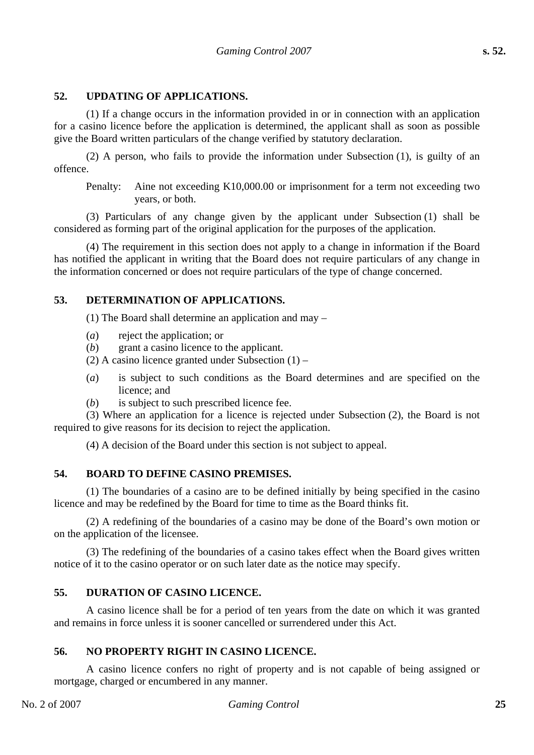## **52. UPDATING OF APPLICATIONS.**

(1) If a change occurs in the information provided in or in connection with an application for a casino licence before the application is determined, the applicant shall as soon as possible give the Board written particulars of the change verified by statutory declaration.

(2) A person, who fails to provide the information under Subsection (1), is guilty of an offence.

Penalty: Aine not exceeding K10,000.00 or imprisonment for a term not exceeding two years, or both.

(3) Particulars of any change given by the applicant under Subsection (1) shall be considered as forming part of the original application for the purposes of the application.

(4) The requirement in this section does not apply to a change in information if the Board has notified the applicant in writing that the Board does not require particulars of any change in the information concerned or does not require particulars of the type of change concerned.

#### **53. DETERMINATION OF APPLICATIONS.**

(1) The Board shall determine an application and may –

- (*a*) reject the application; or
- (*b*) grant a casino licence to the applicant.
- (2) A casino licence granted under Subsection  $(1)$  –
- (*a*) is subject to such conditions as the Board determines and are specified on the licence; and
- (*b*) is subject to such prescribed licence fee.

(3) Where an application for a licence is rejected under Subsection (2), the Board is not required to give reasons for its decision to reject the application.

(4) A decision of the Board under this section is not subject to appeal.

## **54. BOARD TO DEFINE CASINO PREMISES.**

(1) The boundaries of a casino are to be defined initially by being specified in the casino licence and may be redefined by the Board for time to time as the Board thinks fit.

(2) A redefining of the boundaries of a casino may be done of the Board's own motion or on the application of the licensee.

(3) The redefining of the boundaries of a casino takes effect when the Board gives written notice of it to the casino operator or on such later date as the notice may specify.

#### **55. DURATION OF CASINO LICENCE.**

A casino licence shall be for a period of ten years from the date on which it was granted and remains in force unless it is sooner cancelled or surrendered under this Act.

## **56. NO PROPERTY RIGHT IN CASINO LICENCE.**

A casino licence confers no right of property and is not capable of being assigned or mortgage, charged or encumbered in any manner.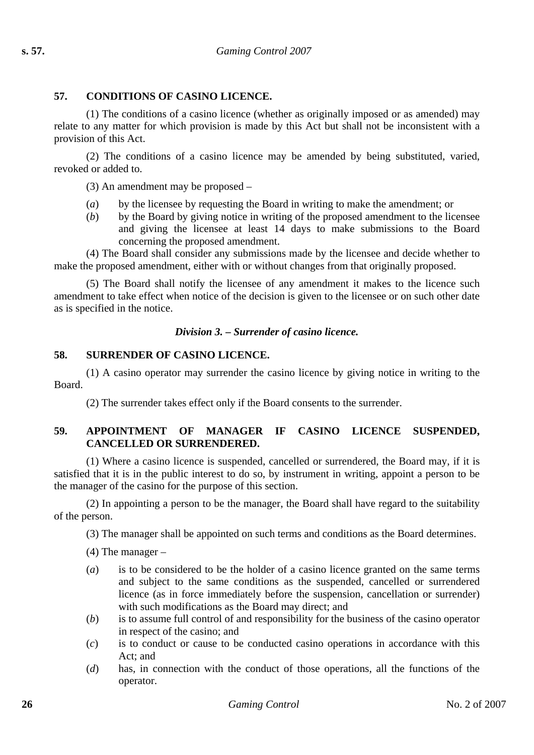## **57. CONDITIONS OF CASINO LICENCE.**

(1) The conditions of a casino licence (whether as originally imposed or as amended) may relate to any matter for which provision is made by this Act but shall not be inconsistent with a provision of this Act.

(2) The conditions of a casino licence may be amended by being substituted, varied, revoked or added to.

(3) An amendment may be proposed –

- (*a*) by the licensee by requesting the Board in writing to make the amendment; or
- (*b*) by the Board by giving notice in writing of the proposed amendment to the licensee and giving the licensee at least 14 days to make submissions to the Board concerning the proposed amendment.

(4) The Board shall consider any submissions made by the licensee and decide whether to make the proposed amendment, either with or without changes from that originally proposed.

(5) The Board shall notify the licensee of any amendment it makes to the licence such amendment to take effect when notice of the decision is given to the licensee or on such other date as is specified in the notice.

#### *Division 3. – Surrender of casino licence.*

#### **58. SURRENDER OF CASINO LICENCE.**

(1) A casino operator may surrender the casino licence by giving notice in writing to the Board.

(2) The surrender takes effect only if the Board consents to the surrender.

## **59. APPOINTMENT OF MANAGER IF CASINO LICENCE SUSPENDED, CANCELLED OR SURRENDERED.**

(1) Where a casino licence is suspended, cancelled or surrendered, the Board may, if it is satisfied that it is in the public interest to do so, by instrument in writing, appoint a person to be the manager of the casino for the purpose of this section.

(2) In appointing a person to be the manager, the Board shall have regard to the suitability of the person.

(3) The manager shall be appointed on such terms and conditions as the Board determines.

 $(4)$  The manager –

- (*a*) is to be considered to be the holder of a casino licence granted on the same terms and subject to the same conditions as the suspended, cancelled or surrendered licence (as in force immediately before the suspension, cancellation or surrender) with such modifications as the Board may direct; and
- (*b*) is to assume full control of and responsibility for the business of the casino operator in respect of the casino; and
- (*c*) is to conduct or cause to be conducted casino operations in accordance with this Act; and
- (*d*) has, in connection with the conduct of those operations, all the functions of the operator.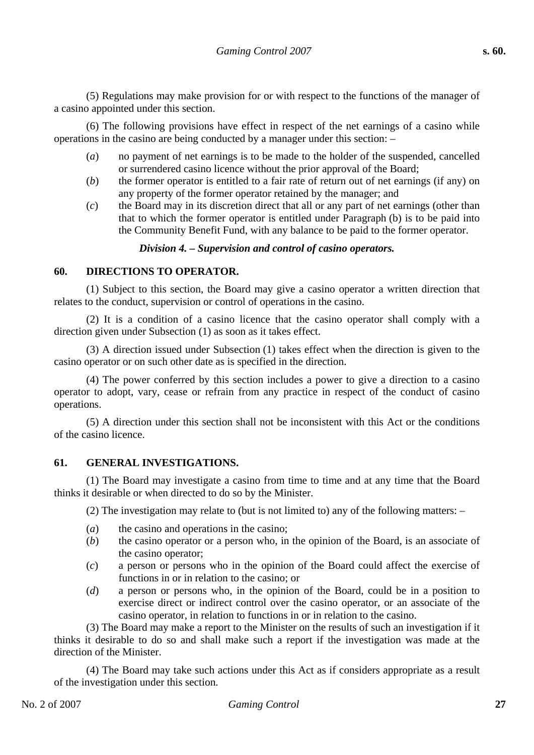(5) Regulations may make provision for or with respect to the functions of the manager of a casino appointed under this section.

(6) The following provisions have effect in respect of the net earnings of a casino while operations in the casino are being conducted by a manager under this section: –

- (*a*) no payment of net earnings is to be made to the holder of the suspended, cancelled or surrendered casino licence without the prior approval of the Board;
- (*b*) the former operator is entitled to a fair rate of return out of net earnings (if any) on any property of the former operator retained by the manager; and
- (*c*) the Board may in its discretion direct that all or any part of net earnings (other than that to which the former operator is entitled under Paragraph (b) is to be paid into the Community Benefit Fund, with any balance to be paid to the former operator.

#### *Division 4. – Supervision and control of casino operators.*

## **60. DIRECTIONS TO OPERATOR.**

(1) Subject to this section, the Board may give a casino operator a written direction that relates to the conduct, supervision or control of operations in the casino.

(2) It is a condition of a casino licence that the casino operator shall comply with a direction given under Subsection (1) as soon as it takes effect.

(3) A direction issued under Subsection (1) takes effect when the direction is given to the casino operator or on such other date as is specified in the direction.

(4) The power conferred by this section includes a power to give a direction to a casino operator to adopt, vary, cease or refrain from any practice in respect of the conduct of casino operations.

(5) A direction under this section shall not be inconsistent with this Act or the conditions of the casino licence.

#### **61. GENERAL INVESTIGATIONS.**

(1) The Board may investigate a casino from time to time and at any time that the Board thinks it desirable or when directed to do so by the Minister.

(2) The investigation may relate to (but is not limited to) any of the following matters: –

- (*a*) the casino and operations in the casino;
- (*b*) the casino operator or a person who, in the opinion of the Board, is an associate of the casino operator;
- (*c*) a person or persons who in the opinion of the Board could affect the exercise of functions in or in relation to the casino; or
- (*d*) a person or persons who, in the opinion of the Board, could be in a position to exercise direct or indirect control over the casino operator, or an associate of the casino operator, in relation to functions in or in relation to the casino.

(3) The Board may make a report to the Minister on the results of such an investigation if it thinks it desirable to do so and shall make such a report if the investigation was made at the direction of the Minister.

(4) The Board may take such actions under this Act as if considers appropriate as a result of the investigation under this section.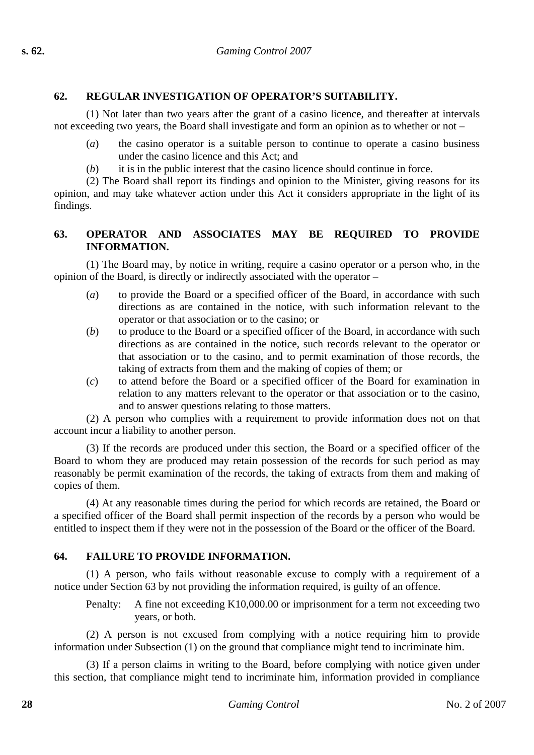# **62. REGULAR INVESTIGATION OF OPERATOR'S SUITABILITY.**

(1) Not later than two years after the grant of a casino licence, and thereafter at intervals not exceeding two years, the Board shall investigate and form an opinion as to whether or not –

- (*a*) the casino operator is a suitable person to continue to operate a casino business under the casino licence and this Act; and
- (*b*) it is in the public interest that the casino licence should continue in force.

(2) The Board shall report its findings and opinion to the Minister, giving reasons for its opinion, and may take whatever action under this Act it considers appropriate in the light of its findings.

## **63. OPERATOR AND ASSOCIATES MAY BE REQUIRED TO PROVIDE INFORMATION.**

(1) The Board may, by notice in writing, require a casino operator or a person who, in the opinion of the Board, is directly or indirectly associated with the operator –

- (*a*) to provide the Board or a specified officer of the Board, in accordance with such directions as are contained in the notice, with such information relevant to the operator or that association or to the casino; or
- (*b*) to produce to the Board or a specified officer of the Board, in accordance with such directions as are contained in the notice, such records relevant to the operator or that association or to the casino, and to permit examination of those records, the taking of extracts from them and the making of copies of them; or
- (*c*) to attend before the Board or a specified officer of the Board for examination in relation to any matters relevant to the operator or that association or to the casino, and to answer questions relating to those matters.

(2) A person who complies with a requirement to provide information does not on that account incur a liability to another person.

(3) If the records are produced under this section, the Board or a specified officer of the Board to whom they are produced may retain possession of the records for such period as may reasonably be permit examination of the records, the taking of extracts from them and making of copies of them.

(4) At any reasonable times during the period for which records are retained, the Board or a specified officer of the Board shall permit inspection of the records by a person who would be entitled to inspect them if they were not in the possession of the Board or the officer of the Board.

# **64. FAILURE TO PROVIDE INFORMATION.**

(1) A person, who fails without reasonable excuse to comply with a requirement of a notice under Section 63 by not providing the information required, is guilty of an offence.

Penalty: A fine not exceeding K10,000.00 or imprisonment for a term not exceeding two years, or both.

(2) A person is not excused from complying with a notice requiring him to provide information under Subsection (1) on the ground that compliance might tend to incriminate him.

(3) If a person claims in writing to the Board, before complying with notice given under this section, that compliance might tend to incriminate him, information provided in compliance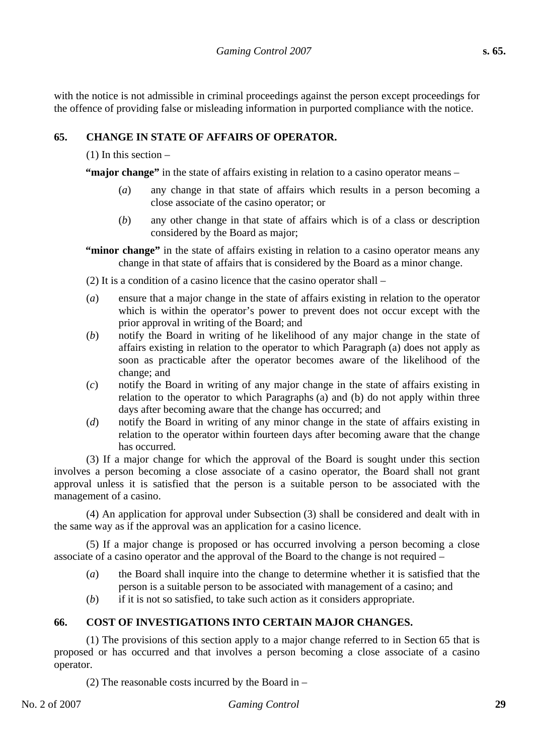with the notice is not admissible in criminal proceedings against the person except proceedings for the offence of providing false or misleading information in purported compliance with the notice.

# **65. CHANGE IN STATE OF AFFAIRS OF OPERATOR.**

## (1) In this section –

**"major change"** in the state of affairs existing in relation to a casino operator means –

- (*a*) any change in that state of affairs which results in a person becoming a close associate of the casino operator; or
- (*b*) any other change in that state of affairs which is of a class or description considered by the Board as major;

**"minor change"** in the state of affairs existing in relation to a casino operator means any change in that state of affairs that is considered by the Board as a minor change.

(2) It is a condition of a casino licence that the casino operator shall –

- (*a*) ensure that a major change in the state of affairs existing in relation to the operator which is within the operator's power to prevent does not occur except with the prior approval in writing of the Board; and
- (*b*) notify the Board in writing of he likelihood of any major change in the state of affairs existing in relation to the operator to which Paragraph (a) does not apply as soon as practicable after the operator becomes aware of the likelihood of the change; and
- (*c*) notify the Board in writing of any major change in the state of affairs existing in relation to the operator to which Paragraphs (a) and (b) do not apply within three days after becoming aware that the change has occurred; and
- (*d*) notify the Board in writing of any minor change in the state of affairs existing in relation to the operator within fourteen days after becoming aware that the change has occurred.

(3) If a major change for which the approval of the Board is sought under this section involves a person becoming a close associate of a casino operator, the Board shall not grant approval unless it is satisfied that the person is a suitable person to be associated with the management of a casino.

(4) An application for approval under Subsection (3) shall be considered and dealt with in the same way as if the approval was an application for a casino licence.

(5) If a major change is proposed or has occurred involving a person becoming a close associate of a casino operator and the approval of the Board to the change is not required –

- (*a*) the Board shall inquire into the change to determine whether it is satisfied that the person is a suitable person to be associated with management of a casino; and
- (*b*) if it is not so satisfied, to take such action as it considers appropriate.

# **66. COST OF INVESTIGATIONS INTO CERTAIN MAJOR CHANGES.**

(1) The provisions of this section apply to a major change referred to in Section 65 that is proposed or has occurred and that involves a person becoming a close associate of a casino operator.

(2) The reasonable costs incurred by the Board in –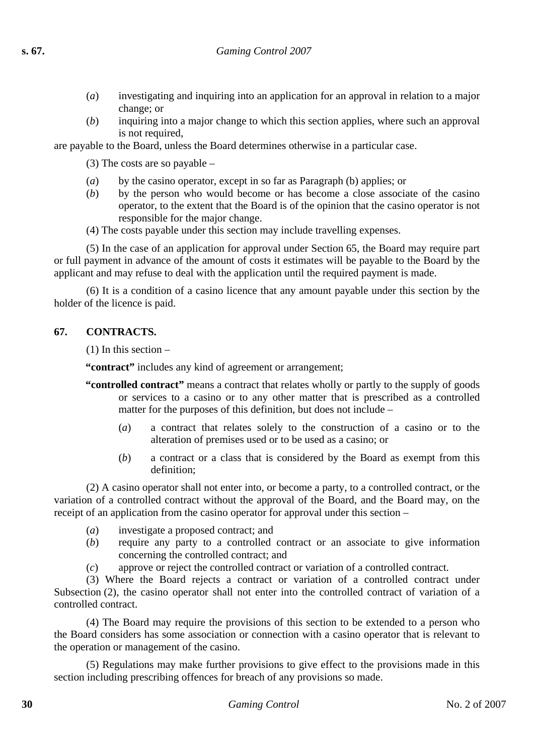- (*a*) investigating and inquiring into an application for an approval in relation to a major change; or
- (*b*) inquiring into a major change to which this section applies, where such an approval is not required,

are payable to the Board, unless the Board determines otherwise in a particular case.

(3) The costs are so payable –

- (*a*) by the casino operator, except in so far as Paragraph (b) applies; or
- (*b*) by the person who would become or has become a close associate of the casino operator, to the extent that the Board is of the opinion that the casino operator is not responsible for the major change.
- (4) The costs payable under this section may include travelling expenses.

(5) In the case of an application for approval under Section 65, the Board may require part or full payment in advance of the amount of costs it estimates will be payable to the Board by the applicant and may refuse to deal with the application until the required payment is made.

(6) It is a condition of a casino licence that any amount payable under this section by the holder of the licence is paid.

## **67. CONTRACTS.**

(1) In this section –

**"contract"** includes any kind of agreement or arrangement;

- **"controlled contract"** means a contract that relates wholly or partly to the supply of goods or services to a casino or to any other matter that is prescribed as a controlled matter for the purposes of this definition, but does not include –
	- (*a*) a contract that relates solely to the construction of a casino or to the alteration of premises used or to be used as a casino; or
	- (*b*) a contract or a class that is considered by the Board as exempt from this definition;

(2) A casino operator shall not enter into, or become a party, to a controlled contract, or the variation of a controlled contract without the approval of the Board, and the Board may, on the receipt of an application from the casino operator for approval under this section –

- (*a*) investigate a proposed contract; and
- (*b*) require any party to a controlled contract or an associate to give information concerning the controlled contract; and
- (*c*) approve or reject the controlled contract or variation of a controlled contract.

(3) Where the Board rejects a contract or variation of a controlled contract under Subsection (2), the casino operator shall not enter into the controlled contract of variation of a controlled contract.

(4) The Board may require the provisions of this section to be extended to a person who the Board considers has some association or connection with a casino operator that is relevant to the operation or management of the casino.

(5) Regulations may make further provisions to give effect to the provisions made in this section including prescribing offences for breach of any provisions so made.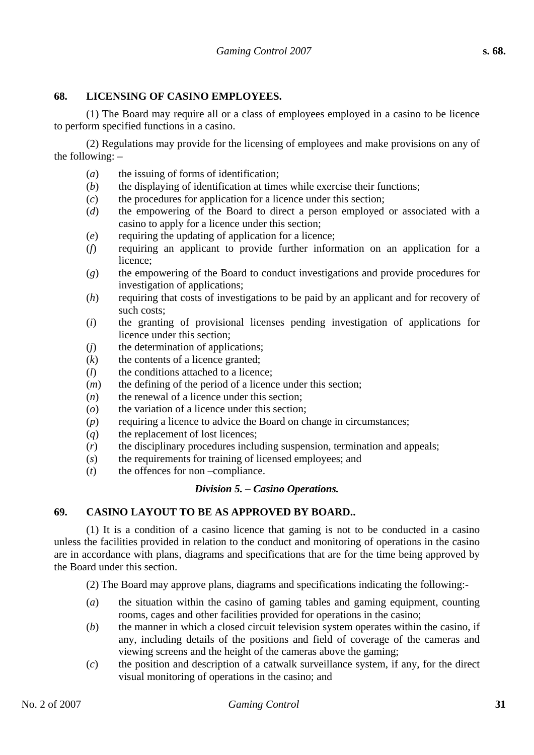#### **68. LICENSING OF CASINO EMPLOYEES.**

(1) The Board may require all or a class of employees employed in a casino to be licence to perform specified functions in a casino.

(2) Regulations may provide for the licensing of employees and make provisions on any of the following: –

- (*a*) the issuing of forms of identification;
- (*b*) the displaying of identification at times while exercise their functions;
- (*c*) the procedures for application for a licence under this section;
- (*d*) the empowering of the Board to direct a person employed or associated with a casino to apply for a licence under this section;
- (*e*) requiring the updating of application for a licence;
- (*f*) requiring an applicant to provide further information on an application for a licence;
- (*g*) the empowering of the Board to conduct investigations and provide procedures for investigation of applications;
- (*h*) requiring that costs of investigations to be paid by an applicant and for recovery of such costs;
- (*i*) the granting of provisional licenses pending investigation of applications for licence under this section;
- (*j*) the determination of applications;
- $(k)$  the contents of a licence granted:
- (*l*) the conditions attached to a licence;
- (*m*) the defining of the period of a licence under this section;
- (*n*) the renewal of a licence under this section;
- (*o*) the variation of a licence under this section;
- (*p*) requiring a licence to advice the Board on change in circumstances;
- (*q*) the replacement of lost licences;
- (*r*) the disciplinary procedures including suspension, termination and appeals;
- (*s*) the requirements for training of licensed employees; and
- (*t*) the offences for non –compliance.

#### *Division 5. – Casino Operations.*

## **69. CASINO LAYOUT TO BE AS APPROVED BY BOARD..**

(1) It is a condition of a casino licence that gaming is not to be conducted in a casino unless the facilities provided in relation to the conduct and monitoring of operations in the casino are in accordance with plans, diagrams and specifications that are for the time being approved by the Board under this section.

(2) The Board may approve plans, diagrams and specifications indicating the following:-

- (*a*) the situation within the casino of gaming tables and gaming equipment, counting rooms, cages and other facilities provided for operations in the casino;
- (*b*) the manner in which a closed circuit television system operates within the casino, if any, including details of the positions and field of coverage of the cameras and viewing screens and the height of the cameras above the gaming;
- (*c*) the position and description of a catwalk surveillance system, if any, for the direct visual monitoring of operations in the casino; and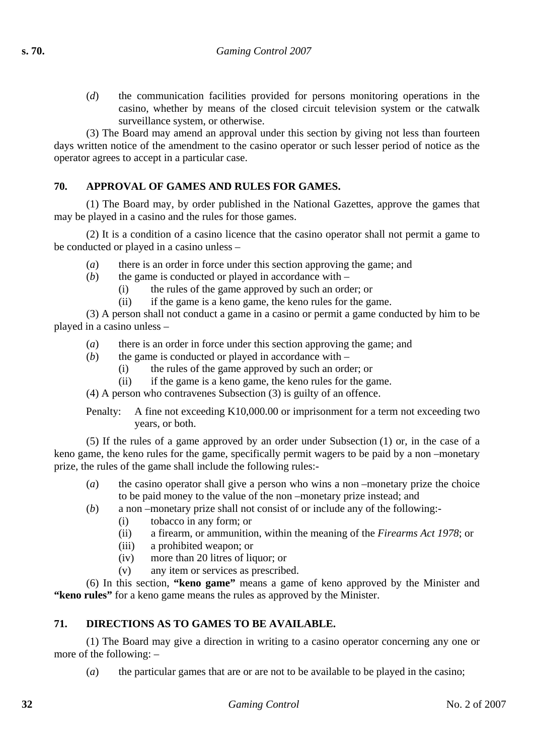(*d*) the communication facilities provided for persons monitoring operations in the casino, whether by means of the closed circuit television system or the catwalk surveillance system, or otherwise.

(3) The Board may amend an approval under this section by giving not less than fourteen days written notice of the amendment to the casino operator or such lesser period of notice as the operator agrees to accept in a particular case.

## **70. APPROVAL OF GAMES AND RULES FOR GAMES.**

(1) The Board may, by order published in the National Gazettes, approve the games that may be played in a casino and the rules for those games.

(2) It is a condition of a casino licence that the casino operator shall not permit a game to be conducted or played in a casino unless –

- (*a*) there is an order in force under this section approving the game; and
- (*b*) the game is conducted or played in accordance with
	- (i) the rules of the game approved by such an order; or
	- (ii) if the game is a keno game, the keno rules for the game.

(3) A person shall not conduct a game in a casino or permit a game conducted by him to be played in a casino unless –

- (*a*) there is an order in force under this section approving the game; and
- (*b*) the game is conducted or played in accordance with
	- (i) the rules of the game approved by such an order; or
	- (ii) if the game is a keno game, the keno rules for the game.

(4) A person who contravenes Subsection (3) is guilty of an offence.

Penalty: A fine not exceeding K10,000.00 or imprisonment for a term not exceeding two years, or both.

(5) If the rules of a game approved by an order under Subsection (1) or, in the case of a keno game, the keno rules for the game, specifically permit wagers to be paid by a non –monetary prize, the rules of the game shall include the following rules:-

- (*a*) the casino operator shall give a person who wins a non –monetary prize the choice to be paid money to the value of the non –monetary prize instead; and
- (*b*) a non –monetary prize shall not consist of or include any of the following:-
	- (i) tobacco in any form; or
	- (ii) a firearm, or ammunition, within the meaning of the *Firearms Act 1978*; or
	- (iii) a prohibited weapon; or
	- (iv) more than 20 litres of liquor; or
	- (v) any item or services as prescribed.

(6) In this section, **"keno game"** means a game of keno approved by the Minister and **"keno rules"** for a keno game means the rules as approved by the Minister.

## **71. DIRECTIONS AS TO GAMES TO BE AVAILABLE.**

(1) The Board may give a direction in writing to a casino operator concerning any one or more of the following: –

(*a*) the particular games that are or are not to be available to be played in the casino;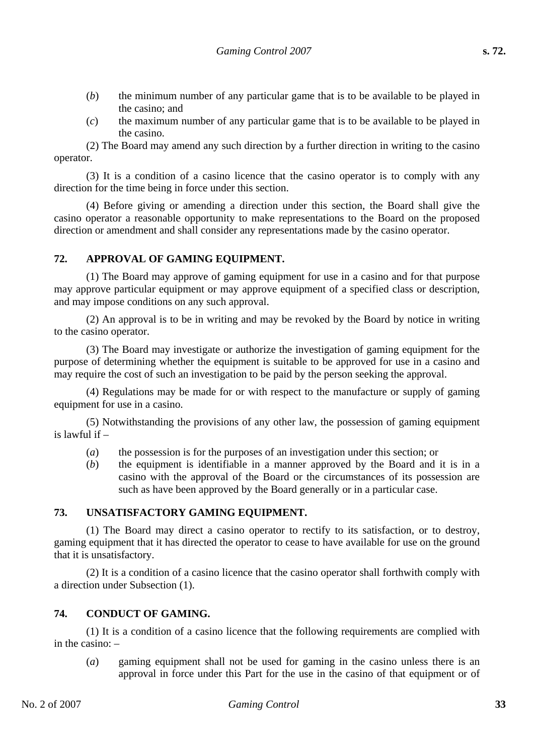- (*b*) the minimum number of any particular game that is to be available to be played in the casino; and
- (*c*) the maximum number of any particular game that is to be available to be played in the casino.

(2) The Board may amend any such direction by a further direction in writing to the casino operator.

(3) It is a condition of a casino licence that the casino operator is to comply with any direction for the time being in force under this section.

(4) Before giving or amending a direction under this section, the Board shall give the casino operator a reasonable opportunity to make representations to the Board on the proposed direction or amendment and shall consider any representations made by the casino operator.

#### **72. APPROVAL OF GAMING EQUIPMENT.**

(1) The Board may approve of gaming equipment for use in a casino and for that purpose may approve particular equipment or may approve equipment of a specified class or description, and may impose conditions on any such approval.

(2) An approval is to be in writing and may be revoked by the Board by notice in writing to the casino operator.

(3) The Board may investigate or authorize the investigation of gaming equipment for the purpose of determining whether the equipment is suitable to be approved for use in a casino and may require the cost of such an investigation to be paid by the person seeking the approval.

(4) Regulations may be made for or with respect to the manufacture or supply of gaming equipment for use in a casino.

(5) Notwithstanding the provisions of any other law, the possession of gaming equipment is lawful if –

- (*a*) the possession is for the purposes of an investigation under this section; or
- (*b*) the equipment is identifiable in a manner approved by the Board and it is in a casino with the approval of the Board or the circumstances of its possession are such as have been approved by the Board generally or in a particular case.

#### **73. UNSATISFACTORY GAMING EQUIPMENT.**

(1) The Board may direct a casino operator to rectify to its satisfaction, or to destroy, gaming equipment that it has directed the operator to cease to have available for use on the ground that it is unsatisfactory.

(2) It is a condition of a casino licence that the casino operator shall forthwith comply with a direction under Subsection (1).

# **74. CONDUCT OF GAMING.**

(1) It is a condition of a casino licence that the following requirements are complied with in the casino: –

(*a*) gaming equipment shall not be used for gaming in the casino unless there is an approval in force under this Part for the use in the casino of that equipment or of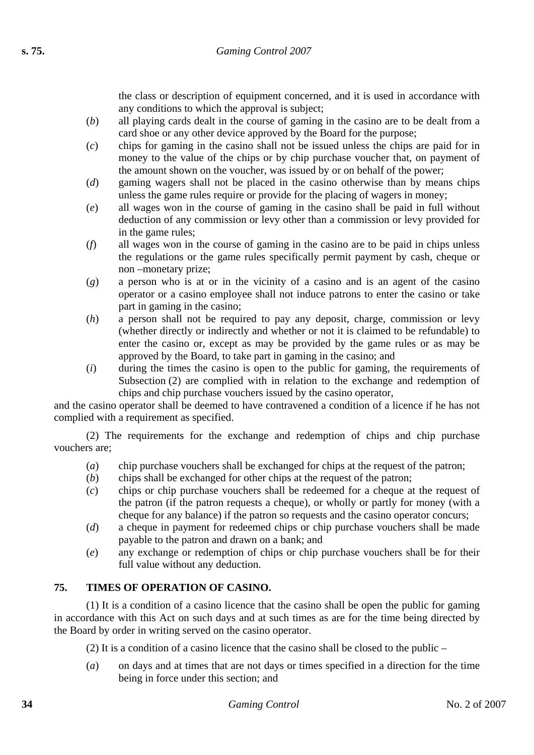the class or description of equipment concerned, and it is used in accordance with any conditions to which the approval is subject;

- (*b*) all playing cards dealt in the course of gaming in the casino are to be dealt from a card shoe or any other device approved by the Board for the purpose;
- (*c*) chips for gaming in the casino shall not be issued unless the chips are paid for in money to the value of the chips or by chip purchase voucher that, on payment of the amount shown on the voucher, was issued by or on behalf of the power;
- (*d*) gaming wagers shall not be placed in the casino otherwise than by means chips unless the game rules require or provide for the placing of wagers in money;
- (*e*) all wages won in the course of gaming in the casino shall be paid in full without deduction of any commission or levy other than a commission or levy provided for in the game rules;
- (*f*) all wages won in the course of gaming in the casino are to be paid in chips unless the regulations or the game rules specifically permit payment by cash, cheque or non –monetary prize;
- (*g*) a person who is at or in the vicinity of a casino and is an agent of the casino operator or a casino employee shall not induce patrons to enter the casino or take part in gaming in the casino;
- (*h*) a person shall not be required to pay any deposit, charge, commission or levy (whether directly or indirectly and whether or not it is claimed to be refundable) to enter the casino or, except as may be provided by the game rules or as may be approved by the Board, to take part in gaming in the casino; and
- (*i*) during the times the casino is open to the public for gaming, the requirements of Subsection (2) are complied with in relation to the exchange and redemption of chips and chip purchase vouchers issued by the casino operator,

and the casino operator shall be deemed to have contravened a condition of a licence if he has not complied with a requirement as specified.

(2) The requirements for the exchange and redemption of chips and chip purchase vouchers are;

- (*a*) chip purchase vouchers shall be exchanged for chips at the request of the patron;
- (*b*) chips shall be exchanged for other chips at the request of the patron;
- (*c*) chips or chip purchase vouchers shall be redeemed for a cheque at the request of the patron (if the patron requests a cheque), or wholly or partly for money (with a cheque for any balance) if the patron so requests and the casino operator concurs;
- (*d*) a cheque in payment for redeemed chips or chip purchase vouchers shall be made payable to the patron and drawn on a bank; and
- (*e*) any exchange or redemption of chips or chip purchase vouchers shall be for their full value without any deduction.

# **75. TIMES OF OPERATION OF CASINO.**

(1) It is a condition of a casino licence that the casino shall be open the public for gaming in accordance with this Act on such days and at such times as are for the time being directed by the Board by order in writing served on the casino operator.

(2) It is a condition of a casino licence that the casino shall be closed to the public –

(*a*) on days and at times that are not days or times specified in a direction for the time being in force under this section; and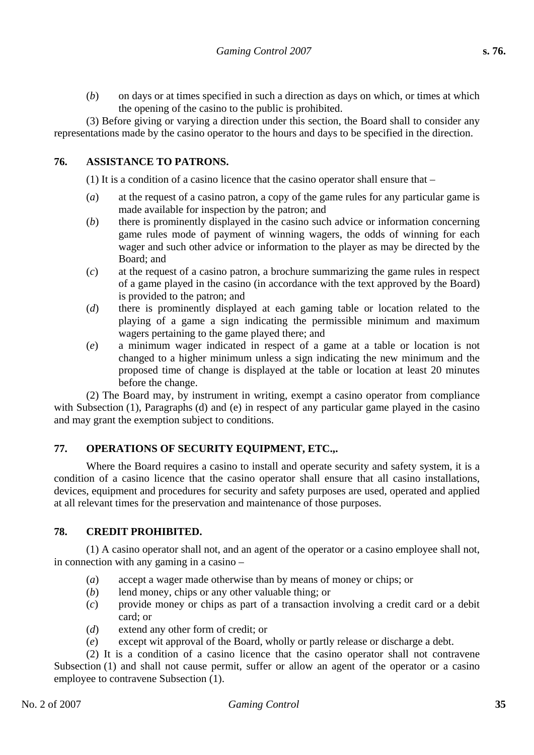(*b*) on days or at times specified in such a direction as days on which, or times at which the opening of the casino to the public is prohibited.

(3) Before giving or varying a direction under this section, the Board shall to consider any representations made by the casino operator to the hours and days to be specified in the direction.

## **76. ASSISTANCE TO PATRONS.**

(1) It is a condition of a casino licence that the casino operator shall ensure that –

- (*a*) at the request of a casino patron, a copy of the game rules for any particular game is made available for inspection by the patron; and
- (*b*) there is prominently displayed in the casino such advice or information concerning game rules mode of payment of winning wagers, the odds of winning for each wager and such other advice or information to the player as may be directed by the Board; and
- (*c*) at the request of a casino patron, a brochure summarizing the game rules in respect of a game played in the casino (in accordance with the text approved by the Board) is provided to the patron; and
- (*d*) there is prominently displayed at each gaming table or location related to the playing of a game a sign indicating the permissible minimum and maximum wagers pertaining to the game played there; and
- (*e*) a minimum wager indicated in respect of a game at a table or location is not changed to a higher minimum unless a sign indicating the new minimum and the proposed time of change is displayed at the table or location at least 20 minutes before the change.

(2) The Board may, by instrument in writing, exempt a casino operator from compliance with Subsection (1), Paragraphs (d) and (e) in respect of any particular game played in the casino and may grant the exemption subject to conditions.

# **77. OPERATIONS OF SECURITY EQUIPMENT, ETC.,.**

Where the Board requires a casino to install and operate security and safety system, it is a condition of a casino licence that the casino operator shall ensure that all casino installations, devices, equipment and procedures for security and safety purposes are used, operated and applied at all relevant times for the preservation and maintenance of those purposes.

## **78. CREDIT PROHIBITED.**

(1) A casino operator shall not, and an agent of the operator or a casino employee shall not, in connection with any gaming in a casino –

- (*a*) accept a wager made otherwise than by means of money or chips; or
- (*b*) lend money, chips or any other valuable thing; or
- (*c*) provide money or chips as part of a transaction involving a credit card or a debit card; or
- (*d*) extend any other form of credit; or
- (*e*) except wit approval of the Board, wholly or partly release or discharge a debt.

(2) It is a condition of a casino licence that the casino operator shall not contravene Subsection (1) and shall not cause permit, suffer or allow an agent of the operator or a casino employee to contravene Subsection (1).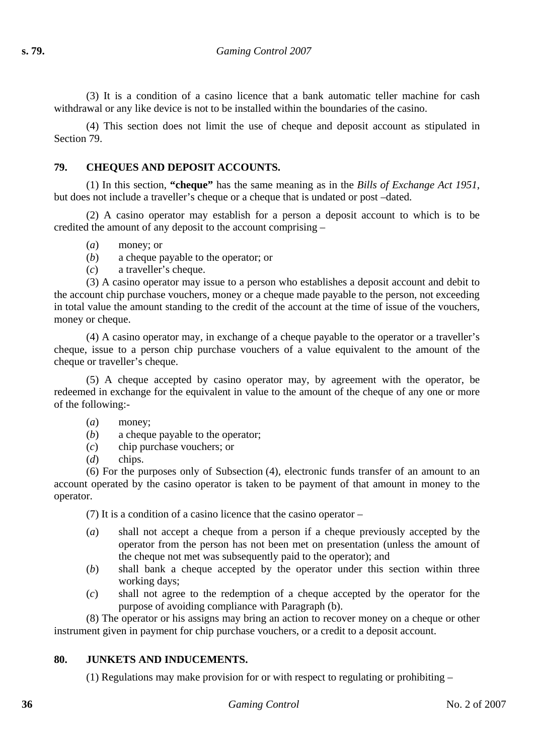(3) It is a condition of a casino licence that a bank automatic teller machine for cash withdrawal or any like device is not to be installed within the boundaries of the casino.

(4) This section does not limit the use of cheque and deposit account as stipulated in Section 79.

## **79. CHEQUES AND DEPOSIT ACCOUNTS.**

(1) In this section, **"cheque"** has the same meaning as in the *Bills of Exchange Act 1951*, but does not include a traveller's cheque or a cheque that is undated or post –dated.

(2) A casino operator may establish for a person a deposit account to which is to be credited the amount of any deposit to the account comprising –

- (*a*) money; or
- (*b*) a cheque payable to the operator; or
- (*c*) a traveller's cheque.

(3) A casino operator may issue to a person who establishes a deposit account and debit to the account chip purchase vouchers, money or a cheque made payable to the person, not exceeding in total value the amount standing to the credit of the account at the time of issue of the vouchers, money or cheque.

(4) A casino operator may, in exchange of a cheque payable to the operator or a traveller's cheque, issue to a person chip purchase vouchers of a value equivalent to the amount of the cheque or traveller's cheque.

(5) A cheque accepted by casino operator may, by agreement with the operator, be redeemed in exchange for the equivalent in value to the amount of the cheque of any one or more of the following:-

#### (*a*) money;

- (*b*) a cheque payable to the operator;
- (*c*) chip purchase vouchers; or
- (*d*) chips.

(6) For the purposes only of Subsection (4), electronic funds transfer of an amount to an account operated by the casino operator is taken to be payment of that amount in money to the operator.

(7) It is a condition of a casino licence that the casino operator –

- (*a*) shall not accept a cheque from a person if a cheque previously accepted by the operator from the person has not been met on presentation (unless the amount of the cheque not met was subsequently paid to the operator); and
- (*b*) shall bank a cheque accepted by the operator under this section within three working days;
- (*c*) shall not agree to the redemption of a cheque accepted by the operator for the purpose of avoiding compliance with Paragraph (b).

(8) The operator or his assigns may bring an action to recover money on a cheque or other instrument given in payment for chip purchase vouchers, or a credit to a deposit account.

#### **80. JUNKETS AND INDUCEMENTS.**

(1) Regulations may make provision for or with respect to regulating or prohibiting –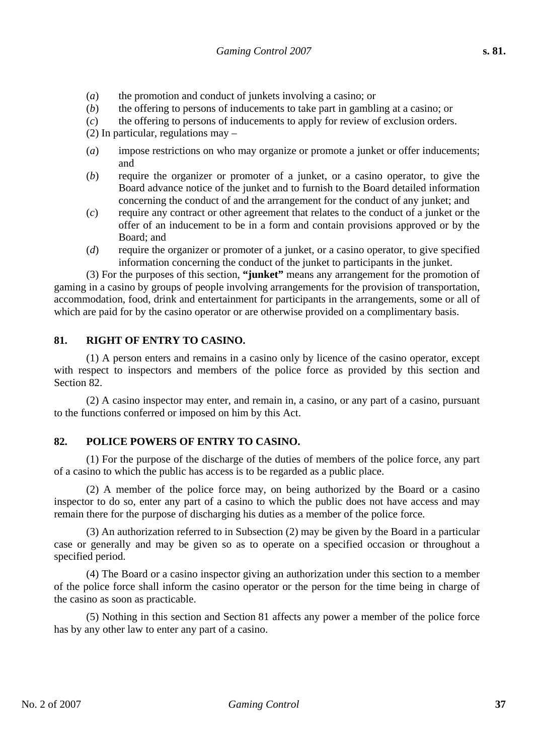- (*a*) the promotion and conduct of junkets involving a casino; or
- (*b*) the offering to persons of inducements to take part in gambling at a casino; or
- (*c*) the offering to persons of inducements to apply for review of exclusion orders.

(2) In particular, regulations may –

- (*a*) impose restrictions on who may organize or promote a junket or offer inducements; and
- (*b*) require the organizer or promoter of a junket, or a casino operator, to give the Board advance notice of the junket and to furnish to the Board detailed information concerning the conduct of and the arrangement for the conduct of any junket; and
- (*c*) require any contract or other agreement that relates to the conduct of a junket or the offer of an inducement to be in a form and contain provisions approved or by the Board; and
- (*d*) require the organizer or promoter of a junket, or a casino operator, to give specified information concerning the conduct of the junket to participants in the junket.

(3) For the purposes of this section, **"junket"** means any arrangement for the promotion of gaming in a casino by groups of people involving arrangements for the provision of transportation, accommodation, food, drink and entertainment for participants in the arrangements, some or all of which are paid for by the casino operator or are otherwise provided on a complimentary basis.

#### **81. RIGHT OF ENTRY TO CASINO.**

(1) A person enters and remains in a casino only by licence of the casino operator, except with respect to inspectors and members of the police force as provided by this section and Section 82.

(2) A casino inspector may enter, and remain in, a casino, or any part of a casino, pursuant to the functions conferred or imposed on him by this Act.

## **82. POLICE POWERS OF ENTRY TO CASINO.**

(1) For the purpose of the discharge of the duties of members of the police force, any part of a casino to which the public has access is to be regarded as a public place.

(2) A member of the police force may, on being authorized by the Board or a casino inspector to do so, enter any part of a casino to which the public does not have access and may remain there for the purpose of discharging his duties as a member of the police force.

(3) An authorization referred to in Subsection (2) may be given by the Board in a particular case or generally and may be given so as to operate on a specified occasion or throughout a specified period.

(4) The Board or a casino inspector giving an authorization under this section to a member of the police force shall inform the casino operator or the person for the time being in charge of the casino as soon as practicable.

(5) Nothing in this section and Section 81 affects any power a member of the police force has by any other law to enter any part of a casino.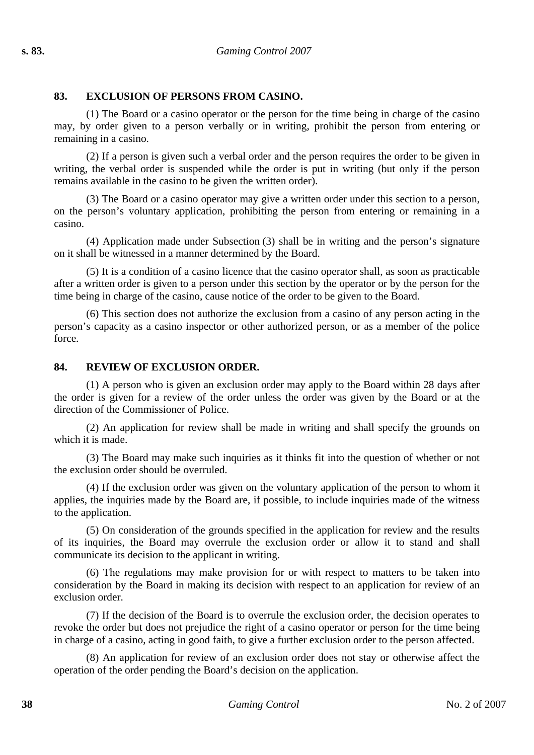## **83. EXCLUSION OF PERSONS FROM CASINO.**

(1) The Board or a casino operator or the person for the time being in charge of the casino may, by order given to a person verbally or in writing, prohibit the person from entering or remaining in a casino.

(2) If a person is given such a verbal order and the person requires the order to be given in writing, the verbal order is suspended while the order is put in writing (but only if the person remains available in the casino to be given the written order).

(3) The Board or a casino operator may give a written order under this section to a person, on the person's voluntary application, prohibiting the person from entering or remaining in a casino.

(4) Application made under Subsection (3) shall be in writing and the person's signature on it shall be witnessed in a manner determined by the Board.

(5) It is a condition of a casino licence that the casino operator shall, as soon as practicable after a written order is given to a person under this section by the operator or by the person for the time being in charge of the casino, cause notice of the order to be given to the Board.

(6) This section does not authorize the exclusion from a casino of any person acting in the person's capacity as a casino inspector or other authorized person, or as a member of the police force.

#### **84. REVIEW OF EXCLUSION ORDER.**

(1) A person who is given an exclusion order may apply to the Board within 28 days after the order is given for a review of the order unless the order was given by the Board or at the direction of the Commissioner of Police.

(2) An application for review shall be made in writing and shall specify the grounds on which it is made.

(3) The Board may make such inquiries as it thinks fit into the question of whether or not the exclusion order should be overruled.

(4) If the exclusion order was given on the voluntary application of the person to whom it applies, the inquiries made by the Board are, if possible, to include inquiries made of the witness to the application.

(5) On consideration of the grounds specified in the application for review and the results of its inquiries, the Board may overrule the exclusion order or allow it to stand and shall communicate its decision to the applicant in writing.

(6) The regulations may make provision for or with respect to matters to be taken into consideration by the Board in making its decision with respect to an application for review of an exclusion order.

(7) If the decision of the Board is to overrule the exclusion order, the decision operates to revoke the order but does not prejudice the right of a casino operator or person for the time being in charge of a casino, acting in good faith, to give a further exclusion order to the person affected.

(8) An application for review of an exclusion order does not stay or otherwise affect the operation of the order pending the Board's decision on the application.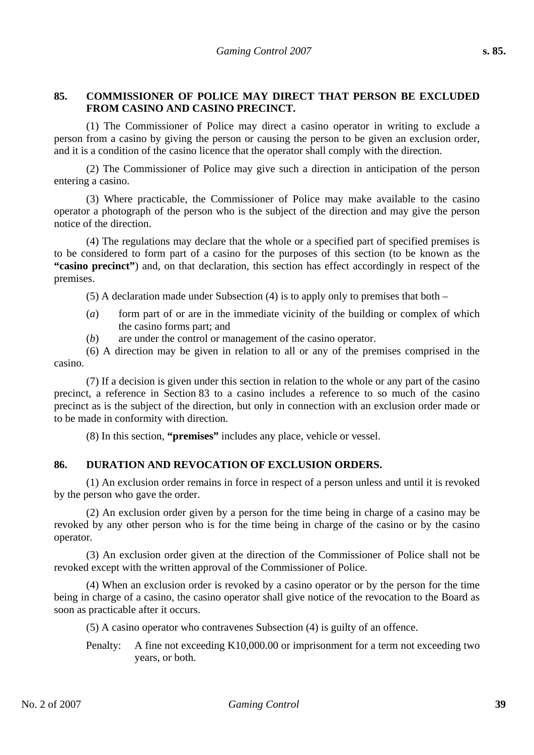## **85. COMMISSIONER OF POLICE MAY DIRECT THAT PERSON BE EXCLUDED FROM CASINO AND CASINO PRECINCT.**

(1) The Commissioner of Police may direct a casino operator in writing to exclude a person from a casino by giving the person or causing the person to be given an exclusion order, and it is a condition of the casino licence that the operator shall comply with the direction.

(2) The Commissioner of Police may give such a direction in anticipation of the person entering a casino.

(3) Where practicable, the Commissioner of Police may make available to the casino operator a photograph of the person who is the subject of the direction and may give the person notice of the direction.

(4) The regulations may declare that the whole or a specified part of specified premises is to be considered to form part of a casino for the purposes of this section (to be known as the **"casino precinct"**) and, on that declaration, this section has effect accordingly in respect of the premises.

(5) A declaration made under Subsection (4) is to apply only to premises that both –

- (*a*) form part of or are in the immediate vicinity of the building or complex of which the casino forms part; and
- (*b*) are under the control or management of the casino operator.

(6) A direction may be given in relation to all or any of the premises comprised in the casino.

(7) If a decision is given under this section in relation to the whole or any part of the casino precinct, a reference in Section 83 to a casino includes a reference to so much of the casino precinct as is the subject of the direction, but only in connection with an exclusion order made or to be made in conformity with direction.

(8) In this section, **"premises"** includes any place, vehicle or vessel.

## **86. DURATION AND REVOCATION OF EXCLUSION ORDERS.**

(1) An exclusion order remains in force in respect of a person unless and until it is revoked by the person who gave the order.

(2) An exclusion order given by a person for the time being in charge of a casino may be revoked by any other person who is for the time being in charge of the casino or by the casino operator.

(3) An exclusion order given at the direction of the Commissioner of Police shall not be revoked except with the written approval of the Commissioner of Police.

(4) When an exclusion order is revoked by a casino operator or by the person for the time being in charge of a casino, the casino operator shall give notice of the revocation to the Board as soon as practicable after it occurs.

(5) A casino operator who contravenes Subsection (4) is guilty of an offence.

Penalty: A fine not exceeding K10,000.00 or imprisonment for a term not exceeding two years, or both.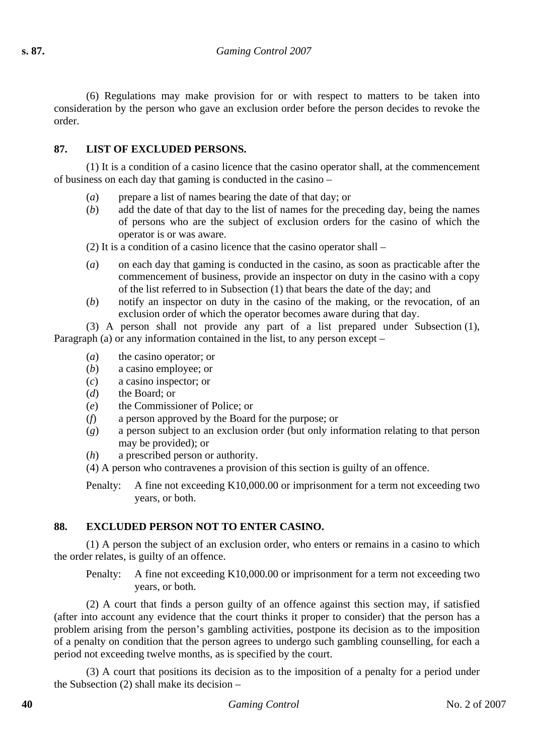(6) Regulations may make provision for or with respect to matters to be taken into consideration by the person who gave an exclusion order before the person decides to revoke the order.

## **87. LIST OF EXCLUDED PERSONS.**

(1) It is a condition of a casino licence that the casino operator shall, at the commencement of business on each day that gaming is conducted in the casino –

- (*a*) prepare a list of names bearing the date of that day; or
- (*b*) add the date of that day to the list of names for the preceding day, being the names of persons who are the subject of exclusion orders for the casino of which the operator is or was aware.
- (2) It is a condition of a casino licence that the casino operator shall –
- (*a*) on each day that gaming is conducted in the casino, as soon as practicable after the commencement of business, provide an inspector on duty in the casino with a copy of the list referred to in Subsection (1) that bears the date of the day; and
- (*b*) notify an inspector on duty in the casino of the making, or the revocation, of an exclusion order of which the operator becomes aware during that day.

(3) A person shall not provide any part of a list prepared under Subsection (1), Paragraph (a) or any information contained in the list, to any person except –

- (*a*) the casino operator; or
- (*b*) a casino employee; or
- (*c*) a casino inspector; or
- (*d*) the Board; or
- (*e*) the Commissioner of Police; or
- (*f*) a person approved by the Board for the purpose; or
- (*g*) a person subject to an exclusion order (but only information relating to that person may be provided); or
- (*h*) a prescribed person or authority.
- (4) A person who contravenes a provision of this section is guilty of an offence.

Penalty: A fine not exceeding K10,000.00 or imprisonment for a term not exceeding two years, or both.

## **88. EXCLUDED PERSON NOT TO ENTER CASINO.**

(1) A person the subject of an exclusion order, who enters or remains in a casino to which the order relates, is guilty of an offence.

Penalty: A fine not exceeding K10,000.00 or imprisonment for a term not exceeding two years, or both.

(2) A court that finds a person guilty of an offence against this section may, if satisfied (after into account any evidence that the court thinks it proper to consider) that the person has a problem arising from the person's gambling activities, postpone its decision as to the imposition of a penalty on condition that the person agrees to undergo such gambling counselling, for each a period not exceeding twelve months, as is specified by the court.

(3) A court that positions its decision as to the imposition of a penalty for a period under the Subsection  $(2)$  shall make its decision –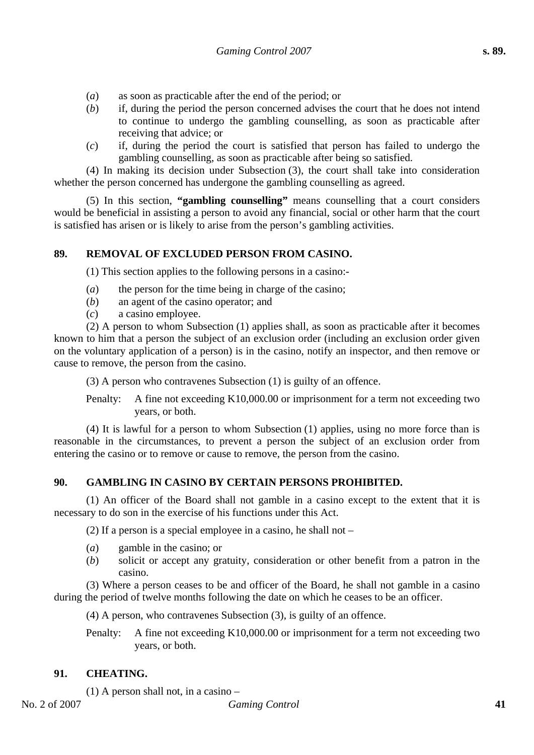- (*a*) as soon as practicable after the end of the period; or
- (*b*) if, during the period the person concerned advises the court that he does not intend to continue to undergo the gambling counselling, as soon as practicable after receiving that advice; or
- (*c*) if, during the period the court is satisfied that person has failed to undergo the gambling counselling, as soon as practicable after being so satisfied.

(4) In making its decision under Subsection (3), the court shall take into consideration whether the person concerned has undergone the gambling counselling as agreed.

(5) In this section, **"gambling counselling"** means counselling that a court considers would be beneficial in assisting a person to avoid any financial, social or other harm that the court is satisfied has arisen or is likely to arise from the person's gambling activities.

## **89. REMOVAL OF EXCLUDED PERSON FROM CASINO.**

(1) This section applies to the following persons in a casino:-

- (*a*) the person for the time being in charge of the casino;
- (*b*) an agent of the casino operator; and
- (*c*) a casino employee.

(2) A person to whom Subsection (1) applies shall, as soon as practicable after it becomes known to him that a person the subject of an exclusion order (including an exclusion order given on the voluntary application of a person) is in the casino, notify an inspector, and then remove or cause to remove, the person from the casino.

(3) A person who contravenes Subsection (1) is guilty of an offence.

Penalty: A fine not exceeding K10,000.00 or imprisonment for a term not exceeding two years, or both.

(4) It is lawful for a person to whom Subsection (1) applies, using no more force than is reasonable in the circumstances, to prevent a person the subject of an exclusion order from entering the casino or to remove or cause to remove, the person from the casino.

# **90. GAMBLING IN CASINO BY CERTAIN PERSONS PROHIBITED.**

(1) An officer of the Board shall not gamble in a casino except to the extent that it is necessary to do son in the exercise of his functions under this Act.

(2) If a person is a special employee in a casino, he shall not –

- (*a*) gamble in the casino; or
- (*b*) solicit or accept any gratuity, consideration or other benefit from a patron in the casino.

(3) Where a person ceases to be and officer of the Board, he shall not gamble in a casino during the period of twelve months following the date on which he ceases to be an officer.

(4) A person, who contravenes Subsection (3), is guilty of an offence.

Penalty: A fine not exceeding K10,000.00 or imprisonment for a term not exceeding two years, or both.

## **91. CHEATING.**

(1) A person shall not, in a casino –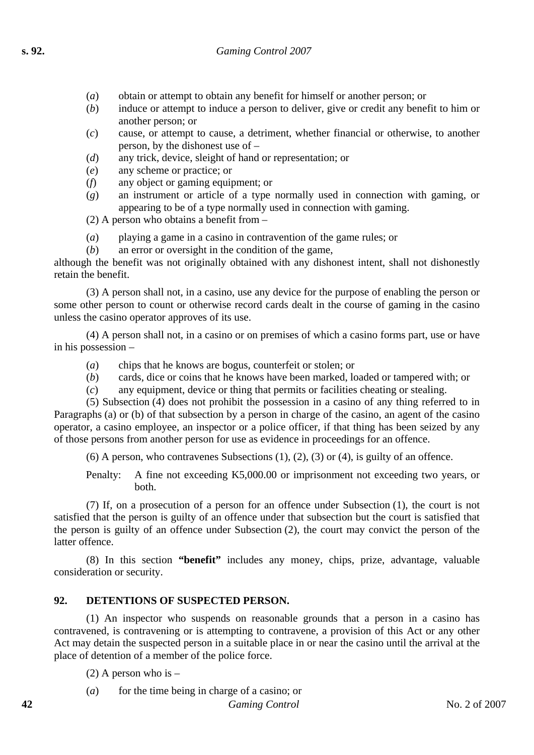- (*a*) obtain or attempt to obtain any benefit for himself or another person; or
- (*b*) induce or attempt to induce a person to deliver, give or credit any benefit to him or another person; or
- (*c*) cause, or attempt to cause, a detriment, whether financial or otherwise, to another person, by the dishonest use of –
- (*d*) any trick, device, sleight of hand or representation; or
- (*e*) any scheme or practice; or
- (*f*) any object or gaming equipment; or
- (*g*) an instrument or article of a type normally used in connection with gaming, or appearing to be of a type normally used in connection with gaming.

(2) A person who obtains a benefit from –

- (*a*) playing a game in a casino in contravention of the game rules; or
- (*b*) an error or oversight in the condition of the game,

although the benefit was not originally obtained with any dishonest intent, shall not dishonestly retain the benefit.

(3) A person shall not, in a casino, use any device for the purpose of enabling the person or some other person to count or otherwise record cards dealt in the course of gaming in the casino unless the casino operator approves of its use.

(4) A person shall not, in a casino or on premises of which a casino forms part, use or have in his possession –

- (*a*) chips that he knows are bogus, counterfeit or stolen; or
- (*b*) cards, dice or coins that he knows have been marked, loaded or tampered with; or
- (*c*) any equipment, device or thing that permits or facilities cheating or stealing.

(5) Subsection (4) does not prohibit the possession in a casino of any thing referred to in Paragraphs (a) or (b) of that subsection by a person in charge of the casino, an agent of the casino operator, a casino employee, an inspector or a police officer, if that thing has been seized by any of those persons from another person for use as evidence in proceedings for an offence.

(6) A person, who contravenes Subsections  $(1)$ ,  $(2)$ ,  $(3)$  or  $(4)$ , is guilty of an offence.

Penalty: A fine not exceeding K5,000.00 or imprisonment not exceeding two years, or both.

(7) If, on a prosecution of a person for an offence under Subsection (1), the court is not satisfied that the person is guilty of an offence under that subsection but the court is satisfied that the person is guilty of an offence under Subsection (2), the court may convict the person of the latter offence.

(8) In this section **"benefit"** includes any money, chips, prize, advantage, valuable consideration or security.

## **92. DETENTIONS OF SUSPECTED PERSON.**

(1) An inspector who suspends on reasonable grounds that a person in a casino has contravened, is contravening or is attempting to contravene, a provision of this Act or any other Act may detain the suspected person in a suitable place in or near the casino until the arrival at the place of detention of a member of the police force.

(2) A person who is –

(*a*) for the time being in charge of a casino; or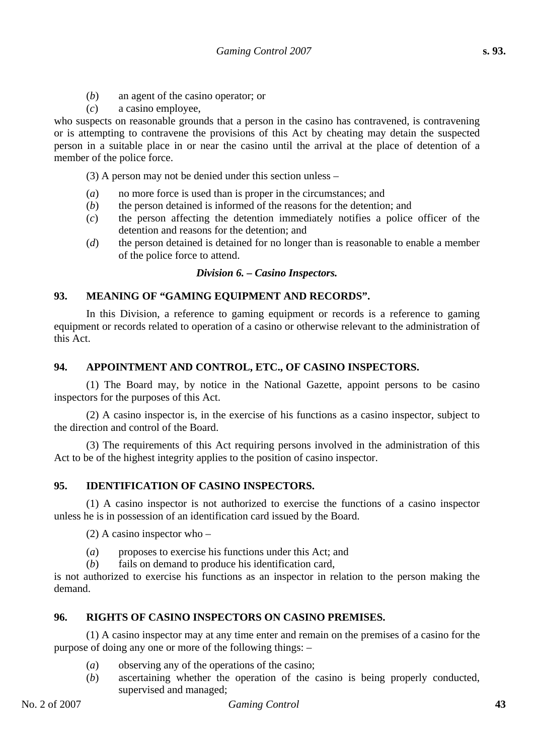- (*b*) an agent of the casino operator; or
- (*c*) a casino employee,

who suspects on reasonable grounds that a person in the casino has contravened, is contravening or is attempting to contravene the provisions of this Act by cheating may detain the suspected person in a suitable place in or near the casino until the arrival at the place of detention of a member of the police force.

(3) A person may not be denied under this section unless –

- (*a*) no more force is used than is proper in the circumstances; and
- (*b*) the person detained is informed of the reasons for the detention; and
- (*c*) the person affecting the detention immediately notifies a police officer of the detention and reasons for the detention; and
- (*d*) the person detained is detained for no longer than is reasonable to enable a member of the police force to attend.

#### *Division 6. – Casino Inspectors.*

#### **93. MEANING OF "GAMING EQUIPMENT AND RECORDS".**

In this Division, a reference to gaming equipment or records is a reference to gaming equipment or records related to operation of a casino or otherwise relevant to the administration of this Act.

#### **94. APPOINTMENT AND CONTROL, ETC., OF CASINO INSPECTORS.**

(1) The Board may, by notice in the National Gazette, appoint persons to be casino inspectors for the purposes of this Act.

(2) A casino inspector is, in the exercise of his functions as a casino inspector, subject to the direction and control of the Board.

(3) The requirements of this Act requiring persons involved in the administration of this Act to be of the highest integrity applies to the position of casino inspector.

### **95. IDENTIFICATION OF CASINO INSPECTORS.**

(1) A casino inspector is not authorized to exercise the functions of a casino inspector unless he is in possession of an identification card issued by the Board.

(2) A casino inspector who –

- (*a*) proposes to exercise his functions under this Act; and
- (*b*) fails on demand to produce his identification card,

is not authorized to exercise his functions as an inspector in relation to the person making the demand.

#### **96. RIGHTS OF CASINO INSPECTORS ON CASINO PREMISES.**

(1) A casino inspector may at any time enter and remain on the premises of a casino for the purpose of doing any one or more of the following things: –

- (*a*) observing any of the operations of the casino;
- (*b*) ascertaining whether the operation of the casino is being properly conducted, supervised and managed;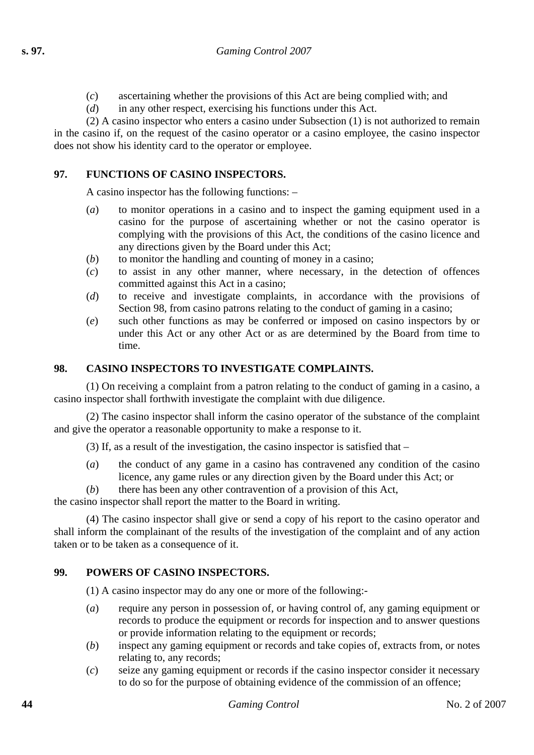- (*c*) ascertaining whether the provisions of this Act are being complied with; and
- (*d*) in any other respect, exercising his functions under this Act.

(2) A casino inspector who enters a casino under Subsection (1) is not authorized to remain in the casino if, on the request of the casino operator or a casino employee, the casino inspector does not show his identity card to the operator or employee.

# **97. FUNCTIONS OF CASINO INSPECTORS.**

A casino inspector has the following functions: –

- (*a*) to monitor operations in a casino and to inspect the gaming equipment used in a casino for the purpose of ascertaining whether or not the casino operator is complying with the provisions of this Act, the conditions of the casino licence and any directions given by the Board under this Act;
- (*b*) to monitor the handling and counting of money in a casino;
- (*c*) to assist in any other manner, where necessary, in the detection of offences committed against this Act in a casino;
- (*d*) to receive and investigate complaints, in accordance with the provisions of Section 98, from casino patrons relating to the conduct of gaming in a casino;
- (*e*) such other functions as may be conferred or imposed on casino inspectors by or under this Act or any other Act or as are determined by the Board from time to time.

# **98. CASINO INSPECTORS TO INVESTIGATE COMPLAINTS.**

(1) On receiving a complaint from a patron relating to the conduct of gaming in a casino, a casino inspector shall forthwith investigate the complaint with due diligence.

(2) The casino inspector shall inform the casino operator of the substance of the complaint and give the operator a reasonable opportunity to make a response to it.

(3) If, as a result of the investigation, the casino inspector is satisfied that –

(*a*) the conduct of any game in a casino has contravened any condition of the casino licence, any game rules or any direction given by the Board under this Act; or

(*b*) there has been any other contravention of a provision of this Act,

the casino inspector shall report the matter to the Board in writing.

(4) The casino inspector shall give or send a copy of his report to the casino operator and shall inform the complainant of the results of the investigation of the complaint and of any action taken or to be taken as a consequence of it.

## **99. POWERS OF CASINO INSPECTORS.**

(1) A casino inspector may do any one or more of the following:-

- (*a*) require any person in possession of, or having control of, any gaming equipment or records to produce the equipment or records for inspection and to answer questions or provide information relating to the equipment or records;
- (*b*) inspect any gaming equipment or records and take copies of, extracts from, or notes relating to, any records;
- (*c*) seize any gaming equipment or records if the casino inspector consider it necessary to do so for the purpose of obtaining evidence of the commission of an offence;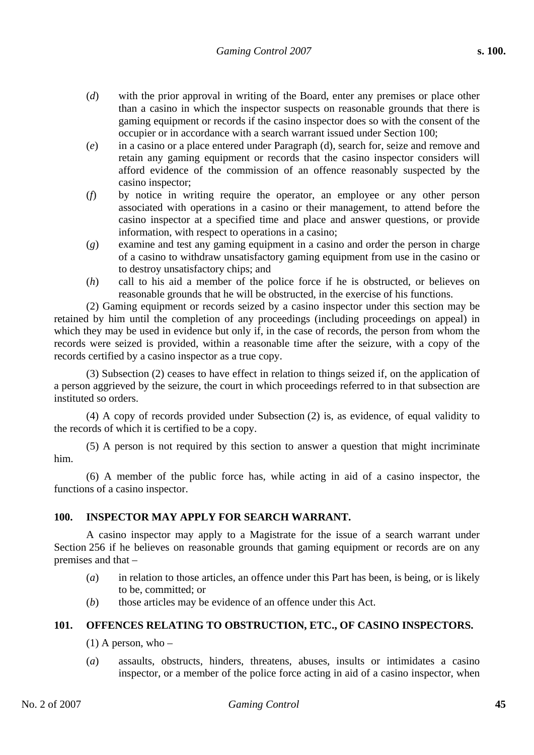- (*d*) with the prior approval in writing of the Board, enter any premises or place other than a casino in which the inspector suspects on reasonable grounds that there is gaming equipment or records if the casino inspector does so with the consent of the occupier or in accordance with a search warrant issued under Section 100;
- (*e*) in a casino or a place entered under Paragraph (d), search for, seize and remove and retain any gaming equipment or records that the casino inspector considers will afford evidence of the commission of an offence reasonably suspected by the casino inspector;
- (*f*) by notice in writing require the operator, an employee or any other person associated with operations in a casino or their management, to attend before the casino inspector at a specified time and place and answer questions, or provide information, with respect to operations in a casino;
- (*g*) examine and test any gaming equipment in a casino and order the person in charge of a casino to withdraw unsatisfactory gaming equipment from use in the casino or to destroy unsatisfactory chips; and
- (*h*) call to his aid a member of the police force if he is obstructed, or believes on reasonable grounds that he will be obstructed, in the exercise of his functions.

(2) Gaming equipment or records seized by a casino inspector under this section may be retained by him until the completion of any proceedings (including proceedings on appeal) in which they may be used in evidence but only if, in the case of records, the person from whom the records were seized is provided, within a reasonable time after the seizure, with a copy of the records certified by a casino inspector as a true copy.

(3) Subsection (2) ceases to have effect in relation to things seized if, on the application of a person aggrieved by the seizure, the court in which proceedings referred to in that subsection are instituted so orders.

(4) A copy of records provided under Subsection (2) is, as evidence, of equal validity to the records of which it is certified to be a copy.

(5) A person is not required by this section to answer a question that might incriminate him.

(6) A member of the public force has, while acting in aid of a casino inspector, the functions of a casino inspector.

## **100. INSPECTOR MAY APPLY FOR SEARCH WARRANT.**

A casino inspector may apply to a Magistrate for the issue of a search warrant under Section 256 if he believes on reasonable grounds that gaming equipment or records are on any premises and that –

- (*a*) in relation to those articles, an offence under this Part has been, is being, or is likely to be, committed; or
- (*b*) those articles may be evidence of an offence under this Act.

## **101. OFFENCES RELATING TO OBSTRUCTION, ETC., OF CASINO INSPECTORS.**

- $(1)$  A person, who –
- (*a*) assaults, obstructs, hinders, threatens, abuses, insults or intimidates a casino inspector, or a member of the police force acting in aid of a casino inspector, when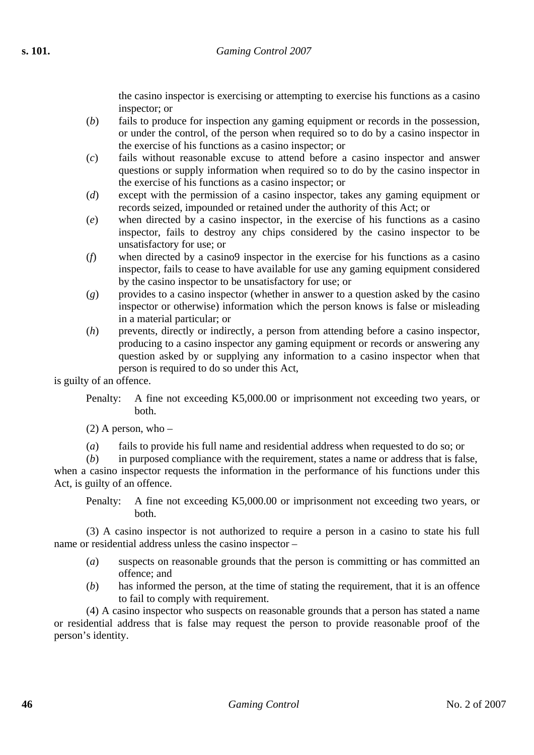the casino inspector is exercising or attempting to exercise his functions as a casino inspector; or

- (*b*) fails to produce for inspection any gaming equipment or records in the possession, or under the control, of the person when required so to do by a casino inspector in the exercise of his functions as a casino inspector; or
- (*c*) fails without reasonable excuse to attend before a casino inspector and answer questions or supply information when required so to do by the casino inspector in the exercise of his functions as a casino inspector; or
- (*d*) except with the permission of a casino inspector, takes any gaming equipment or records seized, impounded or retained under the authority of this Act; or
- (*e*) when directed by a casino inspector, in the exercise of his functions as a casino inspector, fails to destroy any chips considered by the casino inspector to be unsatisfactory for use; or
- (*f*) when directed by a casino9 inspector in the exercise for his functions as a casino inspector, fails to cease to have available for use any gaming equipment considered by the casino inspector to be unsatisfactory for use; or
- (*g*) provides to a casino inspector (whether in answer to a question asked by the casino inspector or otherwise) information which the person knows is false or misleading in a material particular; or
- (*h*) prevents, directly or indirectly, a person from attending before a casino inspector, producing to a casino inspector any gaming equipment or records or answering any question asked by or supplying any information to a casino inspector when that person is required to do so under this Act,

is guilty of an offence.

Penalty: A fine not exceeding K5,000.00 or imprisonment not exceeding two years, or both.

 $(2)$  A person, who –

(*a*) fails to provide his full name and residential address when requested to do so; or

(*b*) in purposed compliance with the requirement, states a name or address that is false, when a casino inspector requests the information in the performance of his functions under this Act, is guilty of an offence.

Penalty: A fine not exceeding K5,000.00 or imprisonment not exceeding two years, or both.

(3) A casino inspector is not authorized to require a person in a casino to state his full name or residential address unless the casino inspector –

- (*a*) suspects on reasonable grounds that the person is committing or has committed an offence; and
- (*b*) has informed the person, at the time of stating the requirement, that it is an offence to fail to comply with requirement.

(4) A casino inspector who suspects on reasonable grounds that a person has stated a name or residential address that is false may request the person to provide reasonable proof of the person's identity.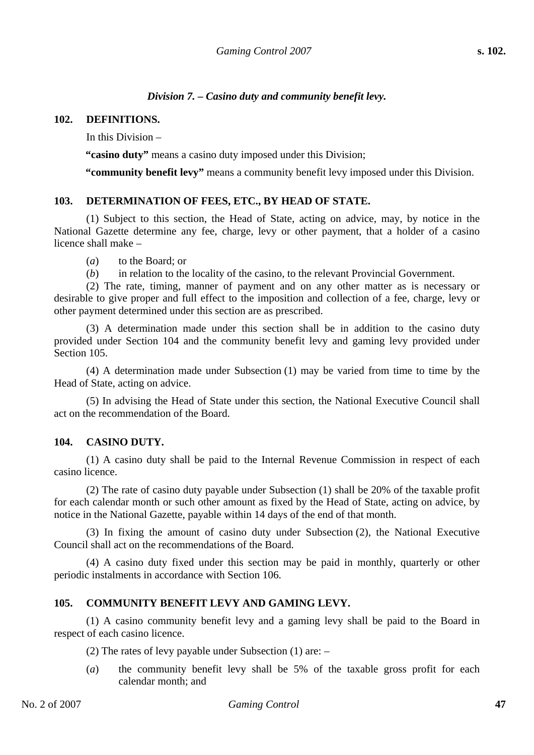# *Division 7. – Casino duty and community benefit levy.*

#### **102. DEFINITIONS.**

In this Division –

**"casino duty"** means a casino duty imposed under this Division;

**"community benefit levy"** means a community benefit levy imposed under this Division.

#### **103. DETERMINATION OF FEES, ETC., BY HEAD OF STATE.**

(1) Subject to this section, the Head of State, acting on advice, may, by notice in the National Gazette determine any fee, charge, levy or other payment, that a holder of a casino licence shall make –

(*a*) to the Board; or

(*b*) in relation to the locality of the casino, to the relevant Provincial Government.

(2) The rate, timing, manner of payment and on any other matter as is necessary or desirable to give proper and full effect to the imposition and collection of a fee, charge, levy or other payment determined under this section are as prescribed.

(3) A determination made under this section shall be in addition to the casino duty provided under Section 104 and the community benefit levy and gaming levy provided under Section 105.

(4) A determination made under Subsection (1) may be varied from time to time by the Head of State, acting on advice.

(5) In advising the Head of State under this section, the National Executive Council shall act on the recommendation of the Board.

## **104. CASINO DUTY.**

(1) A casino duty shall be paid to the Internal Revenue Commission in respect of each casino licence.

(2) The rate of casino duty payable under Subsection (1) shall be 20% of the taxable profit for each calendar month or such other amount as fixed by the Head of State, acting on advice, by notice in the National Gazette, payable within 14 days of the end of that month.

(3) In fixing the amount of casino duty under Subsection (2), the National Executive Council shall act on the recommendations of the Board.

(4) A casino duty fixed under this section may be paid in monthly, quarterly or other periodic instalments in accordance with Section 106.

# **105. COMMUNITY BENEFIT LEVY AND GAMING LEVY.**

(1) A casino community benefit levy and a gaming levy shall be paid to the Board in respect of each casino licence.

(2) The rates of levy payable under Subsection (1) are: –

(*a*) the community benefit levy shall be 5% of the taxable gross profit for each calendar month; and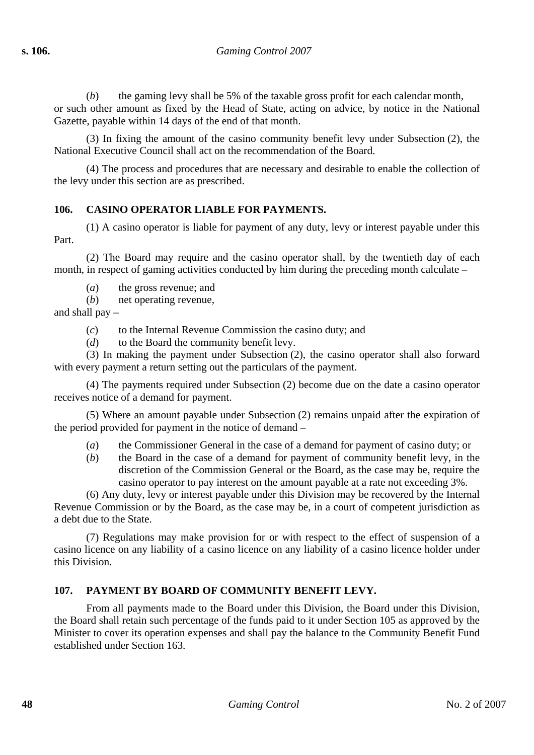(*b*) the gaming levy shall be 5% of the taxable gross profit for each calendar month, or such other amount as fixed by the Head of State, acting on advice, by notice in the National

Gazette, payable within 14 days of the end of that month.

(3) In fixing the amount of the casino community benefit levy under Subsection (2), the National Executive Council shall act on the recommendation of the Board.

(4) The process and procedures that are necessary and desirable to enable the collection of the levy under this section are as prescribed.

# **106. CASINO OPERATOR LIABLE FOR PAYMENTS.**

(1) A casino operator is liable for payment of any duty, levy or interest payable under this Part.

(2) The Board may require and the casino operator shall, by the twentieth day of each month, in respect of gaming activities conducted by him during the preceding month calculate –

(*a*) the gross revenue; and

(*b*) net operating revenue,

and shall pay –

- (*c*) to the Internal Revenue Commission the casino duty; and
- (*d*) to the Board the community benefit levy.

(3) In making the payment under Subsection (2), the casino operator shall also forward with every payment a return setting out the particulars of the payment.

(4) The payments required under Subsection (2) become due on the date a casino operator receives notice of a demand for payment.

(5) Where an amount payable under Subsection (2) remains unpaid after the expiration of the period provided for payment in the notice of demand –

(*a*) the Commissioner General in the case of a demand for payment of casino duty; or

(*b*) the Board in the case of a demand for payment of community benefit levy, in the discretion of the Commission General or the Board, as the case may be, require the casino operator to pay interest on the amount payable at a rate not exceeding 3%.

(6) Any duty, levy or interest payable under this Division may be recovered by the Internal Revenue Commission or by the Board, as the case may be, in a court of competent jurisdiction as a debt due to the State.

(7) Regulations may make provision for or with respect to the effect of suspension of a casino licence on any liability of a casino licence on any liability of a casino licence holder under this Division.

# **107. PAYMENT BY BOARD OF COMMUNITY BENEFIT LEVY.**

From all payments made to the Board under this Division, the Board under this Division, the Board shall retain such percentage of the funds paid to it under Section 105 as approved by the Minister to cover its operation expenses and shall pay the balance to the Community Benefit Fund established under Section 163.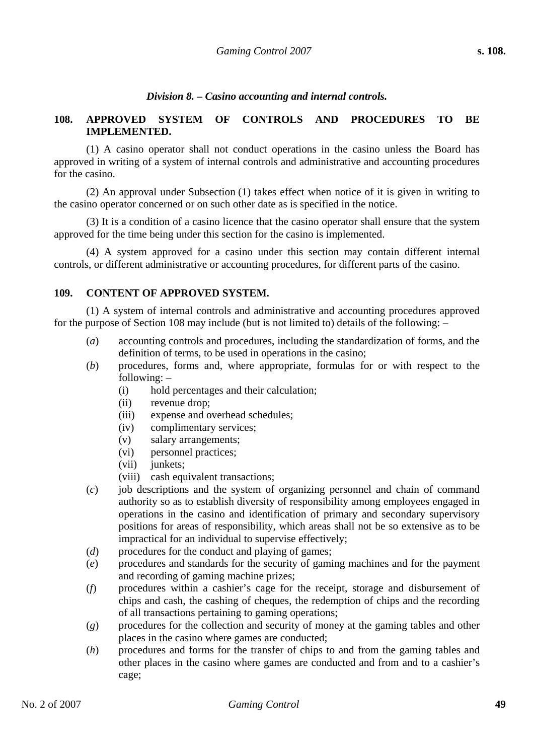### *Division 8. – Casino accounting and internal controls.*

#### **108. APPROVED SYSTEM OF CONTROLS AND PROCEDURES TO BE IMPLEMENTED.**

(1) A casino operator shall not conduct operations in the casino unless the Board has approved in writing of a system of internal controls and administrative and accounting procedures for the casino.

(2) An approval under Subsection (1) takes effect when notice of it is given in writing to the casino operator concerned or on such other date as is specified in the notice.

(3) It is a condition of a casino licence that the casino operator shall ensure that the system approved for the time being under this section for the casino is implemented.

(4) A system approved for a casino under this section may contain different internal controls, or different administrative or accounting procedures, for different parts of the casino.

#### **109. CONTENT OF APPROVED SYSTEM.**

(1) A system of internal controls and administrative and accounting procedures approved for the purpose of Section 108 may include (but is not limited to) details of the following: –

- (*a*) accounting controls and procedures, including the standardization of forms, and the definition of terms, to be used in operations in the casino;
- (*b*) procedures, forms and, where appropriate, formulas for or with respect to the following: –
	- (i) hold percentages and their calculation;
	- (ii) revenue drop;
	- (iii) expense and overhead schedules;
	- (iv) complimentary services;
	- (v) salary arrangements;
	- (vi) personnel practices;
	- (vii) junkets;
	- (viii) cash equivalent transactions;
- (*c*) job descriptions and the system of organizing personnel and chain of command authority so as to establish diversity of responsibility among employees engaged in operations in the casino and identification of primary and secondary supervisory positions for areas of responsibility, which areas shall not be so extensive as to be impractical for an individual to supervise effectively;
- (*d*) procedures for the conduct and playing of games;
- (*e*) procedures and standards for the security of gaming machines and for the payment and recording of gaming machine prizes;
- (*f*) procedures within a cashier's cage for the receipt, storage and disbursement of chips and cash, the cashing of cheques, the redemption of chips and the recording of all transactions pertaining to gaming operations;
- (*g*) procedures for the collection and security of money at the gaming tables and other places in the casino where games are conducted;
- (*h*) procedures and forms for the transfer of chips to and from the gaming tables and other places in the casino where games are conducted and from and to a cashier's cage;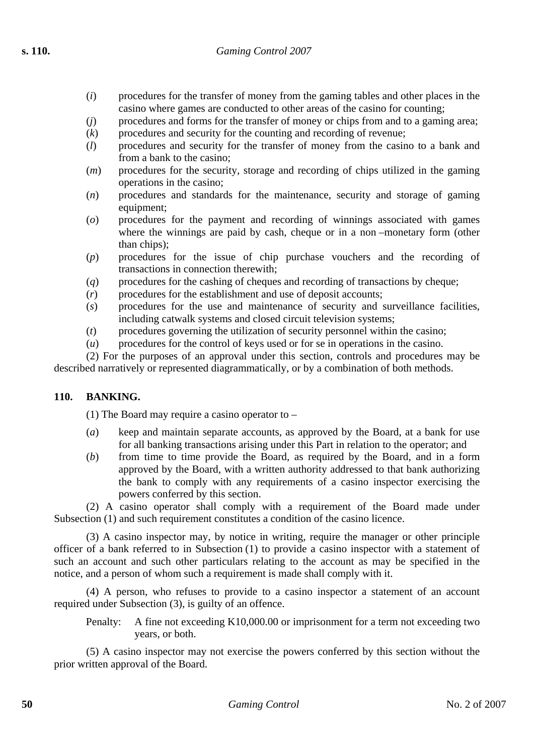- (*i*) procedures for the transfer of money from the gaming tables and other places in the casino where games are conducted to other areas of the casino for counting;
- (*j*) procedures and forms for the transfer of money or chips from and to a gaming area;
- $(k)$  procedures and security for the counting and recording of revenue;
- (*l*) procedures and security for the transfer of money from the casino to a bank and from a bank to the casino;
- (*m*) procedures for the security, storage and recording of chips utilized in the gaming operations in the casino;
- (*n*) procedures and standards for the maintenance, security and storage of gaming equipment;
- (*o*) procedures for the payment and recording of winnings associated with games where the winnings are paid by cash, cheque or in a non –monetary form (other than chips);
- (*p*) procedures for the issue of chip purchase vouchers and the recording of transactions in connection therewith;
- (*q*) procedures for the cashing of cheques and recording of transactions by cheque;
- (*r*) procedures for the establishment and use of deposit accounts;
- (*s*) procedures for the use and maintenance of security and surveillance facilities, including catwalk systems and closed circuit television systems;
- (*t*) procedures governing the utilization of security personnel within the casino;
- (*u*) procedures for the control of keys used or for se in operations in the casino.

(2) For the purposes of an approval under this section, controls and procedures may be described narratively or represented diagrammatically, or by a combination of both methods.

## **110. BANKING.**

(1) The Board may require a casino operator to –

- (*a*) keep and maintain separate accounts, as approved by the Board, at a bank for use for all banking transactions arising under this Part in relation to the operator; and
- (*b*) from time to time provide the Board, as required by the Board, and in a form approved by the Board, with a written authority addressed to that bank authorizing the bank to comply with any requirements of a casino inspector exercising the powers conferred by this section.

(2) A casino operator shall comply with a requirement of the Board made under Subsection (1) and such requirement constitutes a condition of the casino licence.

(3) A casino inspector may, by notice in writing, require the manager or other principle officer of a bank referred to in Subsection (1) to provide a casino inspector with a statement of such an account and such other particulars relating to the account as may be specified in the notice, and a person of whom such a requirement is made shall comply with it.

(4) A person, who refuses to provide to a casino inspector a statement of an account required under Subsection (3), is guilty of an offence.

Penalty: A fine not exceeding K10,000.00 or imprisonment for a term not exceeding two years, or both.

(5) A casino inspector may not exercise the powers conferred by this section without the prior written approval of the Board.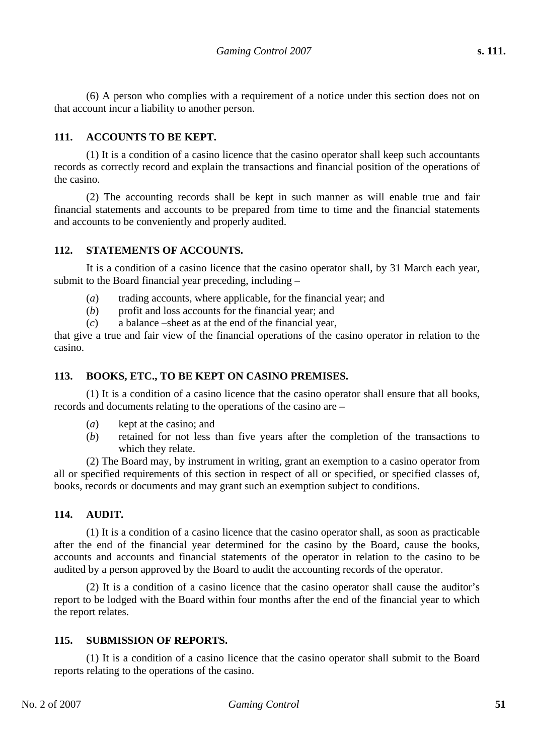(6) A person who complies with a requirement of a notice under this section does not on that account incur a liability to another person.

# **111. ACCOUNTS TO BE KEPT.**

(1) It is a condition of a casino licence that the casino operator shall keep such accountants records as correctly record and explain the transactions and financial position of the operations of the casino.

(2) The accounting records shall be kept in such manner as will enable true and fair financial statements and accounts to be prepared from time to time and the financial statements and accounts to be conveniently and properly audited.

# **112. STATEMENTS OF ACCOUNTS.**

It is a condition of a casino licence that the casino operator shall, by 31 March each year, submit to the Board financial year preceding, including –

- (*a*) trading accounts, where applicable, for the financial year; and
- (*b*) profit and loss accounts for the financial year; and
- (*c*) a balance –sheet as at the end of the financial year,

that give a true and fair view of the financial operations of the casino operator in relation to the casino.

## **113. BOOKS, ETC., TO BE KEPT ON CASINO PREMISES.**

(1) It is a condition of a casino licence that the casino operator shall ensure that all books, records and documents relating to the operations of the casino are –

- (*a*) kept at the casino; and
- (*b*) retained for not less than five years after the completion of the transactions to which they relate.

(2) The Board may, by instrument in writing, grant an exemption to a casino operator from all or specified requirements of this section in respect of all or specified, or specified classes of, books, records or documents and may grant such an exemption subject to conditions.

## **114. AUDIT.**

(1) It is a condition of a casino licence that the casino operator shall, as soon as practicable after the end of the financial year determined for the casino by the Board, cause the books, accounts and accounts and financial statements of the operator in relation to the casino to be audited by a person approved by the Board to audit the accounting records of the operator.

(2) It is a condition of a casino licence that the casino operator shall cause the auditor's report to be lodged with the Board within four months after the end of the financial year to which the report relates.

## **115. SUBMISSION OF REPORTS.**

(1) It is a condition of a casino licence that the casino operator shall submit to the Board reports relating to the operations of the casino.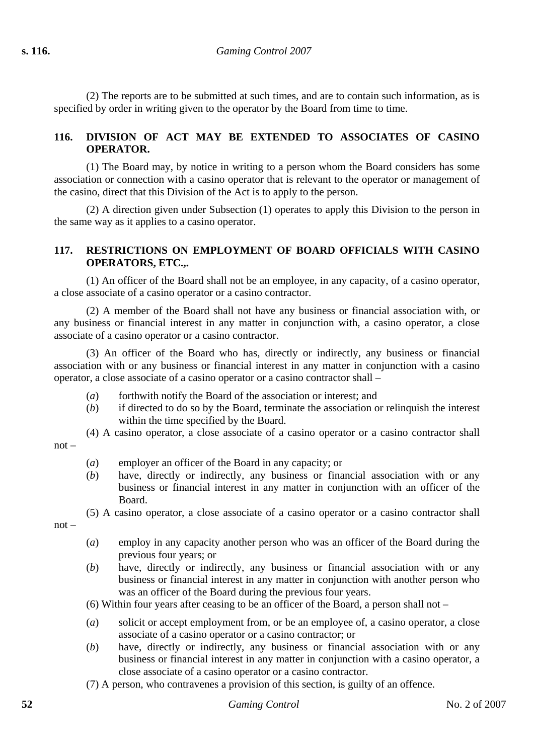(2) The reports are to be submitted at such times, and are to contain such information, as is specified by order in writing given to the operator by the Board from time to time.

# **116. DIVISION OF ACT MAY BE EXTENDED TO ASSOCIATES OF CASINO OPERATOR.**

(1) The Board may, by notice in writing to a person whom the Board considers has some association or connection with a casino operator that is relevant to the operator or management of the casino, direct that this Division of the Act is to apply to the person.

(2) A direction given under Subsection (1) operates to apply this Division to the person in the same way as it applies to a casino operator.

## **117. RESTRICTIONS ON EMPLOYMENT OF BOARD OFFICIALS WITH CASINO OPERATORS, ETC.,.**

(1) An officer of the Board shall not be an employee, in any capacity, of a casino operator, a close associate of a casino operator or a casino contractor.

(2) A member of the Board shall not have any business or financial association with, or any business or financial interest in any matter in conjunction with, a casino operator, a close associate of a casino operator or a casino contractor.

(3) An officer of the Board who has, directly or indirectly, any business or financial association with or any business or financial interest in any matter in conjunction with a casino operator, a close associate of a casino operator or a casino contractor shall –

- (*a*) forthwith notify the Board of the association or interest; and
- (*b*) if directed to do so by the Board, terminate the association or relinquish the interest within the time specified by the Board.
- (4) A casino operator, a close associate of a casino operator or a casino contractor shall

not –

- (*a*) employer an officer of the Board in any capacity; or
- (*b*) have, directly or indirectly, any business or financial association with or any business or financial interest in any matter in conjunction with an officer of the Board.
- (5) A casino operator, a close associate of a casino operator or a casino contractor shall

not –

- (*a*) employ in any capacity another person who was an officer of the Board during the previous four years; or
- (*b*) have, directly or indirectly, any business or financial association with or any business or financial interest in any matter in conjunction with another person who was an officer of the Board during the previous four years.
- (6) Within four years after ceasing to be an officer of the Board, a person shall not –
- (*a*) solicit or accept employment from, or be an employee of, a casino operator, a close associate of a casino operator or a casino contractor; or
- (*b*) have, directly or indirectly, any business or financial association with or any business or financial interest in any matter in conjunction with a casino operator, a close associate of a casino operator or a casino contractor.
- (7) A person, who contravenes a provision of this section, is guilty of an offence.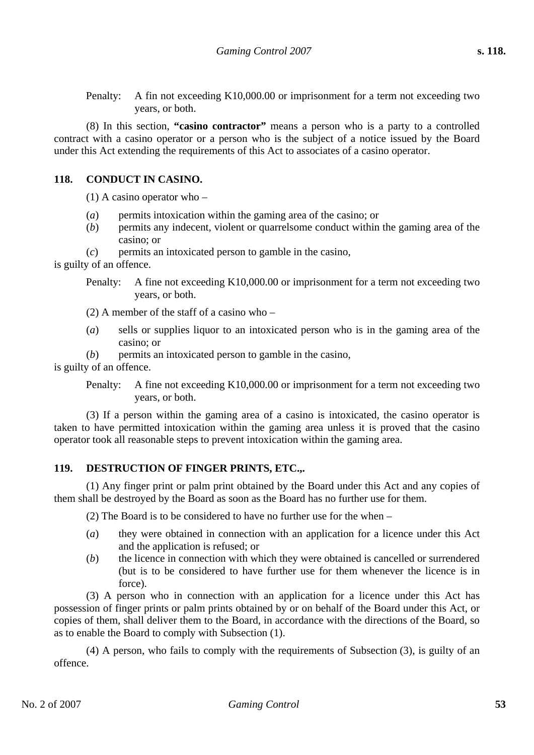Penalty: A fin not exceeding K10,000.00 or imprisonment for a term not exceeding two years, or both.

(8) In this section, **"casino contractor"** means a person who is a party to a controlled contract with a casino operator or a person who is the subject of a notice issued by the Board under this Act extending the requirements of this Act to associates of a casino operator.

## **118. CONDUCT IN CASINO.**

(1) A casino operator who –

- (*a*) permits intoxication within the gaming area of the casino; or
- (*b*) permits any indecent, violent or quarrelsome conduct within the gaming area of the casino; or
- (*c*) permits an intoxicated person to gamble in the casino,

is guilty of an offence.

- Penalty: A fine not exceeding K10,000.00 or imprisonment for a term not exceeding two years, or both.
- (2) A member of the staff of a casino who –
- (*a*) sells or supplies liquor to an intoxicated person who is in the gaming area of the casino; or

(*b*) permits an intoxicated person to gamble in the casino, is guilty of an offence.

> Penalty: A fine not exceeding K10,000.00 or imprisonment for a term not exceeding two years, or both.

(3) If a person within the gaming area of a casino is intoxicated, the casino operator is taken to have permitted intoxication within the gaming area unless it is proved that the casino operator took all reasonable steps to prevent intoxication within the gaming area.

#### **119. DESTRUCTION OF FINGER PRINTS, ETC.,.**

(1) Any finger print or palm print obtained by the Board under this Act and any copies of them shall be destroyed by the Board as soon as the Board has no further use for them.

(2) The Board is to be considered to have no further use for the when –

- (*a*) they were obtained in connection with an application for a licence under this Act and the application is refused; or
- (*b*) the licence in connection with which they were obtained is cancelled or surrendered (but is to be considered to have further use for them whenever the licence is in force).

(3) A person who in connection with an application for a licence under this Act has possession of finger prints or palm prints obtained by or on behalf of the Board under this Act, or copies of them, shall deliver them to the Board, in accordance with the directions of the Board, so as to enable the Board to comply with Subsection (1).

(4) A person, who fails to comply with the requirements of Subsection (3), is guilty of an offence.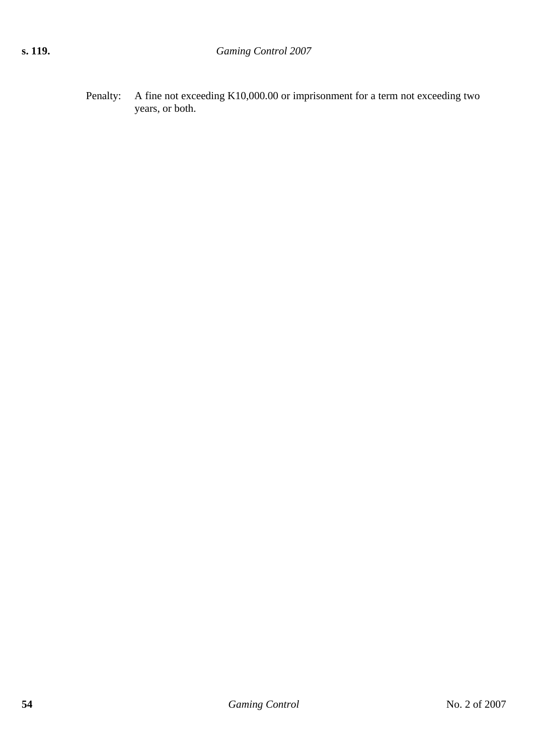Penalty: A fine not exceeding K10,000.00 or imprisonment for a term not exceeding two years, or both.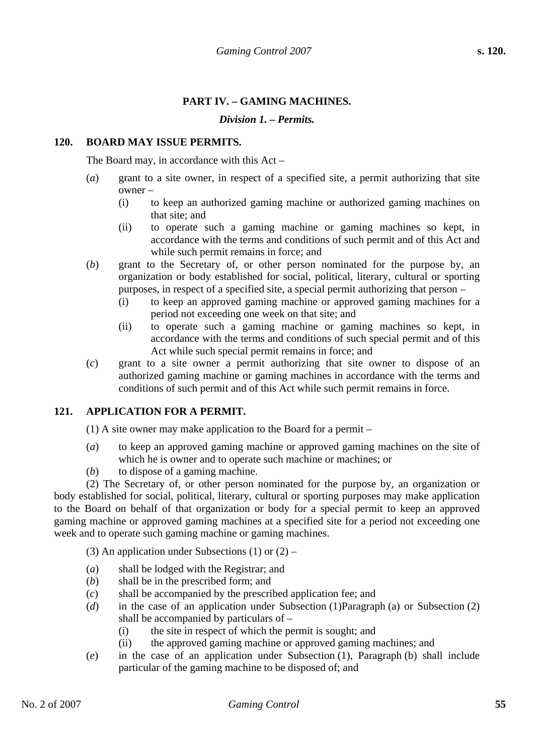# **PART IV. – GAMING MACHINES.**

#### *Division 1. – Permits.*

#### **120. BOARD MAY ISSUE PERMITS.**

The Board may, in accordance with this Act –

- (*a*) grant to a site owner, in respect of a specified site, a permit authorizing that site owner –
	- (i) to keep an authorized gaming machine or authorized gaming machines on that site; and
	- (ii) to operate such a gaming machine or gaming machines so kept, in accordance with the terms and conditions of such permit and of this Act and while such permit remains in force; and
- (*b*) grant to the Secretary of, or other person nominated for the purpose by, an organization or body established for social, political, literary, cultural or sporting purposes, in respect of a specified site, a special permit authorizing that person –
	- (i) to keep an approved gaming machine or approved gaming machines for a period not exceeding one week on that site; and
	- (ii) to operate such a gaming machine or gaming machines so kept, in accordance with the terms and conditions of such special permit and of this Act while such special permit remains in force; and
- (*c*) grant to a site owner a permit authorizing that site owner to dispose of an authorized gaming machine or gaming machines in accordance with the terms and conditions of such permit and of this Act while such permit remains in force.

## **121. APPLICATION FOR A PERMIT.**

(1) A site owner may make application to the Board for a permit –

- (*a*) to keep an approved gaming machine or approved gaming machines on the site of which he is owner and to operate such machine or machines; or
- (*b*) to dispose of a gaming machine.

(2) The Secretary of, or other person nominated for the purpose by, an organization or body established for social, political, literary, cultural or sporting purposes may make application to the Board on behalf of that organization or body for a special permit to keep an approved gaming machine or approved gaming machines at a specified site for a period not exceeding one week and to operate such gaming machine or gaming machines.

(3) An application under Subsections  $(1)$  or  $(2)$  –

- (*a*) shall be lodged with the Registrar; and
- (*b*) shall be in the prescribed form; and
- (*c*) shall be accompanied by the prescribed application fee; and
- (*d*) in the case of an application under Subsection (1)Paragraph (a) or Subsection (2) shall be accompanied by particulars of –
	- (i) the site in respect of which the permit is sought; and
	- (ii) the approved gaming machine or approved gaming machines; and
- (*e*) in the case of an application under Subsection (1), Paragraph (b) shall include particular of the gaming machine to be disposed of; and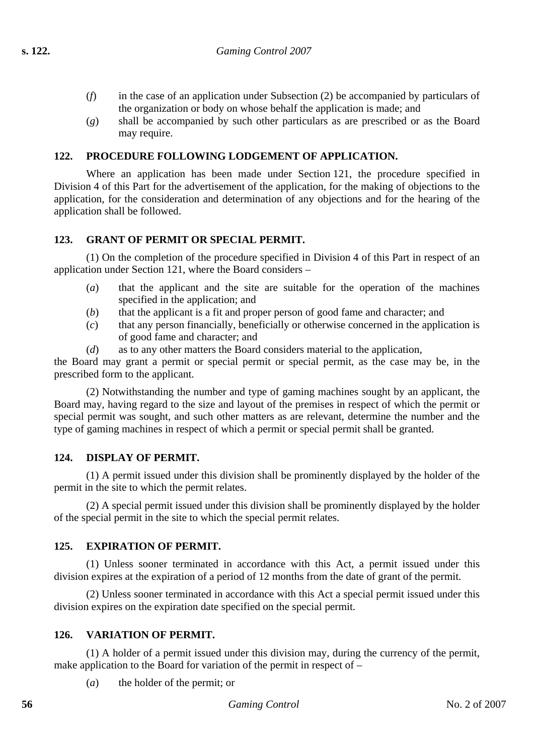- (*f*) in the case of an application under Subsection (2) be accompanied by particulars of the organization or body on whose behalf the application is made; and
- (*g*) shall be accompanied by such other particulars as are prescribed or as the Board may require.

## **122. PROCEDURE FOLLOWING LODGEMENT OF APPLICATION.**

Where an application has been made under Section 121, the procedure specified in Division 4 of this Part for the advertisement of the application, for the making of objections to the application, for the consideration and determination of any objections and for the hearing of the application shall be followed.

## **123. GRANT OF PERMIT OR SPECIAL PERMIT.**

(1) On the completion of the procedure specified in Division 4 of this Part in respect of an application under Section 121, where the Board considers –

- (*a*) that the applicant and the site are suitable for the operation of the machines specified in the application; and
- (*b*) that the applicant is a fit and proper person of good fame and character; and
- (*c*) that any person financially, beneficially or otherwise concerned in the application is of good fame and character; and
- (*d*) as to any other matters the Board considers material to the application,

the Board may grant a permit or special permit or special permit, as the case may be, in the prescribed form to the applicant.

(2) Notwithstanding the number and type of gaming machines sought by an applicant, the Board may, having regard to the size and layout of the premises in respect of which the permit or special permit was sought, and such other matters as are relevant, determine the number and the type of gaming machines in respect of which a permit or special permit shall be granted.

## **124. DISPLAY OF PERMIT.**

(1) A permit issued under this division shall be prominently displayed by the holder of the permit in the site to which the permit relates.

(2) A special permit issued under this division shall be prominently displayed by the holder of the special permit in the site to which the special permit relates.

## **125. EXPIRATION OF PERMIT.**

(1) Unless sooner terminated in accordance with this Act, a permit issued under this division expires at the expiration of a period of 12 months from the date of grant of the permit.

(2) Unless sooner terminated in accordance with this Act a special permit issued under this division expires on the expiration date specified on the special permit.

## **126. VARIATION OF PERMIT.**

(1) A holder of a permit issued under this division may, during the currency of the permit, make application to the Board for variation of the permit in respect of –

(*a*) the holder of the permit; or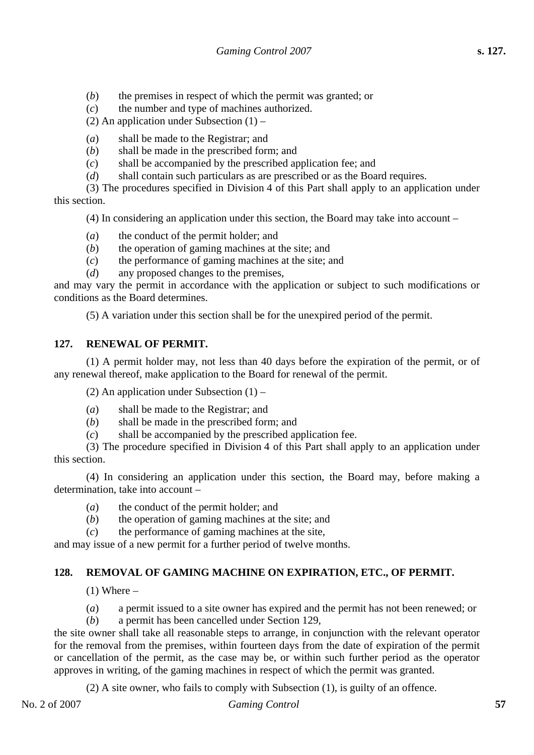- (*b*) the premises in respect of which the permit was granted; or
- (*c*) the number and type of machines authorized.
- (2) An application under Subsection  $(1)$  –
- (*a*) shall be made to the Registrar; and
- (*b*) shall be made in the prescribed form; and
- (*c*) shall be accompanied by the prescribed application fee; and
- (*d*) shall contain such particulars as are prescribed or as the Board requires.
- (3) The procedures specified in Division 4 of this Part shall apply to an application under this section.

(4) In considering an application under this section, the Board may take into account –

- (*a*) the conduct of the permit holder; and
- (*b*) the operation of gaming machines at the site; and
- (*c*) the performance of gaming machines at the site; and
- (*d*) any proposed changes to the premises,

and may vary the permit in accordance with the application or subject to such modifications or conditions as the Board determines.

(5) A variation under this section shall be for the unexpired period of the permit.

# **127. RENEWAL OF PERMIT.**

(1) A permit holder may, not less than 40 days before the expiration of the permit, or of any renewal thereof, make application to the Board for renewal of the permit.

(2) An application under Subsection  $(1)$  –

- (*a*) shall be made to the Registrar; and
- (*b*) shall be made in the prescribed form; and
- (*c*) shall be accompanied by the prescribed application fee.

(3) The procedure specified in Division 4 of this Part shall apply to an application under this section.

(4) In considering an application under this section, the Board may, before making a determination, take into account –

- (*a*) the conduct of the permit holder; and
- (*b*) the operation of gaming machines at the site; and
- (*c*) the performance of gaming machines at the site,

and may issue of a new permit for a further period of twelve months.

# **128. REMOVAL OF GAMING MACHINE ON EXPIRATION, ETC., OF PERMIT.**

 $(1)$  Where –

- (*a*) a permit issued to a site owner has expired and the permit has not been renewed; or
- (*b*) a permit has been cancelled under Section 129,

the site owner shall take all reasonable steps to arrange, in conjunction with the relevant operator for the removal from the premises, within fourteen days from the date of expiration of the permit or cancellation of the permit, as the case may be, or within such further period as the operator approves in writing, of the gaming machines in respect of which the permit was granted.

(2) A site owner, who fails to comply with Subsection (1), is guilty of an offence.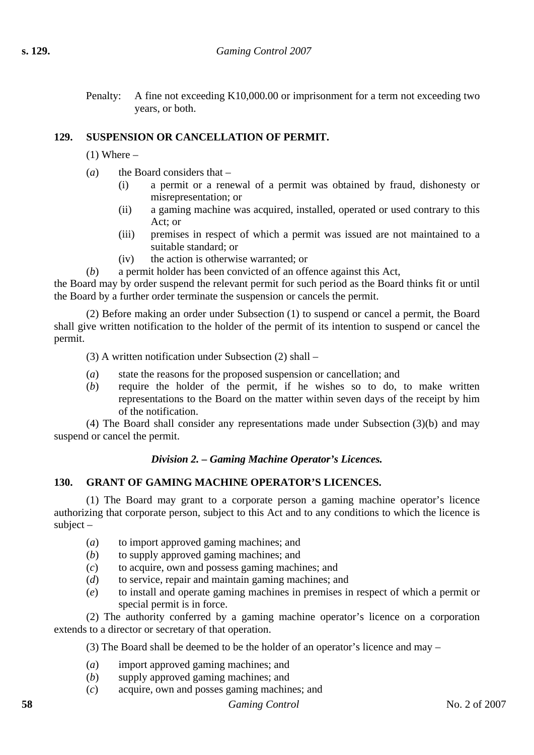Penalty: A fine not exceeding K10,000.00 or imprisonment for a term not exceeding two years, or both.

# **129. SUSPENSION OR CANCELLATION OF PERMIT.**

 $(1)$  Where  $-$ 

- (*a*) the Board considers that
	- (i) a permit or a renewal of a permit was obtained by fraud, dishonesty or misrepresentation; or
	- (ii) a gaming machine was acquired, installed, operated or used contrary to this Act; or
	- (iii) premises in respect of which a permit was issued are not maintained to a suitable standard; or
	- (iv) the action is otherwise warranted; or
- (*b*) a permit holder has been convicted of an offence against this Act,

the Board may by order suspend the relevant permit for such period as the Board thinks fit or until the Board by a further order terminate the suspension or cancels the permit.

(2) Before making an order under Subsection (1) to suspend or cancel a permit, the Board shall give written notification to the holder of the permit of its intention to suspend or cancel the permit.

(3) A written notification under Subsection (2) shall –

- (*a*) state the reasons for the proposed suspension or cancellation; and
- (*b*) require the holder of the permit, if he wishes so to do, to make written representations to the Board on the matter within seven days of the receipt by him of the notification.

(4) The Board shall consider any representations made under Subsection (3)(b) and may suspend or cancel the permit.

## *Division 2. – Gaming Machine Operator's Licences.*

## **130. GRANT OF GAMING MACHINE OPERATOR'S LICENCES.**

(1) The Board may grant to a corporate person a gaming machine operator's licence authorizing that corporate person, subject to this Act and to any conditions to which the licence is subject –

- (*a*) to import approved gaming machines; and
- (*b*) to supply approved gaming machines; and
- (*c*) to acquire, own and possess gaming machines; and
- (*d*) to service, repair and maintain gaming machines; and
- (*e*) to install and operate gaming machines in premises in respect of which a permit or special permit is in force.

(2) The authority conferred by a gaming machine operator's licence on a corporation extends to a director or secretary of that operation.

(3) The Board shall be deemed to be the holder of an operator's licence and may –

- (*a*) import approved gaming machines; and
- (*b*) supply approved gaming machines; and
- (*c*) acquire, own and posses gaming machines; and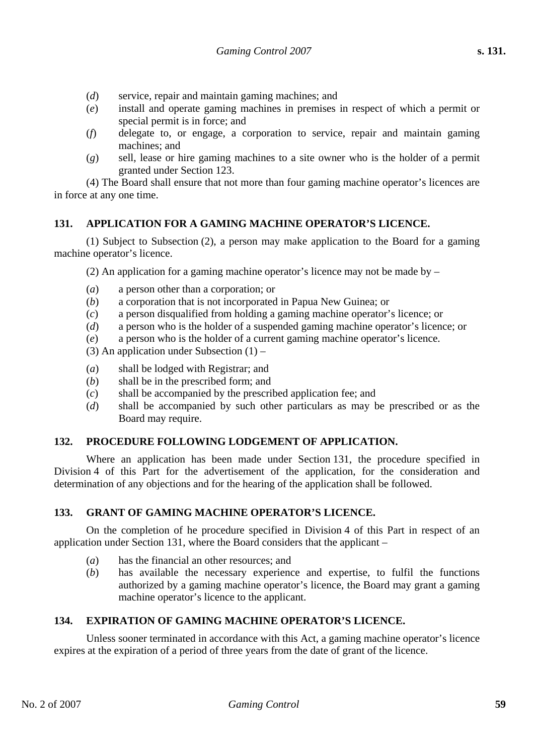- (*d*) service, repair and maintain gaming machines; and
- (*e*) install and operate gaming machines in premises in respect of which a permit or special permit is in force; and
- (*f*) delegate to, or engage, a corporation to service, repair and maintain gaming machines; and
- (*g*) sell, lease or hire gaming machines to a site owner who is the holder of a permit granted under Section 123.

(4) The Board shall ensure that not more than four gaming machine operator's licences are in force at any one time.

## **131. APPLICATION FOR A GAMING MACHINE OPERATOR'S LICENCE.**

(1) Subject to Subsection (2), a person may make application to the Board for a gaming machine operator's licence.

(2) An application for a gaming machine operator's licence may not be made by  $-$ 

- (*a*) a person other than a corporation; or
- (*b*) a corporation that is not incorporated in Papua New Guinea; or
- (*c*) a person disqualified from holding a gaming machine operator's licence; or
- (*d*) a person who is the holder of a suspended gaming machine operator's licence; or
- (*e*) a person who is the holder of a current gaming machine operator's licence.
- (3) An application under Subsection  $(1)$  –
- (*a*) shall be lodged with Registrar; and
- (*b*) shall be in the prescribed form; and
- (*c*) shall be accompanied by the prescribed application fee; and
- (*d*) shall be accompanied by such other particulars as may be prescribed or as the Board may require.

## **132. PROCEDURE FOLLOWING LODGEMENT OF APPLICATION.**

Where an application has been made under Section 131, the procedure specified in Division 4 of this Part for the advertisement of the application, for the consideration and determination of any objections and for the hearing of the application shall be followed.

#### **133. GRANT OF GAMING MACHINE OPERATOR'S LICENCE.**

On the completion of he procedure specified in Division 4 of this Part in respect of an application under Section 131, where the Board considers that the applicant –

- (*a*) has the financial an other resources; and
- (*b*) has available the necessary experience and expertise, to fulfil the functions authorized by a gaming machine operator's licence, the Board may grant a gaming machine operator's licence to the applicant.

## **134. EXPIRATION OF GAMING MACHINE OPERATOR'S LICENCE.**

Unless sooner terminated in accordance with this Act, a gaming machine operator's licence expires at the expiration of a period of three years from the date of grant of the licence.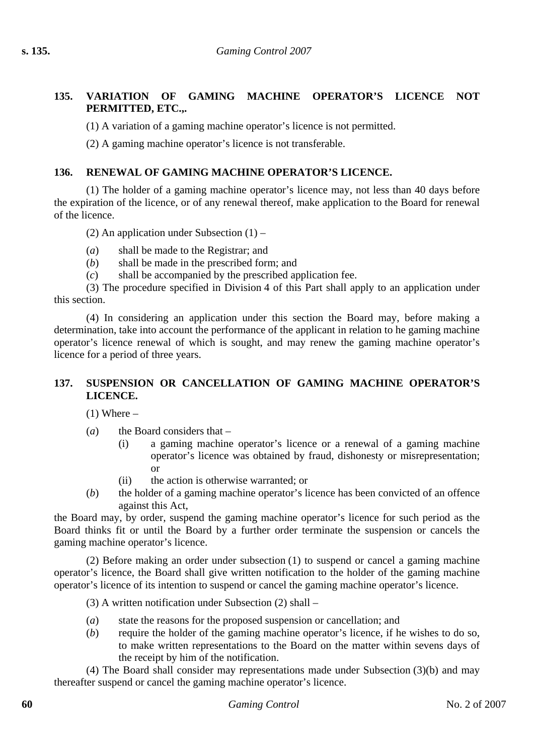# **135. VARIATION OF GAMING MACHINE OPERATOR'S LICENCE NOT PERMITTED, ETC.,.**

(1) A variation of a gaming machine operator's licence is not permitted.

(2) A gaming machine operator's licence is not transferable.

#### **136. RENEWAL OF GAMING MACHINE OPERATOR'S LICENCE.**

(1) The holder of a gaming machine operator's licence may, not less than 40 days before the expiration of the licence, or of any renewal thereof, make application to the Board for renewal of the licence.

(2) An application under Subsection  $(1)$  –

- (*a*) shall be made to the Registrar; and
- (*b*) shall be made in the prescribed form; and
- (*c*) shall be accompanied by the prescribed application fee.

(3) The procedure specified in Division 4 of this Part shall apply to an application under this section.

(4) In considering an application under this section the Board may, before making a determination, take into account the performance of the applicant in relation to he gaming machine operator's licence renewal of which is sought, and may renew the gaming machine operator's licence for a period of three years.

## **137. SUSPENSION OR CANCELLATION OF GAMING MACHINE OPERATOR'S LICENCE.**

 $(1)$  Where –

- (*a*) the Board considers that
	- (i) a gaming machine operator's licence or a renewal of a gaming machine operator's licence was obtained by fraud, dishonesty or misrepresentation; or
	- (ii) the action is otherwise warranted; or
- (*b*) the holder of a gaming machine operator's licence has been convicted of an offence against this Act,

the Board may, by order, suspend the gaming machine operator's licence for such period as the Board thinks fit or until the Board by a further order terminate the suspension or cancels the gaming machine operator's licence.

(2) Before making an order under subsection (1) to suspend or cancel a gaming machine operator's licence, the Board shall give written notification to the holder of the gaming machine operator's licence of its intention to suspend or cancel the gaming machine operator's licence.

(3) A written notification under Subsection (2) shall –

- (*a*) state the reasons for the proposed suspension or cancellation; and
- (*b*) require the holder of the gaming machine operator's licence, if he wishes to do so, to make written representations to the Board on the matter within sevens days of the receipt by him of the notification.

(4) The Board shall consider may representations made under Subsection (3)(b) and may thereafter suspend or cancel the gaming machine operator's licence.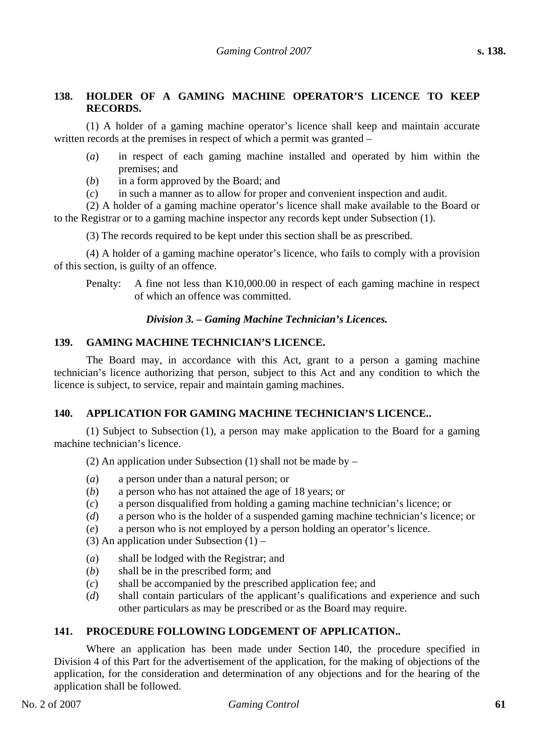## **138. HOLDER OF A GAMING MACHINE OPERATOR'S LICENCE TO KEEP RECORDS.**

(1) A holder of a gaming machine operator's licence shall keep and maintain accurate written records at the premises in respect of which a permit was granted –

- (*a*) in respect of each gaming machine installed and operated by him within the premises; and
- (*b*) in a form approved by the Board; and
- (*c*) in such a manner as to allow for proper and convenient inspection and audit.

(2) A holder of a gaming machine operator's licence shall make available to the Board or to the Registrar or to a gaming machine inspector any records kept under Subsection (1).

(3) The records required to be kept under this section shall be as prescribed.

(4) A holder of a gaming machine operator's licence, who fails to comply with a provision of this section, is guilty of an offence.

Penalty: A fine not less than K10,000.00 in respect of each gaming machine in respect of which an offence was committed.

## *Division 3. – Gaming Machine Technician's Licences.*

#### **139. GAMING MACHINE TECHNICIAN'S LICENCE.**

The Board may, in accordance with this Act, grant to a person a gaming machine technician's licence authorizing that person, subject to this Act and any condition to which the licence is subject, to service, repair and maintain gaming machines.

## **140. APPLICATION FOR GAMING MACHINE TECHNICIAN'S LICENCE..**

(1) Subject to Subsection (1), a person may make application to the Board for a gaming machine technician's licence.

(2) An application under Subsection (1) shall not be made by  $-$ 

- (*a*) a person under than a natural person; or
- (*b*) a person who has not attained the age of 18 years; or
- (*c*) a person disqualified from holding a gaming machine technician's licence; or
- (*d*) a person who is the holder of a suspended gaming machine technician's licence; or
- (*e*) a person who is not employed by a person holding an operator's licence.
- (3) An application under Subsection  $(1)$  –
- (*a*) shall be lodged with the Registrar; and
- (*b*) shall be in the prescribed form; and
- (*c*) shall be accompanied by the prescribed application fee; and
- (*d*) shall contain particulars of the applicant's qualifications and experience and such other particulars as may be prescribed or as the Board may require.

## **141. PROCEDURE FOLLOWING LODGEMENT OF APPLICATION..**

Where an application has been made under Section 140, the procedure specified in Division 4 of this Part for the advertisement of the application, for the making of objections of the application, for the consideration and determination of any objections and for the hearing of the application shall be followed.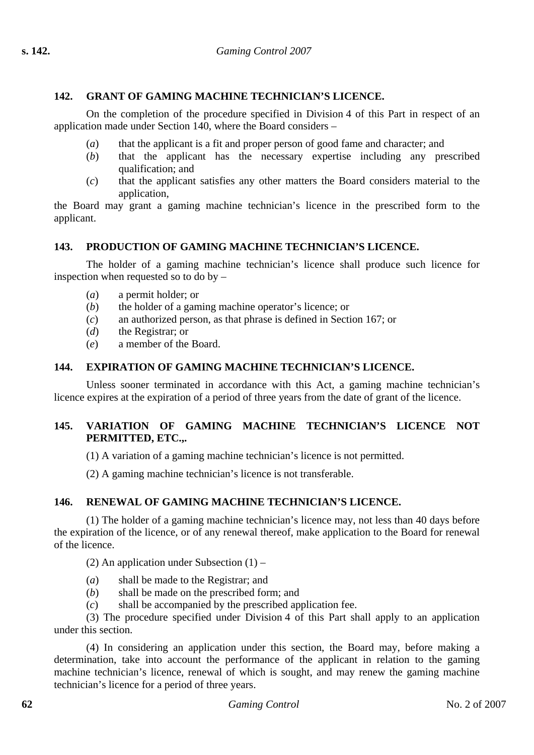## **142. GRANT OF GAMING MACHINE TECHNICIAN'S LICENCE.**

On the completion of the procedure specified in Division 4 of this Part in respect of an application made under Section 140, where the Board considers –

- (*a*) that the applicant is a fit and proper person of good fame and character; and
- (*b*) that the applicant has the necessary expertise including any prescribed qualification; and
- (*c*) that the applicant satisfies any other matters the Board considers material to the application,

the Board may grant a gaming machine technician's licence in the prescribed form to the applicant.

## **143. PRODUCTION OF GAMING MACHINE TECHNICIAN'S LICENCE.**

The holder of a gaming machine technician's licence shall produce such licence for inspection when requested so to do by –

- (*a*) a permit holder; or
- (*b*) the holder of a gaming machine operator's licence; or
- (*c*) an authorized person, as that phrase is defined in Section 167; or
- (*d*) the Registrar; or
- (*e*) a member of the Board.

## **144. EXPIRATION OF GAMING MACHINE TECHNICIAN'S LICENCE.**

Unless sooner terminated in accordance with this Act, a gaming machine technician's licence expires at the expiration of a period of three years from the date of grant of the licence.

## **145. VARIATION OF GAMING MACHINE TECHNICIAN'S LICENCE NOT PERMITTED, ETC.,.**

(1) A variation of a gaming machine technician's licence is not permitted.

(2) A gaming machine technician's licence is not transferable.

## **146. RENEWAL OF GAMING MACHINE TECHNICIAN'S LICENCE.**

(1) The holder of a gaming machine technician's licence may, not less than 40 days before the expiration of the licence, or of any renewal thereof, make application to the Board for renewal of the licence.

(2) An application under Subsection  $(1)$  –

- (*a*) shall be made to the Registrar; and
- (*b*) shall be made on the prescribed form; and
- (*c*) shall be accompanied by the prescribed application fee.

(3) The procedure specified under Division 4 of this Part shall apply to an application under this section.

(4) In considering an application under this section, the Board may, before making a determination, take into account the performance of the applicant in relation to the gaming machine technician's licence, renewal of which is sought, and may renew the gaming machine technician's licence for a period of three years.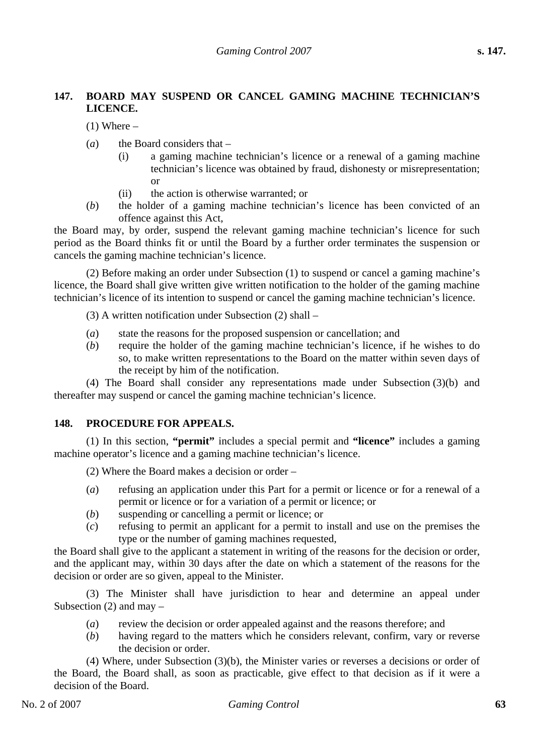## **147. BOARD MAY SUSPEND OR CANCEL GAMING MACHINE TECHNICIAN'S LICENCE.**

 $(1)$  Where –

- (*a*) the Board considers that
	- (i) a gaming machine technician's licence or a renewal of a gaming machine technician's licence was obtained by fraud, dishonesty or misrepresentation; or
	- (ii) the action is otherwise warranted; or
- (*b*) the holder of a gaming machine technician's licence has been convicted of an offence against this Act,

the Board may, by order, suspend the relevant gaming machine technician's licence for such period as the Board thinks fit or until the Board by a further order terminates the suspension or cancels the gaming machine technician's licence.

(2) Before making an order under Subsection (1) to suspend or cancel a gaming machine's licence, the Board shall give written give written notification to the holder of the gaming machine technician's licence of its intention to suspend or cancel the gaming machine technician's licence.

(3) A written notification under Subsection (2) shall –

- (*a*) state the reasons for the proposed suspension or cancellation; and
- (*b*) require the holder of the gaming machine technician's licence, if he wishes to do so, to make written representations to the Board on the matter within seven days of the receipt by him of the notification.

(4) The Board shall consider any representations made under Subsection (3)(b) and thereafter may suspend or cancel the gaming machine technician's licence.

## **148. PROCEDURE FOR APPEALS.**

(1) In this section, **"permit"** includes a special permit and **"licence"** includes a gaming machine operator's licence and a gaming machine technician's licence.

(2) Where the Board makes a decision or order –

- (*a*) refusing an application under this Part for a permit or licence or for a renewal of a permit or licence or for a variation of a permit or licence; or
- (*b*) suspending or cancelling a permit or licence; or
- (*c*) refusing to permit an applicant for a permit to install and use on the premises the type or the number of gaming machines requested,

the Board shall give to the applicant a statement in writing of the reasons for the decision or order, and the applicant may, within 30 days after the date on which a statement of the reasons for the decision or order are so given, appeal to the Minister.

(3) The Minister shall have jurisdiction to hear and determine an appeal under Subsection  $(2)$  and may –

- (*a*) review the decision or order appealed against and the reasons therefore; and
- (*b*) having regard to the matters which he considers relevant, confirm, vary or reverse the decision or order.

(4) Where, under Subsection (3)(b), the Minister varies or reverses a decisions or order of the Board, the Board shall, as soon as practicable, give effect to that decision as if it were a decision of the Board.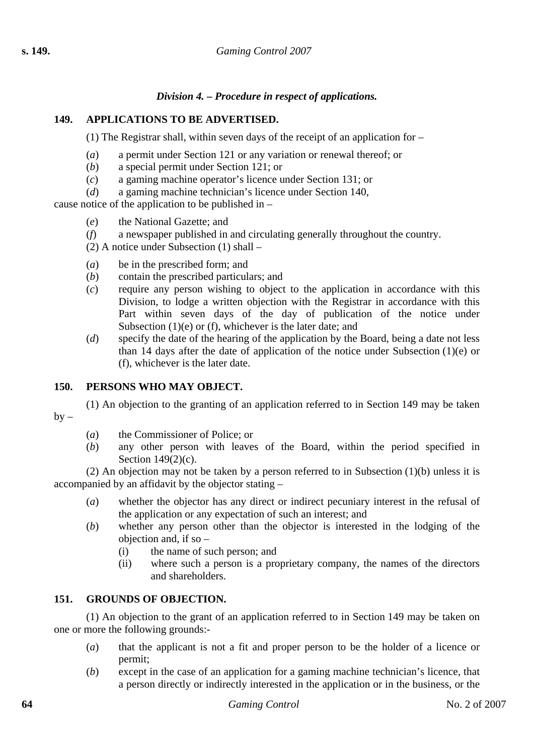## *Division 4. – Procedure in respect of applications.*

## **149. APPLICATIONS TO BE ADVERTISED.**

(1) The Registrar shall, within seven days of the receipt of an application for –

- (*a*) a permit under Section 121 or any variation or renewal thereof; or
- (*b*) a special permit under Section 121; or
- (*c*) a gaming machine operator's licence under Section 131; or
- (*d*) a gaming machine technician's licence under Section 140,

cause notice of the application to be published in –

- (*e*) the National Gazette; and
- (*f*) a newspaper published in and circulating generally throughout the country.
- (2) A notice under Subsection (1) shall –
- (*a*) be in the prescribed form; and
- (*b*) contain the prescribed particulars; and
- (*c*) require any person wishing to object to the application in accordance with this Division, to lodge a written objection with the Registrar in accordance with this Part within seven days of the day of publication of the notice under Subsection (1)(e) or (f), whichever is the later date; and
- (*d*) specify the date of the hearing of the application by the Board, being a date not less than 14 days after the date of application of the notice under Subsection (1)(e) or (f), whichever is the later date.

## **150. PERSONS WHO MAY OBJECT.**

(1) An objection to the granting of an application referred to in Section 149 may be taken  $by -$ 

- (*a*) the Commissioner of Police; or
- (*b*) any other person with leaves of the Board, within the period specified in Section 149(2)(c).

(2) An objection may not be taken by a person referred to in Subsection (1)(b) unless it is accompanied by an affidavit by the objector stating –

- (*a*) whether the objector has any direct or indirect pecuniary interest in the refusal of the application or any expectation of such an interest; and
- (*b*) whether any person other than the objector is interested in the lodging of the objection and, if so –
	- (i) the name of such person; and
	- (ii) where such a person is a proprietary company, the names of the directors and shareholders.

## **151. GROUNDS OF OBJECTION.**

(1) An objection to the grant of an application referred to in Section 149 may be taken on one or more the following grounds:-

- (*a*) that the applicant is not a fit and proper person to be the holder of a licence or permit;
- (*b*) except in the case of an application for a gaming machine technician's licence, that a person directly or indirectly interested in the application or in the business, or the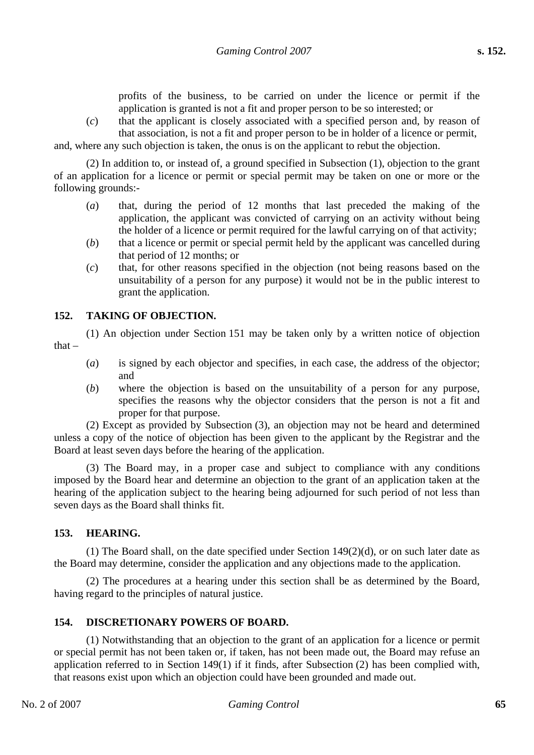profits of the business, to be carried on under the licence or permit if the application is granted is not a fit and proper person to be so interested; or

(*c*) that the applicant is closely associated with a specified person and, by reason of that association, is not a fit and proper person to be in holder of a licence or permit,

and, where any such objection is taken, the onus is on the applicant to rebut the objection.

(2) In addition to, or instead of, a ground specified in Subsection (1), objection to the grant of an application for a licence or permit or special permit may be taken on one or more or the following grounds:-

- (*a*) that, during the period of 12 months that last preceded the making of the application, the applicant was convicted of carrying on an activity without being the holder of a licence or permit required for the lawful carrying on of that activity;
- (*b*) that a licence or permit or special permit held by the applicant was cancelled during that period of 12 months; or
- (*c*) that, for other reasons specified in the objection (not being reasons based on the unsuitability of a person for any purpose) it would not be in the public interest to grant the application.

## **152. TAKING OF OBJECTION.**

(1) An objection under Section 151 may be taken only by a written notice of objection that –

- (*a*) is signed by each objector and specifies, in each case, the address of the objector; and
- (*b*) where the objection is based on the unsuitability of a person for any purpose, specifies the reasons why the objector considers that the person is not a fit and proper for that purpose.

(2) Except as provided by Subsection (3), an objection may not be heard and determined unless a copy of the notice of objection has been given to the applicant by the Registrar and the Board at least seven days before the hearing of the application.

(3) The Board may, in a proper case and subject to compliance with any conditions imposed by the Board hear and determine an objection to the grant of an application taken at the hearing of the application subject to the hearing being adjourned for such period of not less than seven days as the Board shall thinks fit.

## **153. HEARING.**

(1) The Board shall, on the date specified under Section 149(2)(d), or on such later date as the Board may determine, consider the application and any objections made to the application.

(2) The procedures at a hearing under this section shall be as determined by the Board, having regard to the principles of natural justice.

#### **154. DISCRETIONARY POWERS OF BOARD.**

(1) Notwithstanding that an objection to the grant of an application for a licence or permit or special permit has not been taken or, if taken, has not been made out, the Board may refuse an application referred to in Section 149(1) if it finds, after Subsection (2) has been complied with, that reasons exist upon which an objection could have been grounded and made out.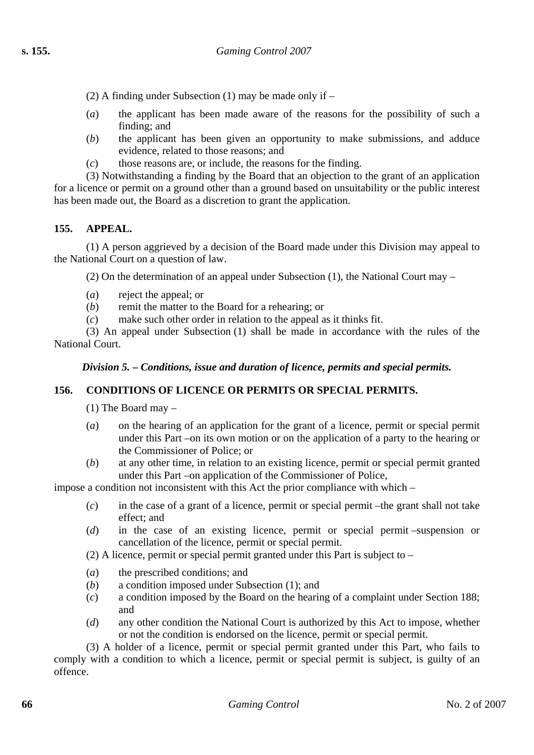(2) A finding under Subsection (1) may be made only if –

- (*a*) the applicant has been made aware of the reasons for the possibility of such a finding; and
- (*b*) the applicant has been given an opportunity to make submissions, and adduce evidence, related to those reasons; and
- (*c*) those reasons are, or include, the reasons for the finding.

(3) Notwithstanding a finding by the Board that an objection to the grant of an application for a licence or permit on a ground other than a ground based on unsuitability or the public interest has been made out, the Board as a discretion to grant the application.

## **155. APPEAL.**

(1) A person aggrieved by a decision of the Board made under this Division may appeal to the National Court on a question of law.

(2) On the determination of an appeal under Subsection (1), the National Court may –

- (*a*) reject the appeal; or
- (*b*) remit the matter to the Board for a rehearing; or
- (*c*) make such other order in relation to the appeal as it thinks fit.

(3) An appeal under Subsection (1) shall be made in accordance with the rules of the National Court.

#### *Division 5. – Conditions, issue and duration of licence, permits and special permits.*

## **156. CONDITIONS OF LICENCE OR PERMITS OR SPECIAL PERMITS.**

(1) The Board may –

- (*a*) on the hearing of an application for the grant of a licence, permit or special permit under this Part –on its own motion or on the application of a party to the hearing or the Commissioner of Police; or
- (*b*) at any other time, in relation to an existing licence, permit or special permit granted under this Part –on application of the Commissioner of Police,

impose a condition not inconsistent with this Act the prior compliance with which –

- (*c*) in the case of a grant of a licence, permit or special permit –the grant shall not take effect; and
- (*d*) in the case of an existing licence, permit or special permit –suspension or cancellation of the licence, permit or special permit.

(2) A licence, permit or special permit granted under this Part is subject to –

- (*a*) the prescribed conditions; and
- (*b*) a condition imposed under Subsection (1); and
- (*c*) a condition imposed by the Board on the hearing of a complaint under Section 188; and
- (*d*) any other condition the National Court is authorized by this Act to impose, whether or not the condition is endorsed on the licence, permit or special permit.

(3) A holder of a licence, permit or special permit granted under this Part, who fails to comply with a condition to which a licence, permit or special permit is subject, is guilty of an offence.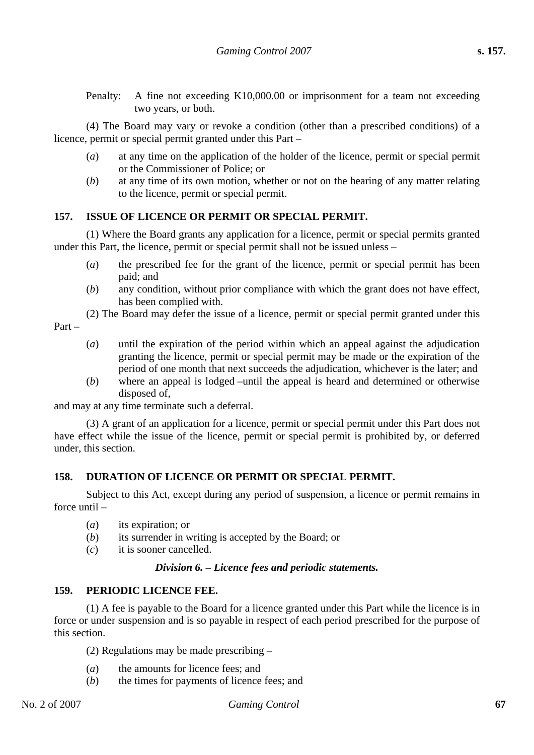Penalty: A fine not exceeding K10,000.00 or imprisonment for a team not exceeding two years, or both.

(4) The Board may vary or revoke a condition (other than a prescribed conditions) of a licence, permit or special permit granted under this Part –

- (*a*) at any time on the application of the holder of the licence, permit or special permit or the Commissioner of Police; or
- (*b*) at any time of its own motion, whether or not on the hearing of any matter relating to the licence, permit or special permit.

#### **157. ISSUE OF LICENCE OR PERMIT OR SPECIAL PERMIT.**

(1) Where the Board grants any application for a licence, permit or special permits granted under this Part, the licence, permit or special permit shall not be issued unless –

- (*a*) the prescribed fee for the grant of the licence, permit or special permit has been paid; and
- (*b*) any condition, without prior compliance with which the grant does not have effect, has been complied with.
- (2) The Board may defer the issue of a licence, permit or special permit granted under this Part –
	- (*a*) until the expiration of the period within which an appeal against the adjudication granting the licence, permit or special permit may be made or the expiration of the period of one month that next succeeds the adjudication, whichever is the later; and
	- (*b*) where an appeal is lodged –until the appeal is heard and determined or otherwise disposed of,

and may at any time terminate such a deferral.

(3) A grant of an application for a licence, permit or special permit under this Part does not have effect while the issue of the licence, permit or special permit is prohibited by, or deferred under, this section.

## **158. DURATION OF LICENCE OR PERMIT OR SPECIAL PERMIT.**

Subject to this Act, except during any period of suspension, a licence or permit remains in force until –

- (*a*) its expiration; or
- (*b*) its surrender in writing is accepted by the Board; or
- (*c*) it is sooner cancelled.

## *Division 6. – Licence fees and periodic statements.*

## **159. PERIODIC LICENCE FEE.**

(1) A fee is payable to the Board for a licence granted under this Part while the licence is in force or under suspension and is so payable in respect of each period prescribed for the purpose of this section.

(2) Regulations may be made prescribing –

- (*a*) the amounts for licence fees; and
- (*b*) the times for payments of licence fees; and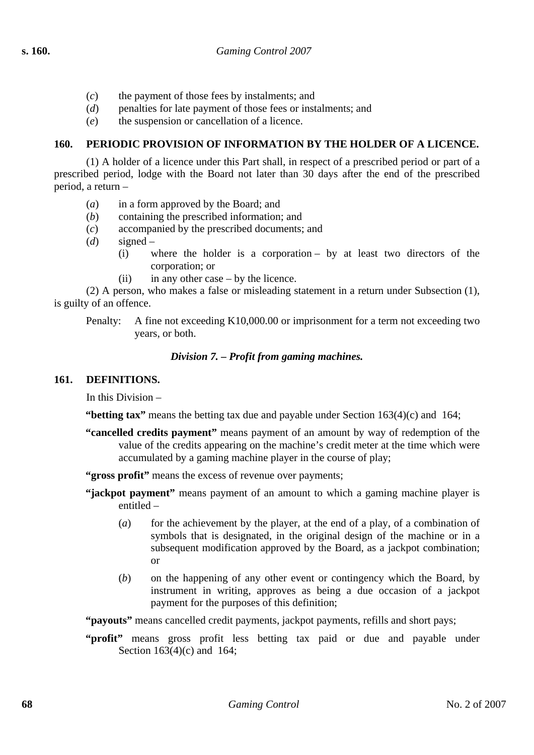- (*c*) the payment of those fees by instalments; and
- (*d*) penalties for late payment of those fees or instalments; and
- (*e*) the suspension or cancellation of a licence.

## **160. PERIODIC PROVISION OF INFORMATION BY THE HOLDER OF A LICENCE.**

(1) A holder of a licence under this Part shall, in respect of a prescribed period or part of a prescribed period, lodge with the Board not later than 30 days after the end of the prescribed period, a return –

- (*a*) in a form approved by the Board; and
- (*b*) containing the prescribed information; and
- (*c*) accompanied by the prescribed documents; and
- (*d*) signed
	- (i) where the holder is a corporation by at least two directors of the corporation; or
	- (ii) in any other case by the licence.

(2) A person, who makes a false or misleading statement in a return under Subsection (1), is guilty of an offence.

Penalty: A fine not exceeding K10,000.00 or imprisonment for a term not exceeding two years, or both.

## *Division 7. – Profit from gaming machines.*

#### **161. DEFINITIONS.**

In this Division –

**"betting tax"** means the betting tax due and payable under Section 163(4)(c) and 164;

- **"cancelled credits payment"** means payment of an amount by way of redemption of the value of the credits appearing on the machine's credit meter at the time which were accumulated by a gaming machine player in the course of play;
- **"gross profit"** means the excess of revenue over payments;
- **"jackpot payment"** means payment of an amount to which a gaming machine player is entitled –
	- (*a*) for the achievement by the player, at the end of a play, of a combination of symbols that is designated, in the original design of the machine or in a subsequent modification approved by the Board, as a jackpot combination; or
	- (*b*) on the happening of any other event or contingency which the Board, by instrument in writing, approves as being a due occasion of a jackpot payment for the purposes of this definition;

**"payouts"** means cancelled credit payments, jackpot payments, refills and short pays;

**"profit"** means gross profit less betting tax paid or due and payable under Section 163(4)(c) and 164;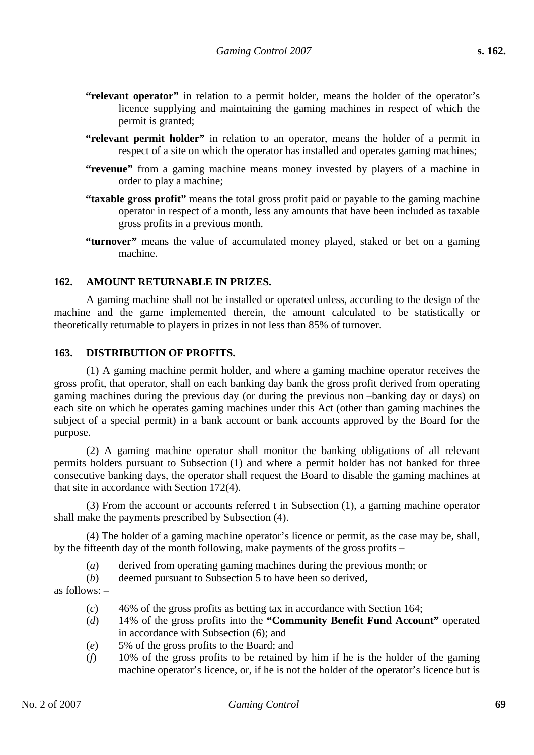- **"relevant operator"** in relation to a permit holder, means the holder of the operator's licence supplying and maintaining the gaming machines in respect of which the permit is granted;
- **"relevant permit holder"** in relation to an operator, means the holder of a permit in respect of a site on which the operator has installed and operates gaming machines;
- **"revenue"** from a gaming machine means money invested by players of a machine in order to play a machine;
- **"taxable gross profit"** means the total gross profit paid or payable to the gaming machine operator in respect of a month, less any amounts that have been included as taxable gross profits in a previous month.
- **"turnover"** means the value of accumulated money played, staked or bet on a gaming machine.

#### **162. AMOUNT RETURNABLE IN PRIZES.**

A gaming machine shall not be installed or operated unless, according to the design of the machine and the game implemented therein, the amount calculated to be statistically or theoretically returnable to players in prizes in not less than 85% of turnover.

#### **163. DISTRIBUTION OF PROFITS.**

(1) A gaming machine permit holder, and where a gaming machine operator receives the gross profit, that operator, shall on each banking day bank the gross profit derived from operating gaming machines during the previous day (or during the previous non –banking day or days) on each site on which he operates gaming machines under this Act (other than gaming machines the subject of a special permit) in a bank account or bank accounts approved by the Board for the purpose.

(2) A gaming machine operator shall monitor the banking obligations of all relevant permits holders pursuant to Subsection (1) and where a permit holder has not banked for three consecutive banking days, the operator shall request the Board to disable the gaming machines at that site in accordance with Section 172(4).

(3) From the account or accounts referred t in Subsection (1), a gaming machine operator shall make the payments prescribed by Subsection (4).

(4) The holder of a gaming machine operator's licence or permit, as the case may be, shall, by the fifteenth day of the month following, make payments of the gross profits –

- (*a*) derived from operating gaming machines during the previous month; or
- (*b*) deemed pursuant to Subsection 5 to have been so derived,

as follows: –

- (*c*) 46% of the gross profits as betting tax in accordance with Section 164;
- (*d*) 14% of the gross profits into the **"Community Benefit Fund Account"** operated in accordance with Subsection (6); and
- (*e*) 5% of the gross profits to the Board; and
- (*f*) 10% of the gross profits to be retained by him if he is the holder of the gaming machine operator's licence, or, if he is not the holder of the operator's licence but is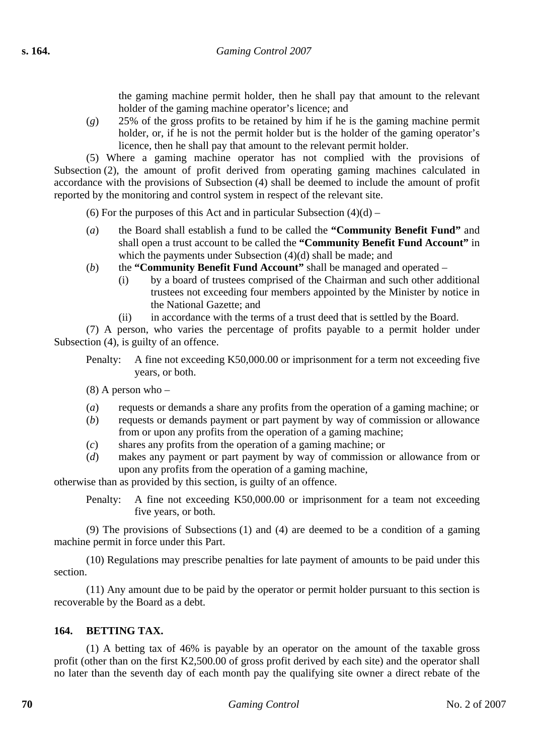the gaming machine permit holder, then he shall pay that amount to the relevant holder of the gaming machine operator's licence; and

(*g*) 25% of the gross profits to be retained by him if he is the gaming machine permit holder, or, if he is not the permit holder but is the holder of the gaming operator's licence, then he shall pay that amount to the relevant permit holder.

(5) Where a gaming machine operator has not complied with the provisions of Subsection (2), the amount of profit derived from operating gaming machines calculated in accordance with the provisions of Subsection (4) shall be deemed to include the amount of profit reported by the monitoring and control system in respect of the relevant site.

(6) For the purposes of this Act and in particular Subsection  $(4)(d)$  –

- (*a*) the Board shall establish a fund to be called the **"Community Benefit Fund"** and shall open a trust account to be called the **"Community Benefit Fund Account"** in which the payments under Subsection (4)(d) shall be made; and
- (*b*) the **"Community Benefit Fund Account"** shall be managed and operated
	- (i) by a board of trustees comprised of the Chairman and such other additional trustees not exceeding four members appointed by the Minister by notice in the National Gazette; and
	- (ii) in accordance with the terms of a trust deed that is settled by the Board.

(7) A person, who varies the percentage of profits payable to a permit holder under Subsection (4), is guilty of an offence.

Penalty: A fine not exceeding K50,000.00 or imprisonment for a term not exceeding five years, or both.

 $(8)$  A person who –

- (*a*) requests or demands a share any profits from the operation of a gaming machine; or
- (*b*) requests or demands payment or part payment by way of commission or allowance from or upon any profits from the operation of a gaming machine;
- (*c*) shares any profits from the operation of a gaming machine; or
- (*d*) makes any payment or part payment by way of commission or allowance from or upon any profits from the operation of a gaming machine,

otherwise than as provided by this section, is guilty of an offence.

Penalty: A fine not exceeding K50,000.00 or imprisonment for a team not exceeding five years, or both.

(9) The provisions of Subsections (1) and (4) are deemed to be a condition of a gaming machine permit in force under this Part.

(10) Regulations may prescribe penalties for late payment of amounts to be paid under this section.

(11) Any amount due to be paid by the operator or permit holder pursuant to this section is recoverable by the Board as a debt.

## **164. BETTING TAX.**

(1) A betting tax of 46% is payable by an operator on the amount of the taxable gross profit (other than on the first K2,500.00 of gross profit derived by each site) and the operator shall no later than the seventh day of each month pay the qualifying site owner a direct rebate of the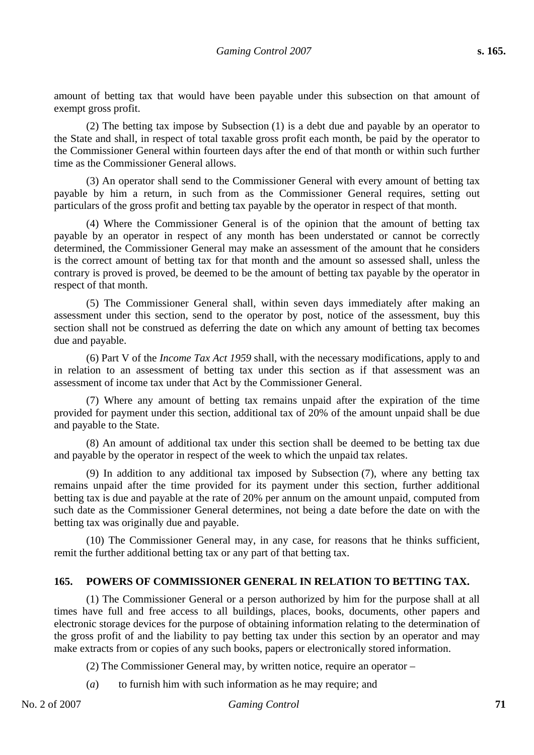amount of betting tax that would have been payable under this subsection on that amount of exempt gross profit.

(2) The betting tax impose by Subsection (1) is a debt due and payable by an operator to the State and shall, in respect of total taxable gross profit each month, be paid by the operator to the Commissioner General within fourteen days after the end of that month or within such further time as the Commissioner General allows.

(3) An operator shall send to the Commissioner General with every amount of betting tax payable by him a return, in such from as the Commissioner General requires, setting out particulars of the gross profit and betting tax payable by the operator in respect of that month.

(4) Where the Commissioner General is of the opinion that the amount of betting tax payable by an operator in respect of any month has been understated or cannot be correctly determined, the Commissioner General may make an assessment of the amount that he considers is the correct amount of betting tax for that month and the amount so assessed shall, unless the contrary is proved is proved, be deemed to be the amount of betting tax payable by the operator in respect of that month.

(5) The Commissioner General shall, within seven days immediately after making an assessment under this section, send to the operator by post, notice of the assessment, buy this section shall not be construed as deferring the date on which any amount of betting tax becomes due and payable.

(6) Part V of the *Income Tax Act 1959* shall, with the necessary modifications, apply to and in relation to an assessment of betting tax under this section as if that assessment was an assessment of income tax under that Act by the Commissioner General.

(7) Where any amount of betting tax remains unpaid after the expiration of the time provided for payment under this section, additional tax of 20% of the amount unpaid shall be due and payable to the State.

(8) An amount of additional tax under this section shall be deemed to be betting tax due and payable by the operator in respect of the week to which the unpaid tax relates.

(9) In addition to any additional tax imposed by Subsection (7), where any betting tax remains unpaid after the time provided for its payment under this section, further additional betting tax is due and payable at the rate of 20% per annum on the amount unpaid, computed from such date as the Commissioner General determines, not being a date before the date on with the betting tax was originally due and payable.

(10) The Commissioner General may, in any case, for reasons that he thinks sufficient, remit the further additional betting tax or any part of that betting tax.

## **165. POWERS OF COMMISSIONER GENERAL IN RELATION TO BETTING TAX.**

(1) The Commissioner General or a person authorized by him for the purpose shall at all times have full and free access to all buildings, places, books, documents, other papers and electronic storage devices for the purpose of obtaining information relating to the determination of the gross profit of and the liability to pay betting tax under this section by an operator and may make extracts from or copies of any such books, papers or electronically stored information.

(2) The Commissioner General may, by written notice, require an operator –

(*a*) to furnish him with such information as he may require; and

No. 2 of 2007 *Gaming Control* **71**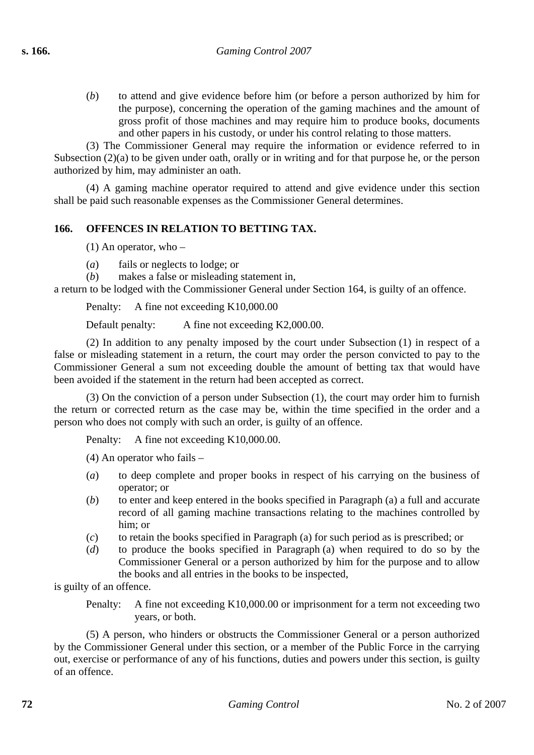(*b*) to attend and give evidence before him (or before a person authorized by him for the purpose), concerning the operation of the gaming machines and the amount of gross profit of those machines and may require him to produce books, documents and other papers in his custody, or under his control relating to those matters.

(3) The Commissioner General may require the information or evidence referred to in Subsection (2)(a) to be given under oath, orally or in writing and for that purpose he, or the person authorized by him, may administer an oath.

(4) A gaming machine operator required to attend and give evidence under this section shall be paid such reasonable expenses as the Commissioner General determines.

## **166. OFFENCES IN RELATION TO BETTING TAX.**

(1) An operator, who –

- (*a*) fails or neglects to lodge; or
- (*b*) makes a false or misleading statement in,

a return to be lodged with the Commissioner General under Section 164, is guilty of an offence.

Penalty: A fine not exceeding K10,000.00

Default penalty: A fine not exceeding K2,000.00.

(2) In addition to any penalty imposed by the court under Subsection (1) in respect of a false or misleading statement in a return, the court may order the person convicted to pay to the Commissioner General a sum not exceeding double the amount of betting tax that would have been avoided if the statement in the return had been accepted as correct.

(3) On the conviction of a person under Subsection (1), the court may order him to furnish the return or corrected return as the case may be, within the time specified in the order and a person who does not comply with such an order, is guilty of an offence.

Penalty: A fine not exceeding K10,000,00.

(4) An operator who fails –

- (*a*) to deep complete and proper books in respect of his carrying on the business of operator; or
- (*b*) to enter and keep entered in the books specified in Paragraph (a) a full and accurate record of all gaming machine transactions relating to the machines controlled by him; or
- (*c*) to retain the books specified in Paragraph (a) for such period as is prescribed; or
- (*d*) to produce the books specified in Paragraph (a) when required to do so by the Commissioner General or a person authorized by him for the purpose and to allow the books and all entries in the books to be inspected,

is guilty of an offence.

Penalty: A fine not exceeding K10,000.00 or imprisonment for a term not exceeding two years, or both.

(5) A person, who hinders or obstructs the Commissioner General or a person authorized by the Commissioner General under this section, or a member of the Public Force in the carrying out, exercise or performance of any of his functions, duties and powers under this section, is guilty of an offence.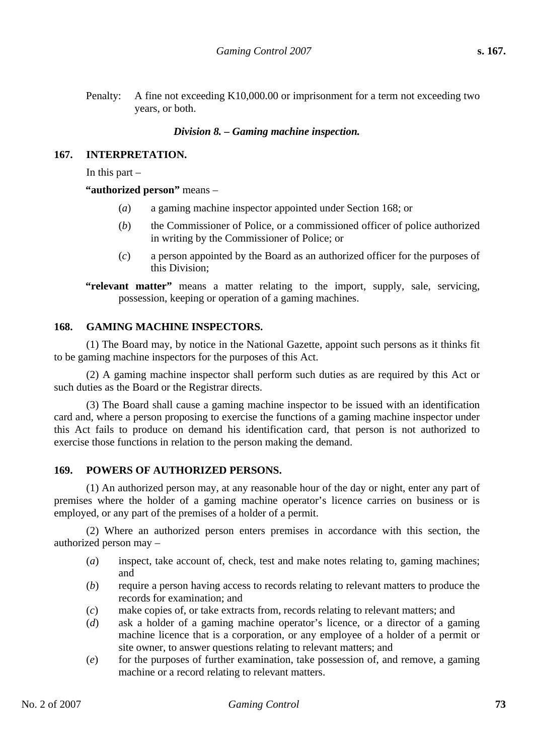Penalty: A fine not exceeding K10,000.00 or imprisonment for a term not exceeding two years, or both.

#### *Division 8. – Gaming machine inspection.*

#### **167. INTERPRETATION.**

In this part  $-$ 

#### **"authorized person"** means –

- (*a*) a gaming machine inspector appointed under Section 168; or
- (*b*) the Commissioner of Police, or a commissioned officer of police authorized in writing by the Commissioner of Police; or
- (*c*) a person appointed by the Board as an authorized officer for the purposes of this Division;

**"relevant matter"** means a matter relating to the import, supply, sale, servicing, possession, keeping or operation of a gaming machines.

#### **168. GAMING MACHINE INSPECTORS.**

(1) The Board may, by notice in the National Gazette, appoint such persons as it thinks fit to be gaming machine inspectors for the purposes of this Act.

(2) A gaming machine inspector shall perform such duties as are required by this Act or such duties as the Board or the Registrar directs.

(3) The Board shall cause a gaming machine inspector to be issued with an identification card and, where a person proposing to exercise the functions of a gaming machine inspector under this Act fails to produce on demand his identification card, that person is not authorized to exercise those functions in relation to the person making the demand.

#### **169. POWERS OF AUTHORIZED PERSONS.**

(1) An authorized person may, at any reasonable hour of the day or night, enter any part of premises where the holder of a gaming machine operator's licence carries on business or is employed, or any part of the premises of a holder of a permit.

(2) Where an authorized person enters premises in accordance with this section, the authorized person may –

- (*a*) inspect, take account of, check, test and make notes relating to, gaming machines; and
- (*b*) require a person having access to records relating to relevant matters to produce the records for examination; and
- (*c*) make copies of, or take extracts from, records relating to relevant matters; and
- (*d*) ask a holder of a gaming machine operator's licence, or a director of a gaming machine licence that is a corporation, or any employee of a holder of a permit or site owner, to answer questions relating to relevant matters; and
- (*e*) for the purposes of further examination, take possession of, and remove, a gaming machine or a record relating to relevant matters.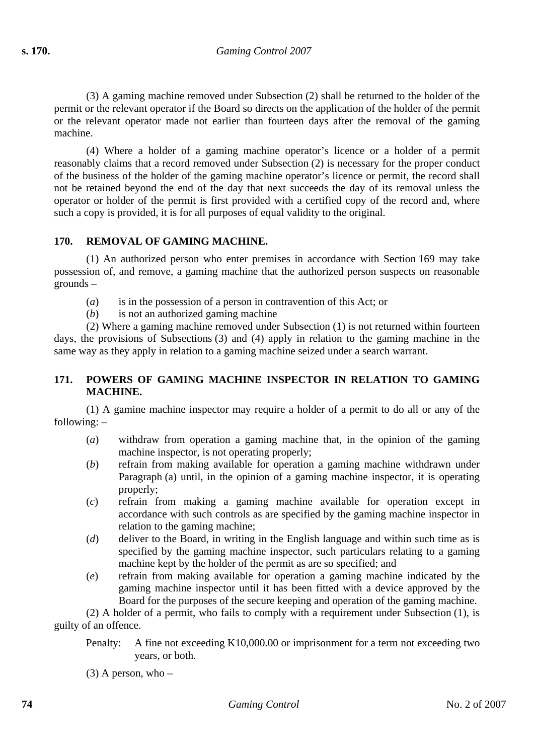(3) A gaming machine removed under Subsection (2) shall be returned to the holder of the permit or the relevant operator if the Board so directs on the application of the holder of the permit or the relevant operator made not earlier than fourteen days after the removal of the gaming machine.

(4) Where a holder of a gaming machine operator's licence or a holder of a permit reasonably claims that a record removed under Subsection (2) is necessary for the proper conduct of the business of the holder of the gaming machine operator's licence or permit, the record shall not be retained beyond the end of the day that next succeeds the day of its removal unless the operator or holder of the permit is first provided with a certified copy of the record and, where such a copy is provided, it is for all purposes of equal validity to the original.

#### **170. REMOVAL OF GAMING MACHINE.**

(1) An authorized person who enter premises in accordance with Section 169 may take possession of, and remove, a gaming machine that the authorized person suspects on reasonable grounds –

- (*a*) is in the possession of a person in contravention of this Act; or
- (*b*) is not an authorized gaming machine

(2) Where a gaming machine removed under Subsection (1) is not returned within fourteen days, the provisions of Subsections (3) and (4) apply in relation to the gaming machine in the same way as they apply in relation to a gaming machine seized under a search warrant.

## **171. POWERS OF GAMING MACHINE INSPECTOR IN RELATION TO GAMING MACHINE.**

(1) A gamine machine inspector may require a holder of a permit to do all or any of the following: –

- (*a*) withdraw from operation a gaming machine that, in the opinion of the gaming machine inspector, is not operating properly;
- (*b*) refrain from making available for operation a gaming machine withdrawn under Paragraph (a) until, in the opinion of a gaming machine inspector, it is operating properly;
- (*c*) refrain from making a gaming machine available for operation except in accordance with such controls as are specified by the gaming machine inspector in relation to the gaming machine;
- (*d*) deliver to the Board, in writing in the English language and within such time as is specified by the gaming machine inspector, such particulars relating to a gaming machine kept by the holder of the permit as are so specified; and
- (*e*) refrain from making available for operation a gaming machine indicated by the gaming machine inspector until it has been fitted with a device approved by the Board for the purposes of the secure keeping and operation of the gaming machine.

(2) A holder of a permit, who fails to comply with a requirement under Subsection (1), is guilty of an offence.

Penalty: A fine not exceeding K10,000.00 or imprisonment for a term not exceeding two years, or both.

 $(3)$  A person, who –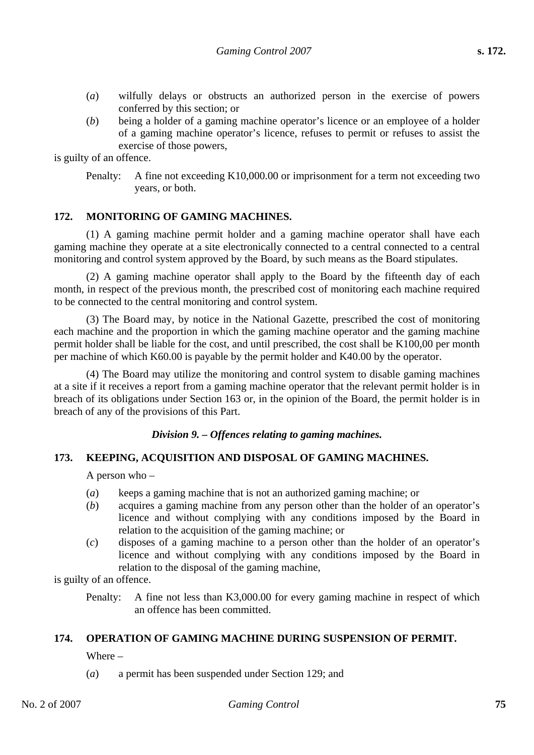- (*a*) wilfully delays or obstructs an authorized person in the exercise of powers conferred by this section; or
- (*b*) being a holder of a gaming machine operator's licence or an employee of a holder of a gaming machine operator's licence, refuses to permit or refuses to assist the exercise of those powers,

is guilty of an offence.

Penalty: A fine not exceeding K10,000.00 or imprisonment for a term not exceeding two years, or both.

#### **172. MONITORING OF GAMING MACHINES.**

(1) A gaming machine permit holder and a gaming machine operator shall have each gaming machine they operate at a site electronically connected to a central connected to a central monitoring and control system approved by the Board, by such means as the Board stipulates.

(2) A gaming machine operator shall apply to the Board by the fifteenth day of each month, in respect of the previous month, the prescribed cost of monitoring each machine required to be connected to the central monitoring and control system.

(3) The Board may, by notice in the National Gazette, prescribed the cost of monitoring each machine and the proportion in which the gaming machine operator and the gaming machine permit holder shall be liable for the cost, and until prescribed, the cost shall be K100,00 per month per machine of which K60.00 is payable by the permit holder and K40.00 by the operator.

(4) The Board may utilize the monitoring and control system to disable gaming machines at a site if it receives a report from a gaming machine operator that the relevant permit holder is in breach of its obligations under Section 163 or, in the opinion of the Board, the permit holder is in breach of any of the provisions of this Part.

## *Division 9. – Offences relating to gaming machines.*

#### **173. KEEPING, ACQUISITION AND DISPOSAL OF GAMING MACHINES.**

A person who –

- (*a*) keeps a gaming machine that is not an authorized gaming machine; or
- (*b*) acquires a gaming machine from any person other than the holder of an operator's licence and without complying with any conditions imposed by the Board in relation to the acquisition of the gaming machine; or
- (*c*) disposes of a gaming machine to a person other than the holder of an operator's licence and without complying with any conditions imposed by the Board in relation to the disposal of the gaming machine,

is guilty of an offence.

Penalty: A fine not less than K3,000.00 for every gaming machine in respect of which an offence has been committed.

#### **174. OPERATION OF GAMING MACHINE DURING SUSPENSION OF PERMIT.**

Where –

(*a*) a permit has been suspended under Section 129; and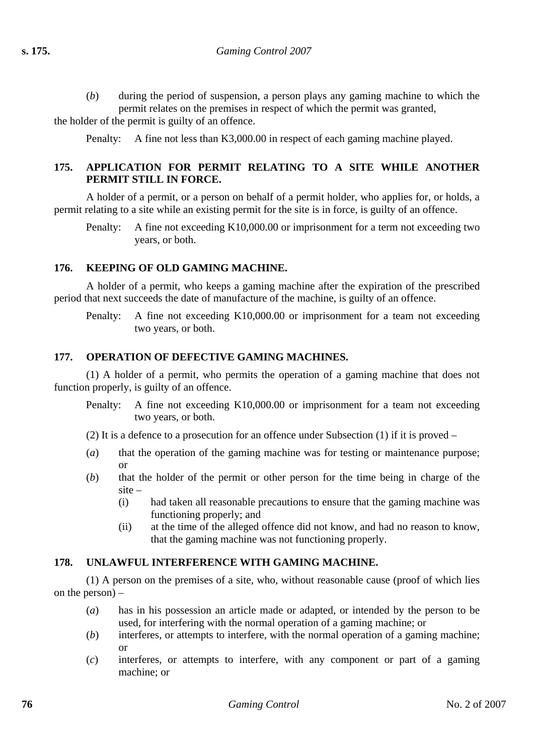(*b*) during the period of suspension, a person plays any gaming machine to which the permit relates on the premises in respect of which the permit was granted,

the holder of the permit is guilty of an offence.

Penalty: A fine not less than K3,000.00 in respect of each gaming machine played.

## **175. APPLICATION FOR PERMIT RELATING TO A SITE WHILE ANOTHER PERMIT STILL IN FORCE.**

A holder of a permit, or a person on behalf of a permit holder, who applies for, or holds, a permit relating to a site while an existing permit for the site is in force, is guilty of an offence.

Penalty: A fine not exceeding K10,000.00 or imprisonment for a term not exceeding two years, or both.

## **176. KEEPING OF OLD GAMING MACHINE.**

A holder of a permit, who keeps a gaming machine after the expiration of the prescribed period that next succeeds the date of manufacture of the machine, is guilty of an offence.

Penalty: A fine not exceeding K10,000.00 or imprisonment for a team not exceeding two years, or both.

## **177. OPERATION OF DEFECTIVE GAMING MACHINES.**

(1) A holder of a permit, who permits the operation of a gaming machine that does not function properly, is guilty of an offence.

Penalty: A fine not exceeding K10,000.00 or imprisonment for a team not exceeding two years, or both.

(2) It is a defence to a prosecution for an offence under Subsection (1) if it is proved –

- (*a*) that the operation of the gaming machine was for testing or maintenance purpose; or
- (*b*) that the holder of the permit or other person for the time being in charge of the site –
	- (i) had taken all reasonable precautions to ensure that the gaming machine was functioning properly; and
	- (ii) at the time of the alleged offence did not know, and had no reason to know, that the gaming machine was not functioning properly.

## **178. UNLAWFUL INTERFERENCE WITH GAMING MACHINE.**

(1) A person on the premises of a site, who, without reasonable cause (proof of which lies on the person) –

- (*a*) has in his possession an article made or adapted, or intended by the person to be used, for interfering with the normal operation of a gaming machine; or
- (*b*) interferes, or attempts to interfere, with the normal operation of a gaming machine; or
- (*c*) interferes, or attempts to interfere, with any component or part of a gaming machine; or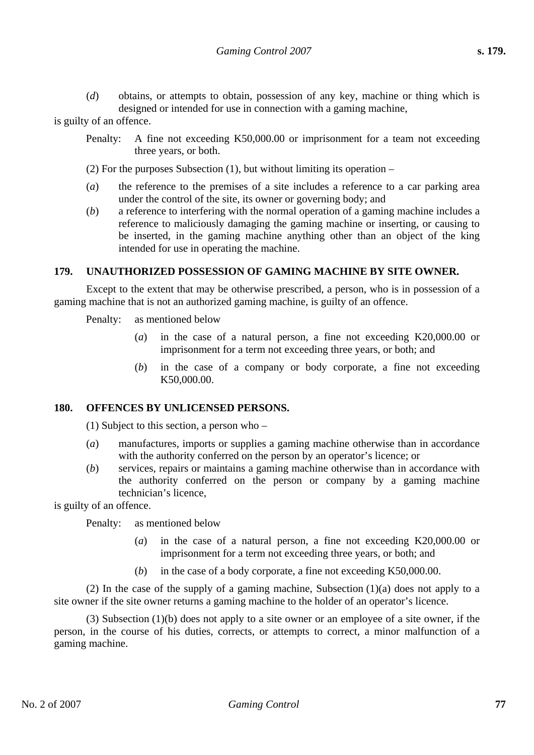(*d*) obtains, or attempts to obtain, possession of any key, machine or thing which is designed or intended for use in connection with a gaming machine,

is guilty of an offence.

Penalty: A fine not exceeding K50,000.00 or imprisonment for a team not exceeding three years, or both.

(2) For the purposes Subsection (1), but without limiting its operation –

- (*a*) the reference to the premises of a site includes a reference to a car parking area under the control of the site, its owner or governing body; and
- (*b*) a reference to interfering with the normal operation of a gaming machine includes a reference to maliciously damaging the gaming machine or inserting, or causing to be inserted, in the gaming machine anything other than an object of the king intended for use in operating the machine.

#### **179. UNAUTHORIZED POSSESSION OF GAMING MACHINE BY SITE OWNER.**

Except to the extent that may be otherwise prescribed, a person, who is in possession of a gaming machine that is not an authorized gaming machine, is guilty of an offence.

Penalty: as mentioned below

- (*a*) in the case of a natural person, a fine not exceeding K20,000.00 or imprisonment for a term not exceeding three years, or both; and
- (*b*) in the case of a company or body corporate, a fine not exceeding K50,000.00.

## **180. OFFENCES BY UNLICENSED PERSONS.**

(1) Subject to this section, a person who –

- (*a*) manufactures, imports or supplies a gaming machine otherwise than in accordance with the authority conferred on the person by an operator's licence; or
- (*b*) services, repairs or maintains a gaming machine otherwise than in accordance with the authority conferred on the person or company by a gaming machine technician's licence,

is guilty of an offence.

Penalty: as mentioned below

- (*a*) in the case of a natural person, a fine not exceeding K20,000.00 or imprisonment for a term not exceeding three years, or both; and
- (*b*) in the case of a body corporate, a fine not exceeding K50,000.00.

(2) In the case of the supply of a gaming machine, Subsection  $(1)(a)$  does not apply to a site owner if the site owner returns a gaming machine to the holder of an operator's licence.

(3) Subsection (1)(b) does not apply to a site owner or an employee of a site owner, if the person, in the course of his duties, corrects, or attempts to correct, a minor malfunction of a gaming machine.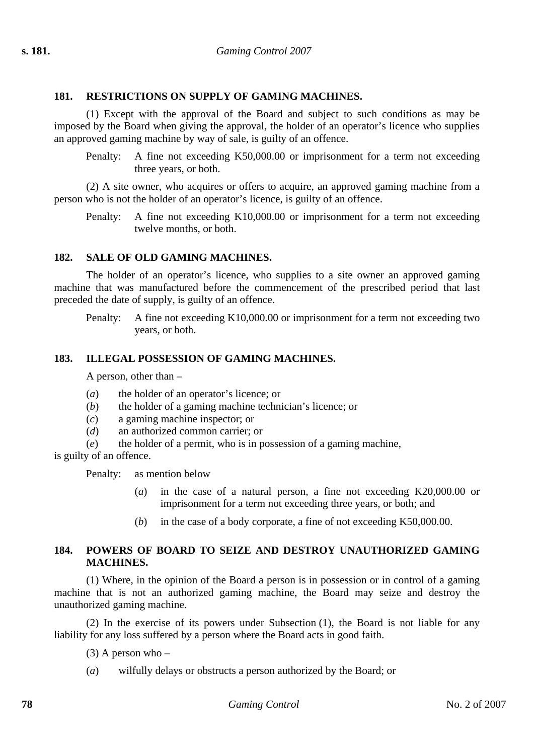#### **181. RESTRICTIONS ON SUPPLY OF GAMING MACHINES.**

(1) Except with the approval of the Board and subject to such conditions as may be imposed by the Board when giving the approval, the holder of an operator's licence who supplies an approved gaming machine by way of sale, is guilty of an offence.

Penalty: A fine not exceeding K50,000.00 or imprisonment for a term not exceeding three years, or both.

(2) A site owner, who acquires or offers to acquire, an approved gaming machine from a person who is not the holder of an operator's licence, is guilty of an offence.

Penalty: A fine not exceeding K10,000.00 or imprisonment for a term not exceeding twelve months, or both.

#### **182. SALE OF OLD GAMING MACHINES.**

The holder of an operator's licence, who supplies to a site owner an approved gaming machine that was manufactured before the commencement of the prescribed period that last preceded the date of supply, is guilty of an offence.

Penalty: A fine not exceeding K10,000.00 or imprisonment for a term not exceeding two years, or both.

#### **183. ILLEGAL POSSESSION OF GAMING MACHINES.**

A person, other than –

- (*a*) the holder of an operator's licence; or
- (*b*) the holder of a gaming machine technician's licence; or
- (*c*) a gaming machine inspector; or
- (*d*) an authorized common carrier; or

(*e*) the holder of a permit, who is in possession of a gaming machine,

is guilty of an offence.

Penalty: as mention below

- (*a*) in the case of a natural person, a fine not exceeding K20,000.00 or imprisonment for a term not exceeding three years, or both; and
- (*b*) in the case of a body corporate, a fine of not exceeding K50,000.00.

#### **184. POWERS OF BOARD TO SEIZE AND DESTROY UNAUTHORIZED GAMING MACHINES.**

(1) Where, in the opinion of the Board a person is in possession or in control of a gaming machine that is not an authorized gaming machine, the Board may seize and destroy the unauthorized gaming machine.

(2) In the exercise of its powers under Subsection (1), the Board is not liable for any liability for any loss suffered by a person where the Board acts in good faith.

 $(3)$  A person who –

(*a*) wilfully delays or obstructs a person authorized by the Board; or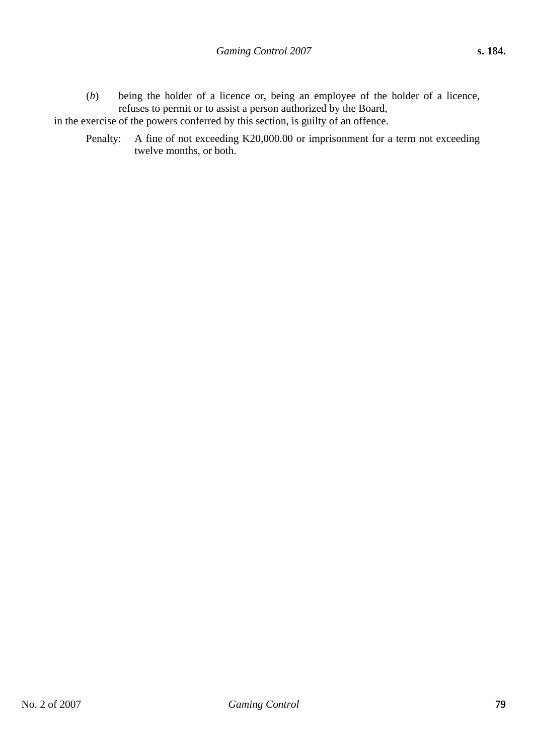(*b*) being the holder of a licence or, being an employee of the holder of a licence, refuses to permit or to assist a person authorized by the Board,

in the exercise of the powers conferred by this section, is guilty of an offence.

Penalty: A fine of not exceeding K20,000.00 or imprisonment for a term not exceeding twelve months, or both.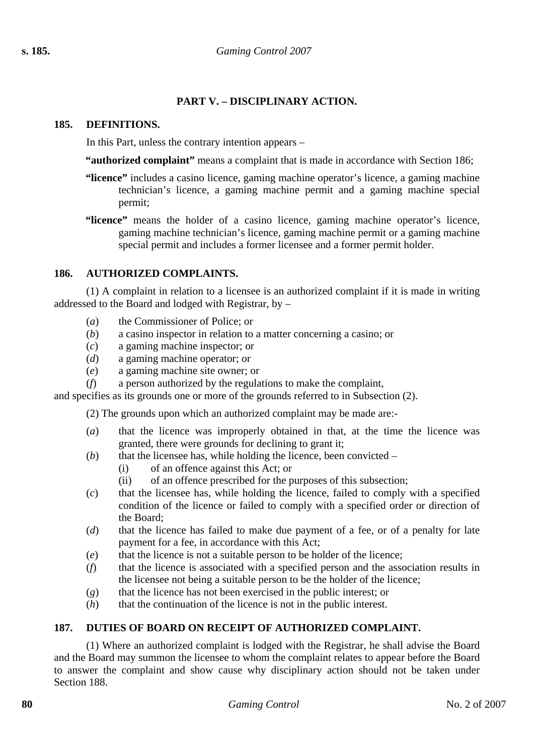## **PART V. – DISCIPLINARY ACTION.**

#### **185. DEFINITIONS.**

In this Part, unless the contrary intention appears –

**"authorized complaint"** means a complaint that is made in accordance with Section 186;

- **"licence"** includes a casino licence, gaming machine operator's licence, a gaming machine technician's licence, a gaming machine permit and a gaming machine special permit;
- **"licence"** means the holder of a casino licence, gaming machine operator's licence, gaming machine technician's licence, gaming machine permit or a gaming machine special permit and includes a former licensee and a former permit holder.

## **186. AUTHORIZED COMPLAINTS.**

(1) A complaint in relation to a licensee is an authorized complaint if it is made in writing addressed to the Board and lodged with Registrar, by –

- (*a*) the Commissioner of Police; or
- (*b*) a casino inspector in relation to a matter concerning a casino; or
- (*c*) a gaming machine inspector; or
- (*d*) a gaming machine operator; or
- (*e*) a gaming machine site owner; or
- (*f*) a person authorized by the regulations to make the complaint,

and specifies as its grounds one or more of the grounds referred to in Subsection (2).

(2) The grounds upon which an authorized complaint may be made are:-

- (*a*) that the licence was improperly obtained in that, at the time the licence was granted, there were grounds for declining to grant it;
- (*b*) that the licensee has, while holding the licence, been convicted
	- (i) of an offence against this Act; or
	- (ii) of an offence prescribed for the purposes of this subsection;
- (*c*) that the licensee has, while holding the licence, failed to comply with a specified condition of the licence or failed to comply with a specified order or direction of the Board;
- (*d*) that the licence has failed to make due payment of a fee, or of a penalty for late payment for a fee, in accordance with this Act;
- (*e*) that the licence is not a suitable person to be holder of the licence;
- (*f*) that the licence is associated with a specified person and the association results in the licensee not being a suitable person to be the holder of the licence;
- (*g*) that the licence has not been exercised in the public interest; or
- (*h*) that the continuation of the licence is not in the public interest.

## **187. DUTIES OF BOARD ON RECEIPT OF AUTHORIZED COMPLAINT.**

(1) Where an authorized complaint is lodged with the Registrar, he shall advise the Board and the Board may summon the licensee to whom the complaint relates to appear before the Board to answer the complaint and show cause why disciplinary action should not be taken under Section 188.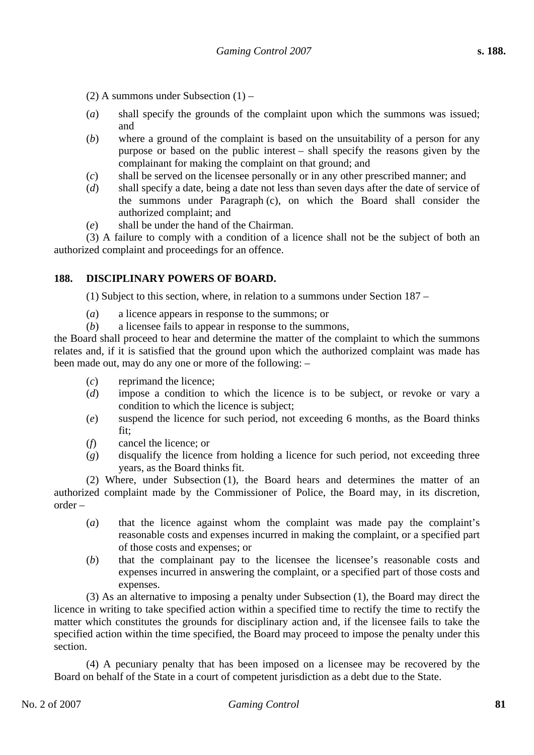(2) A summons under Subsection (1) –

- (*a*) shall specify the grounds of the complaint upon which the summons was issued; and
- (*b*) where a ground of the complaint is based on the unsuitability of a person for any purpose or based on the public interest – shall specify the reasons given by the complainant for making the complaint on that ground; and
- (*c*) shall be served on the licensee personally or in any other prescribed manner; and
- (*d*) shall specify a date, being a date not less than seven days after the date of service of the summons under Paragraph (c), on which the Board shall consider the authorized complaint; and
- (*e*) shall be under the hand of the Chairman.

(3) A failure to comply with a condition of a licence shall not be the subject of both an authorized complaint and proceedings for an offence.

## **188. DISCIPLINARY POWERS OF BOARD.**

(1) Subject to this section, where, in relation to a summons under Section 187 –

- (*a*) a licence appears in response to the summons; or
- (*b*) a licensee fails to appear in response to the summons,

the Board shall proceed to hear and determine the matter of the complaint to which the summons relates and, if it is satisfied that the ground upon which the authorized complaint was made has been made out, may do any one or more of the following: –

- (*c*) reprimand the licence;
- (*d*) impose a condition to which the licence is to be subject, or revoke or vary a condition to which the licence is subject;
- (*e*) suspend the licence for such period, not exceeding 6 months, as the Board thinks fit;
- (*f*) cancel the licence; or
- (*g*) disqualify the licence from holding a licence for such period, not exceeding three years, as the Board thinks fit.

(2) Where, under Subsection (1), the Board hears and determines the matter of an authorized complaint made by the Commissioner of Police, the Board may, in its discretion, order –

- (*a*) that the licence against whom the complaint was made pay the complaint's reasonable costs and expenses incurred in making the complaint, or a specified part of those costs and expenses; or
- (*b*) that the complainant pay to the licensee the licensee's reasonable costs and expenses incurred in answering the complaint, or a specified part of those costs and expenses.

(3) As an alternative to imposing a penalty under Subsection (1), the Board may direct the licence in writing to take specified action within a specified time to rectify the time to rectify the matter which constitutes the grounds for disciplinary action and, if the licensee fails to take the specified action within the time specified, the Board may proceed to impose the penalty under this section.

(4) A pecuniary penalty that has been imposed on a licensee may be recovered by the Board on behalf of the State in a court of competent jurisdiction as a debt due to the State.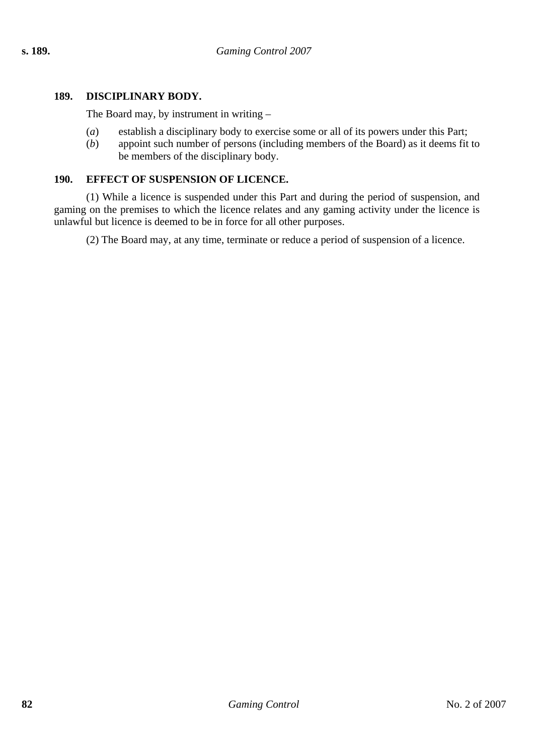## **189. DISCIPLINARY BODY.**

The Board may, by instrument in writing –

- (*a*) establish a disciplinary body to exercise some or all of its powers under this Part;
- (*b*) appoint such number of persons (including members of the Board) as it deems fit to be members of the disciplinary body.

## **190. EFFECT OF SUSPENSION OF LICENCE.**

(1) While a licence is suspended under this Part and during the period of suspension, and gaming on the premises to which the licence relates and any gaming activity under the licence is unlawful but licence is deemed to be in force for all other purposes.

(2) The Board may, at any time, terminate or reduce a period of suspension of a licence.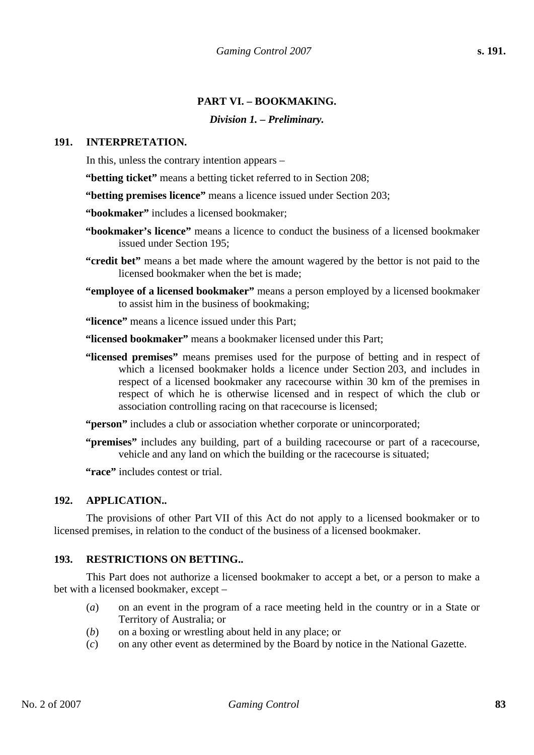## **PART VI. – BOOKMAKING.**

## *Division 1. – Preliminary.*

#### **191. INTERPRETATION.**

In this, unless the contrary intention appears –

**"betting ticket"** means a betting ticket referred to in Section 208;

**"betting premises licence"** means a licence issued under Section 203;

**"bookmaker"** includes a licensed bookmaker;

- **"bookmaker's licence"** means a licence to conduct the business of a licensed bookmaker issued under Section 195;
- **"credit bet"** means a bet made where the amount wagered by the bettor is not paid to the licensed bookmaker when the bet is made;
- **"employee of a licensed bookmaker"** means a person employed by a licensed bookmaker to assist him in the business of bookmaking;

**"licence"** means a licence issued under this Part;

**"licensed bookmaker"** means a bookmaker licensed under this Part;

**"licensed premises"** means premises used for the purpose of betting and in respect of which a licensed bookmaker holds a licence under Section 203, and includes in respect of a licensed bookmaker any racecourse within 30 km of the premises in respect of which he is otherwise licensed and in respect of which the club or association controlling racing on that racecourse is licensed;

"**person**" includes a club or association whether corporate or unincorporated;

**"premises"** includes any building, part of a building racecourse or part of a racecourse, vehicle and any land on which the building or the racecourse is situated;

**"race"** includes contest or trial.

#### **192. APPLICATION..**

The provisions of other Part VII of this Act do not apply to a licensed bookmaker or to licensed premises, in relation to the conduct of the business of a licensed bookmaker.

#### **193. RESTRICTIONS ON BETTING..**

This Part does not authorize a licensed bookmaker to accept a bet, or a person to make a bet with a licensed bookmaker, except –

- (*a*) on an event in the program of a race meeting held in the country or in a State or Territory of Australia; or
- (*b*) on a boxing or wrestling about held in any place; or
- (*c*) on any other event as determined by the Board by notice in the National Gazette.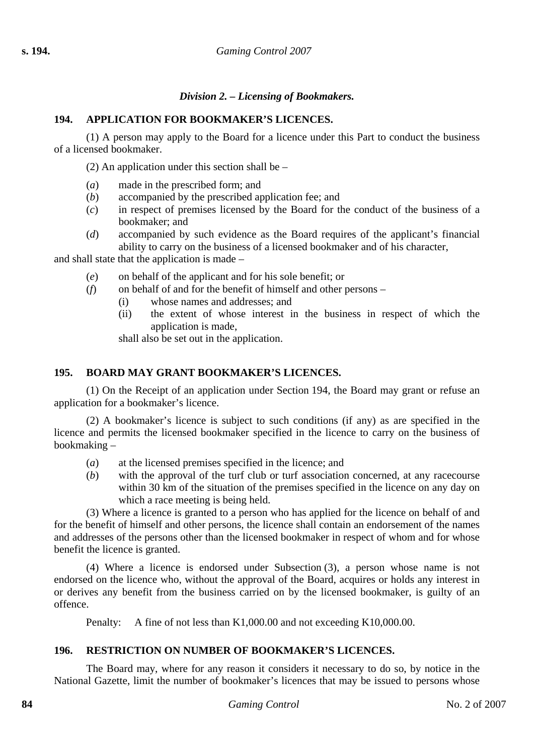## *Division 2. – Licensing of Bookmakers.*

## **194. APPLICATION FOR BOOKMAKER'S LICENCES.**

(1) A person may apply to the Board for a licence under this Part to conduct the business of a licensed bookmaker.

(2) An application under this section shall be –

- (*a*) made in the prescribed form; and
- (*b*) accompanied by the prescribed application fee; and
- (*c*) in respect of premises licensed by the Board for the conduct of the business of a bookmaker; and
- (*d*) accompanied by such evidence as the Board requires of the applicant's financial ability to carry on the business of a licensed bookmaker and of his character,

and shall state that the application is made –

- (*e*) on behalf of the applicant and for his sole benefit; or
- $(f)$  on behalf of and for the benefit of himself and other persons
	- (i) whose names and addresses; and
	- (ii) the extent of whose interest in the business in respect of which the application is made,

shall also be set out in the application.

#### **195. BOARD MAY GRANT BOOKMAKER'S LICENCES.**

(1) On the Receipt of an application under Section 194, the Board may grant or refuse an application for a bookmaker's licence.

(2) A bookmaker's licence is subject to such conditions (if any) as are specified in the licence and permits the licensed bookmaker specified in the licence to carry on the business of bookmaking –

- (*a*) at the licensed premises specified in the licence; and
- (*b*) with the approval of the turf club or turf association concerned, at any racecourse within 30 km of the situation of the premises specified in the licence on any day on which a race meeting is being held.

(3) Where a licence is granted to a person who has applied for the licence on behalf of and for the benefit of himself and other persons, the licence shall contain an endorsement of the names and addresses of the persons other than the licensed bookmaker in respect of whom and for whose benefit the licence is granted.

(4) Where a licence is endorsed under Subsection (3), a person whose name is not endorsed on the licence who, without the approval of the Board, acquires or holds any interest in or derives any benefit from the business carried on by the licensed bookmaker, is guilty of an offence.

Penalty: A fine of not less than K1,000.00 and not exceeding K10,000.00.

## **196. RESTRICTION ON NUMBER OF BOOKMAKER'S LICENCES.**

The Board may, where for any reason it considers it necessary to do so, by notice in the National Gazette, limit the number of bookmaker's licences that may be issued to persons whose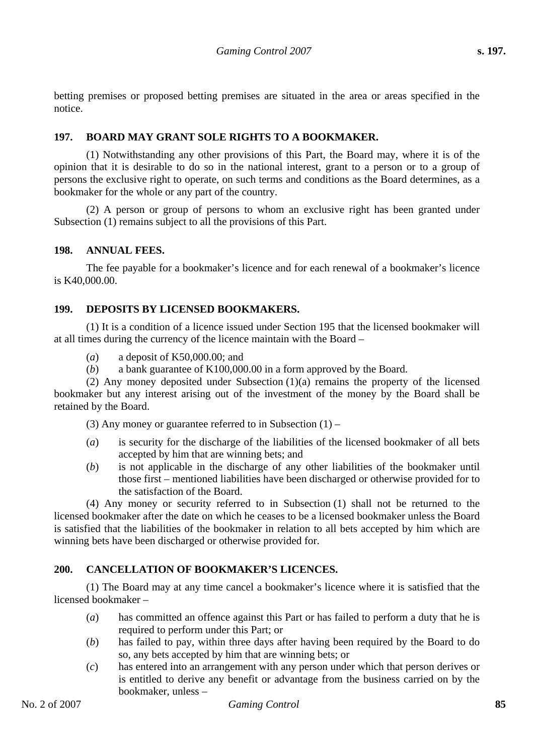betting premises or proposed betting premises are situated in the area or areas specified in the notice.

#### **197. BOARD MAY GRANT SOLE RIGHTS TO A BOOKMAKER.**

(1) Notwithstanding any other provisions of this Part, the Board may, where it is of the opinion that it is desirable to do so in the national interest, grant to a person or to a group of persons the exclusive right to operate, on such terms and conditions as the Board determines, as a bookmaker for the whole or any part of the country.

(2) A person or group of persons to whom an exclusive right has been granted under Subsection (1) remains subject to all the provisions of this Part.

#### **198. ANNUAL FEES.**

The fee payable for a bookmaker's licence and for each renewal of a bookmaker's licence is K40,000.00.

#### **199. DEPOSITS BY LICENSED BOOKMAKERS.**

(1) It is a condition of a licence issued under Section 195 that the licensed bookmaker will at all times during the currency of the licence maintain with the Board –

- (*a*) a deposit of K50,000.00; and
- (*b*) a bank guarantee of K100,000.00 in a form approved by the Board.

(2) Any money deposited under Subsection (1)(a) remains the property of the licensed bookmaker but any interest arising out of the investment of the money by the Board shall be retained by the Board.

(3) Any money or guarantee referred to in Subsection  $(1)$  –

- (*a*) is security for the discharge of the liabilities of the licensed bookmaker of all bets accepted by him that are winning bets; and
- (*b*) is not applicable in the discharge of any other liabilities of the bookmaker until those first – mentioned liabilities have been discharged or otherwise provided for to the satisfaction of the Board.

(4) Any money or security referred to in Subsection (1) shall not be returned to the licensed bookmaker after the date on which he ceases to be a licensed bookmaker unless the Board is satisfied that the liabilities of the bookmaker in relation to all bets accepted by him which are winning bets have been discharged or otherwise provided for.

#### **200. CANCELLATION OF BOOKMAKER'S LICENCES.**

(1) The Board may at any time cancel a bookmaker's licence where it is satisfied that the licensed bookmaker –

- (*a*) has committed an offence against this Part or has failed to perform a duty that he is required to perform under this Part; or
- (*b*) has failed to pay, within three days after having been required by the Board to do so, any bets accepted by him that are winning bets; or
- (*c*) has entered into an arrangement with any person under which that person derives or is entitled to derive any benefit or advantage from the business carried on by the bookmaker, unless –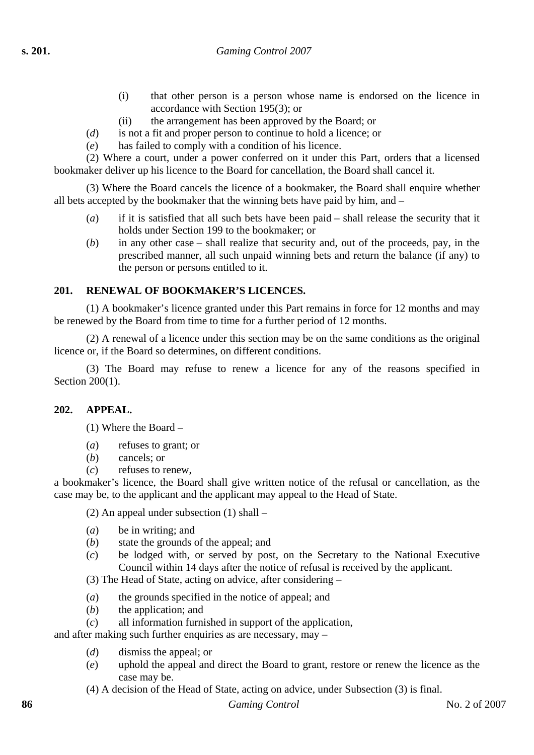- (i) that other person is a person whose name is endorsed on the licence in accordance with Section 195(3); or
- (ii) the arrangement has been approved by the Board; or
- (*d*) is not a fit and proper person to continue to hold a licence; or
- (*e*) has failed to comply with a condition of his licence.

(2) Where a court, under a power conferred on it under this Part, orders that a licensed bookmaker deliver up his licence to the Board for cancellation, the Board shall cancel it.

(3) Where the Board cancels the licence of a bookmaker, the Board shall enquire whether all bets accepted by the bookmaker that the winning bets have paid by him, and –

- (*a*) if it is satisfied that all such bets have been paid shall release the security that it holds under Section 199 to the bookmaker; or
- (*b*) in any other case shall realize that security and, out of the proceeds, pay, in the prescribed manner, all such unpaid winning bets and return the balance (if any) to the person or persons entitled to it.

## **201. RENEWAL OF BOOKMAKER'S LICENCES.**

(1) A bookmaker's licence granted under this Part remains in force for 12 months and may be renewed by the Board from time to time for a further period of 12 months.

(2) A renewal of a licence under this section may be on the same conditions as the original licence or, if the Board so determines, on different conditions.

(3) The Board may refuse to renew a licence for any of the reasons specified in Section 200(1).

## **202. APPEAL.**

(1) Where the Board –

- (*a*) refuses to grant; or
- (*b*) cancels; or
- (*c*) refuses to renew,

a bookmaker's licence, the Board shall give written notice of the refusal or cancellation, as the case may be, to the applicant and the applicant may appeal to the Head of State.

(2) An appeal under subsection (1) shall –

- (*a*) be in writing; and
- (*b*) state the grounds of the appeal; and
- (*c*) be lodged with, or served by post, on the Secretary to the National Executive Council within 14 days after the notice of refusal is received by the applicant.

(3) The Head of State, acting on advice, after considering –

- (*a*) the grounds specified in the notice of appeal; and
- (*b*) the application; and
- (*c*) all information furnished in support of the application,

and after making such further enquiries as are necessary, may –

- (*d*) dismiss the appeal; or
- (*e*) uphold the appeal and direct the Board to grant, restore or renew the licence as the case may be.
- (4) A decision of the Head of State, acting on advice, under Subsection (3) is final.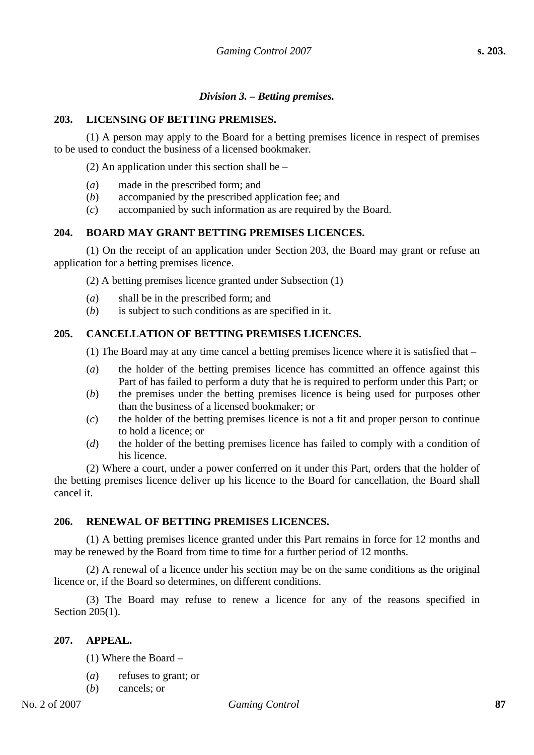#### *Division 3. – Betting premises.*

#### **203. LICENSING OF BETTING PREMISES.**

(1) A person may apply to the Board for a betting premises licence in respect of premises to be used to conduct the business of a licensed bookmaker.

(2) An application under this section shall be –

- (*a*) made in the prescribed form; and
- (*b*) accompanied by the prescribed application fee; and
- (*c*) accompanied by such information as are required by the Board.

#### **204. BOARD MAY GRANT BETTING PREMISES LICENCES.**

(1) On the receipt of an application under Section 203, the Board may grant or refuse an application for a betting premises licence.

(2) A betting premises licence granted under Subsection (1)

- (*a*) shall be in the prescribed form; and
- (*b*) is subject to such conditions as are specified in it.

#### **205. CANCELLATION OF BETTING PREMISES LICENCES.**

(1) The Board may at any time cancel a betting premises licence where it is satisfied that –

- (*a*) the holder of the betting premises licence has committed an offence against this Part of has failed to perform a duty that he is required to perform under this Part; or
- (*b*) the premises under the betting premises licence is being used for purposes other than the business of a licensed bookmaker; or
- (*c*) the holder of the betting premises licence is not a fit and proper person to continue to hold a licence; or
- (*d*) the holder of the betting premises licence has failed to comply with a condition of his licence.

(2) Where a court, under a power conferred on it under this Part, orders that the holder of the betting premises licence deliver up his licence to the Board for cancellation, the Board shall cancel it.

#### **206. RENEWAL OF BETTING PREMISES LICENCES.**

(1) A betting premises licence granted under this Part remains in force for 12 months and may be renewed by the Board from time to time for a further period of 12 months.

(2) A renewal of a licence under his section may be on the same conditions as the original licence or, if the Board so determines, on different conditions.

(3) The Board may refuse to renew a licence for any of the reasons specified in Section 205(1).

#### **207. APPEAL.**

(1) Where the Board –

- (*a*) refuses to grant; or
- (*b*) cancels; or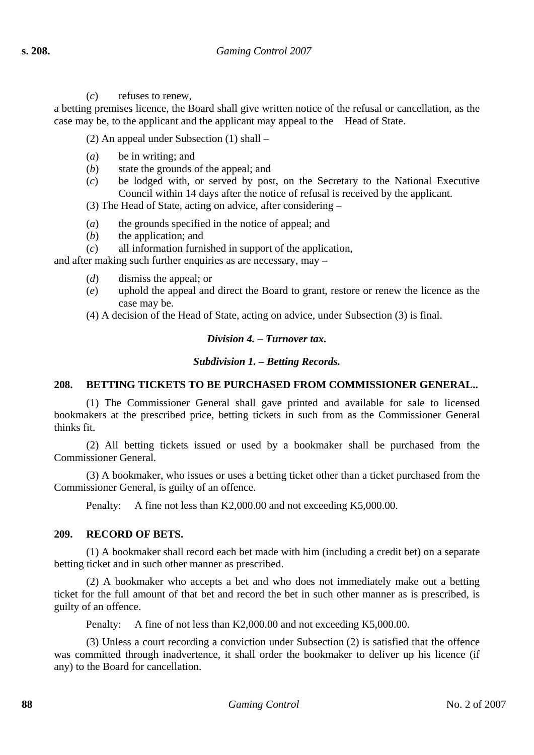(*c*) refuses to renew,

a betting premises licence, the Board shall give written notice of the refusal or cancellation, as the case may be, to the applicant and the applicant may appeal to the Head of State.

(2) An appeal under Subsection (1) shall –

- (*a*) be in writing; and
- (*b*) state the grounds of the appeal; and
- (*c*) be lodged with, or served by post, on the Secretary to the National Executive Council within 14 days after the notice of refusal is received by the applicant.

(3) The Head of State, acting on advice, after considering –

- (*a*) the grounds specified in the notice of appeal; and
- (*b*) the application; and
- (*c*) all information furnished in support of the application,

and after making such further enquiries as are necessary, may –

- (*d*) dismiss the appeal; or
- (*e*) uphold the appeal and direct the Board to grant, restore or renew the licence as the case may be.

(4) A decision of the Head of State, acting on advice, under Subsection (3) is final.

## *Division 4. – Turnover tax.*

## *Subdivision 1. – Betting Records.*

## **208. BETTING TICKETS TO BE PURCHASED FROM COMMISSIONER GENERAL..**

(1) The Commissioner General shall gave printed and available for sale to licensed bookmakers at the prescribed price, betting tickets in such from as the Commissioner General thinks fit.

(2) All betting tickets issued or used by a bookmaker shall be purchased from the Commissioner General.

(3) A bookmaker, who issues or uses a betting ticket other than a ticket purchased from the Commissioner General, is guilty of an offence.

Penalty: A fine not less than K2,000.00 and not exceeding K5,000.00.

## **209. RECORD OF BETS.**

(1) A bookmaker shall record each bet made with him (including a credit bet) on a separate betting ticket and in such other manner as prescribed.

(2) A bookmaker who accepts a bet and who does not immediately make out a betting ticket for the full amount of that bet and record the bet in such other manner as is prescribed, is guilty of an offence.

Penalty: A fine of not less than K2,000.00 and not exceeding K5,000.00.

(3) Unless a court recording a conviction under Subsection (2) is satisfied that the offence was committed through inadvertence, it shall order the bookmaker to deliver up his licence (if any) to the Board for cancellation.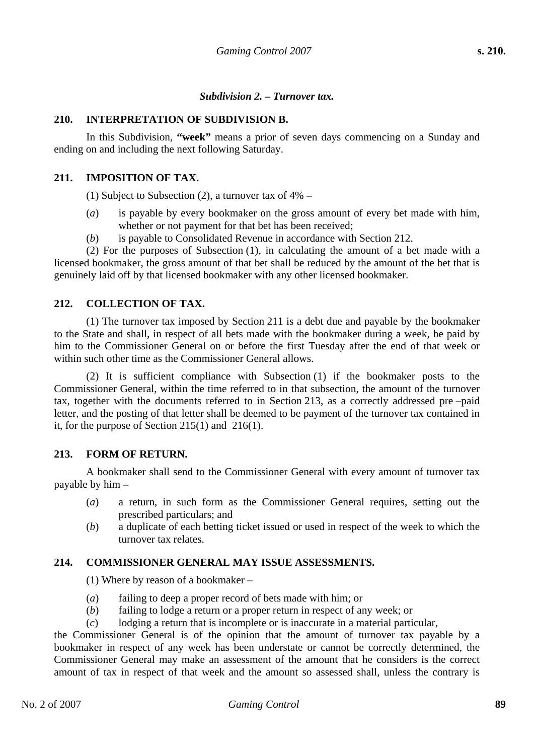#### *Subdivision 2. – Turnover tax.*

#### **210. INTERPRETATION OF SUBDIVISION B.**

In this Subdivision, **"week"** means a prior of seven days commencing on a Sunday and ending on and including the next following Saturday.

#### **211. IMPOSITION OF TAX.**

(1) Subject to Subsection (2), a turnover tax of  $4\%$  –

- (*a*) is payable by every bookmaker on the gross amount of every bet made with him, whether or not payment for that bet has been received;
- (*b*) is payable to Consolidated Revenue in accordance with Section 212.

(2) For the purposes of Subsection (1), in calculating the amount of a bet made with a licensed bookmaker, the gross amount of that bet shall be reduced by the amount of the bet that is genuinely laid off by that licensed bookmaker with any other licensed bookmaker.

#### **212. COLLECTION OF TAX.**

(1) The turnover tax imposed by Section 211 is a debt due and payable by the bookmaker to the State and shall, in respect of all bets made with the bookmaker during a week, be paid by him to the Commissioner General on or before the first Tuesday after the end of that week or within such other time as the Commissioner General allows.

(2) It is sufficient compliance with Subsection (1) if the bookmaker posts to the Commissioner General, within the time referred to in that subsection, the amount of the turnover tax, together with the documents referred to in Section 213, as a correctly addressed pre –paid letter, and the posting of that letter shall be deemed to be payment of the turnover tax contained in it, for the purpose of Section 215(1) and 216(1).

#### **213. FORM OF RETURN.**

A bookmaker shall send to the Commissioner General with every amount of turnover tax payable by him –

- (*a*) a return, in such form as the Commissioner General requires, setting out the prescribed particulars; and
- (*b*) a duplicate of each betting ticket issued or used in respect of the week to which the turnover tax relates.

#### **214. COMMISSIONER GENERAL MAY ISSUE ASSESSMENTS.**

(1) Where by reason of a bookmaker –

- (*a*) failing to deep a proper record of bets made with him; or
- (*b*) failing to lodge a return or a proper return in respect of any week; or
- (*c*) lodging a return that is incomplete or is inaccurate in a material particular,

the Commissioner General is of the opinion that the amount of turnover tax payable by a bookmaker in respect of any week has been understate or cannot be correctly determined, the Commissioner General may make an assessment of the amount that he considers is the correct amount of tax in respect of that week and the amount so assessed shall, unless the contrary is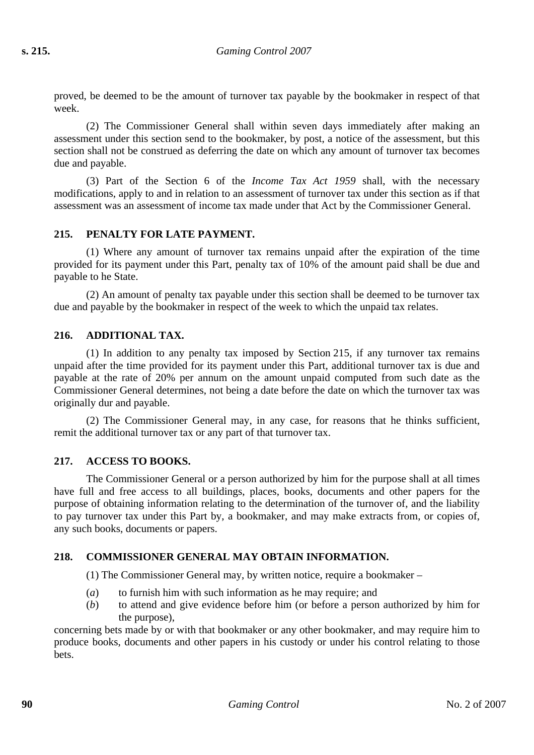proved, be deemed to be the amount of turnover tax payable by the bookmaker in respect of that week.

(2) The Commissioner General shall within seven days immediately after making an assessment under this section send to the bookmaker, by post, a notice of the assessment, but this section shall not be construed as deferring the date on which any amount of turnover tax becomes due and payable.

(3) Part of the Section 6 of the *Income Tax Act 1959* shall, with the necessary modifications, apply to and in relation to an assessment of turnover tax under this section as if that assessment was an assessment of income tax made under that Act by the Commissioner General.

## **215. PENALTY FOR LATE PAYMENT.**

(1) Where any amount of turnover tax remains unpaid after the expiration of the time provided for its payment under this Part, penalty tax of 10% of the amount paid shall be due and payable to he State.

(2) An amount of penalty tax payable under this section shall be deemed to be turnover tax due and payable by the bookmaker in respect of the week to which the unpaid tax relates.

## **216. ADDITIONAL TAX.**

(1) In addition to any penalty tax imposed by Section 215, if any turnover tax remains unpaid after the time provided for its payment under this Part, additional turnover tax is due and payable at the rate of 20% per annum on the amount unpaid computed from such date as the Commissioner General determines, not being a date before the date on which the turnover tax was originally dur and payable.

(2) The Commissioner General may, in any case, for reasons that he thinks sufficient, remit the additional turnover tax or any part of that turnover tax.

## **217. ACCESS TO BOOKS.**

The Commissioner General or a person authorized by him for the purpose shall at all times have full and free access to all buildings, places, books, documents and other papers for the purpose of obtaining information relating to the determination of the turnover of, and the liability to pay turnover tax under this Part by, a bookmaker, and may make extracts from, or copies of, any such books, documents or papers.

## **218. COMMISSIONER GENERAL MAY OBTAIN INFORMATION.**

(1) The Commissioner General may, by written notice, require a bookmaker –

- (*a*) to furnish him with such information as he may require; and
- (*b*) to attend and give evidence before him (or before a person authorized by him for the purpose),

concerning bets made by or with that bookmaker or any other bookmaker, and may require him to produce books, documents and other papers in his custody or under his control relating to those bets.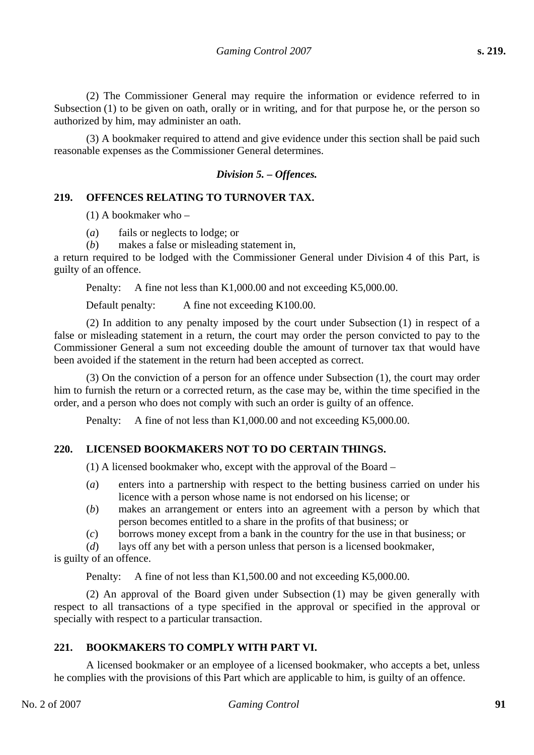(2) The Commissioner General may require the information or evidence referred to in Subsection (1) to be given on oath, orally or in writing, and for that purpose he, or the person so authorized by him, may administer an oath.

(3) A bookmaker required to attend and give evidence under this section shall be paid such reasonable expenses as the Commissioner General determines.

## *Division 5. – Offences.*

## **219. OFFENCES RELATING TO TURNOVER TAX.**

(1) A bookmaker who –

(*a*) fails or neglects to lodge; or

(*b*) makes a false or misleading statement in,

a return required to be lodged with the Commissioner General under Division 4 of this Part, is guilty of an offence.

Penalty: A fine not less than K1,000.00 and not exceeding K5,000.00.

Default penalty: A fine not exceeding K100.00.

(2) In addition to any penalty imposed by the court under Subsection (1) in respect of a false or misleading statement in a return, the court may order the person convicted to pay to the Commissioner General a sum not exceeding double the amount of turnover tax that would have been avoided if the statement in the return had been accepted as correct.

(3) On the conviction of a person for an offence under Subsection (1), the court may order him to furnish the return or a corrected return, as the case may be, within the time specified in the order, and a person who does not comply with such an order is guilty of an offence.

Penalty: A fine of not less than K1,000.00 and not exceeding K5,000.00.

## **220. LICENSED BOOKMAKERS NOT TO DO CERTAIN THINGS.**

(1) A licensed bookmaker who, except with the approval of the Board –

- (*a*) enters into a partnership with respect to the betting business carried on under his licence with a person whose name is not endorsed on his license; or
- (*b*) makes an arrangement or enters into an agreement with a person by which that person becomes entitled to a share in the profits of that business; or
- (*c*) borrows money except from a bank in the country for the use in that business; or

(*d*) lays off any bet with a person unless that person is a licensed bookmaker,

is guilty of an offence.

Penalty: A fine of not less than K1,500.00 and not exceeding K5,000.00.

(2) An approval of the Board given under Subsection (1) may be given generally with respect to all transactions of a type specified in the approval or specified in the approval or specially with respect to a particular transaction.

## **221. BOOKMAKERS TO COMPLY WITH PART VI.**

A licensed bookmaker or an employee of a licensed bookmaker, who accepts a bet, unless he complies with the provisions of this Part which are applicable to him, is guilty of an offence.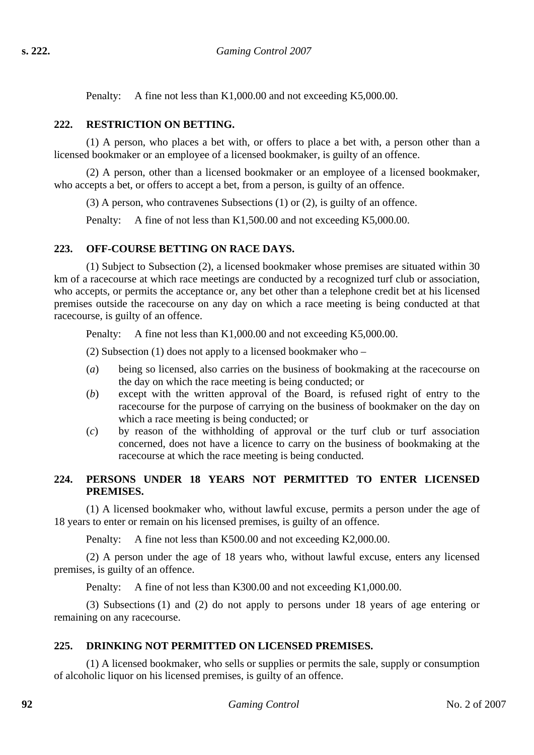Penalty: A fine not less than K1,000.00 and not exceeding K5,000.00.

## **222. RESTRICTION ON BETTING.**

(1) A person, who places a bet with, or offers to place a bet with, a person other than a licensed bookmaker or an employee of a licensed bookmaker, is guilty of an offence.

(2) A person, other than a licensed bookmaker or an employee of a licensed bookmaker, who accepts a bet, or offers to accept a bet, from a person, is guilty of an offence.

(3) A person, who contravenes Subsections (1) or (2), is guilty of an offence.

Penalty: A fine of not less than K1,500.00 and not exceeding K5,000.00.

## **223. OFF-COURSE BETTING ON RACE DAYS.**

(1) Subject to Subsection (2), a licensed bookmaker whose premises are situated within 30 km of a racecourse at which race meetings are conducted by a recognized turf club or association, who accepts, or permits the acceptance or, any bet other than a telephone credit bet at his licensed premises outside the racecourse on any day on which a race meeting is being conducted at that racecourse, is guilty of an offence.

Penalty: A fine not less than K1,000.00 and not exceeding K5,000.00.

(2) Subsection (1) does not apply to a licensed bookmaker who –

- (*a*) being so licensed, also carries on the business of bookmaking at the racecourse on the day on which the race meeting is being conducted; or
- (*b*) except with the written approval of the Board, is refused right of entry to the racecourse for the purpose of carrying on the business of bookmaker on the day on which a race meeting is being conducted; or
- (*c*) by reason of the withholding of approval or the turf club or turf association concerned, does not have a licence to carry on the business of bookmaking at the racecourse at which the race meeting is being conducted.

#### **224. PERSONS UNDER 18 YEARS NOT PERMITTED TO ENTER LICENSED PREMISES.**

(1) A licensed bookmaker who, without lawful excuse, permits a person under the age of 18 years to enter or remain on his licensed premises, is guilty of an offence.

Penalty: A fine not less than K500.00 and not exceeding K2,000.00.

(2) A person under the age of 18 years who, without lawful excuse, enters any licensed premises, is guilty of an offence.

Penalty: A fine of not less than K300.00 and not exceeding K1,000.00.

(3) Subsections (1) and (2) do not apply to persons under 18 years of age entering or remaining on any racecourse.

## **225. DRINKING NOT PERMITTED ON LICENSED PREMISES.**

(1) A licensed bookmaker, who sells or supplies or permits the sale, supply or consumption of alcoholic liquor on his licensed premises, is guilty of an offence.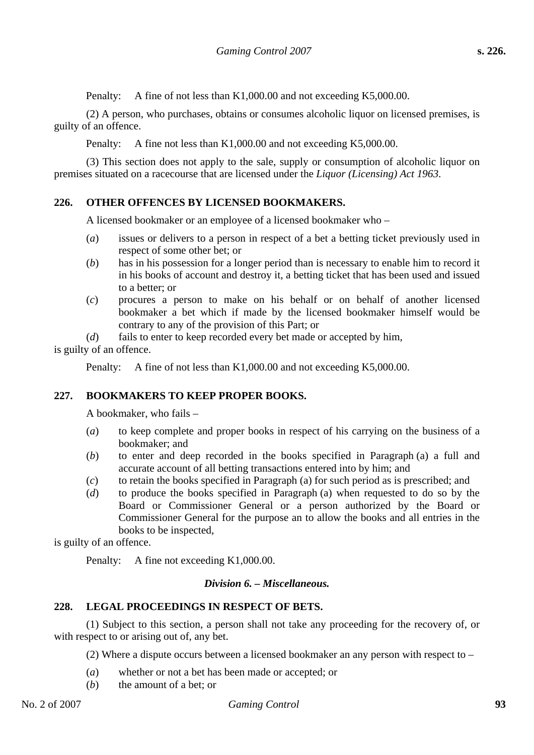Penalty: A fine of not less than K1,000.00 and not exceeding K5,000.00.

(2) A person, who purchases, obtains or consumes alcoholic liquor on licensed premises, is guilty of an offence.

Penalty: A fine not less than K1,000.00 and not exceeding K5,000.00.

(3) This section does not apply to the sale, supply or consumption of alcoholic liquor on premises situated on a racecourse that are licensed under the *Liquor (Licensing) Act 1963*.

## **226. OTHER OFFENCES BY LICENSED BOOKMAKERS.**

A licensed bookmaker or an employee of a licensed bookmaker who –

- (*a*) issues or delivers to a person in respect of a bet a betting ticket previously used in respect of some other bet; or
- (*b*) has in his possession for a longer period than is necessary to enable him to record it in his books of account and destroy it, a betting ticket that has been used and issued to a better; or
- (*c*) procures a person to make on his behalf or on behalf of another licensed bookmaker a bet which if made by the licensed bookmaker himself would be contrary to any of the provision of this Part; or

(*d*) fails to enter to keep recorded every bet made or accepted by him, is guilty of an offence.

Penalty: A fine of not less than K1,000.00 and not exceeding K5,000.00.

## **227. BOOKMAKERS TO KEEP PROPER BOOKS.**

A bookmaker, who fails –

- (*a*) to keep complete and proper books in respect of his carrying on the business of a bookmaker; and
- (*b*) to enter and deep recorded in the books specified in Paragraph (a) a full and accurate account of all betting transactions entered into by him; and
- (*c*) to retain the books specified in Paragraph (a) for such period as is prescribed; and
- (*d*) to produce the books specified in Paragraph (a) when requested to do so by the Board or Commissioner General or a person authorized by the Board or Commissioner General for the purpose an to allow the books and all entries in the books to be inspected,

is guilty of an offence.

Penalty: A fine not exceeding K1,000.00.

#### *Division 6. – Miscellaneous.*

#### **228. LEGAL PROCEEDINGS IN RESPECT OF BETS.**

(1) Subject to this section, a person shall not take any proceeding for the recovery of, or with respect to or arising out of, any bet.

(2) Where a dispute occurs between a licensed bookmaker an any person with respect to –

- (*a*) whether or not a bet has been made or accepted; or
- (*b*) the amount of a bet; or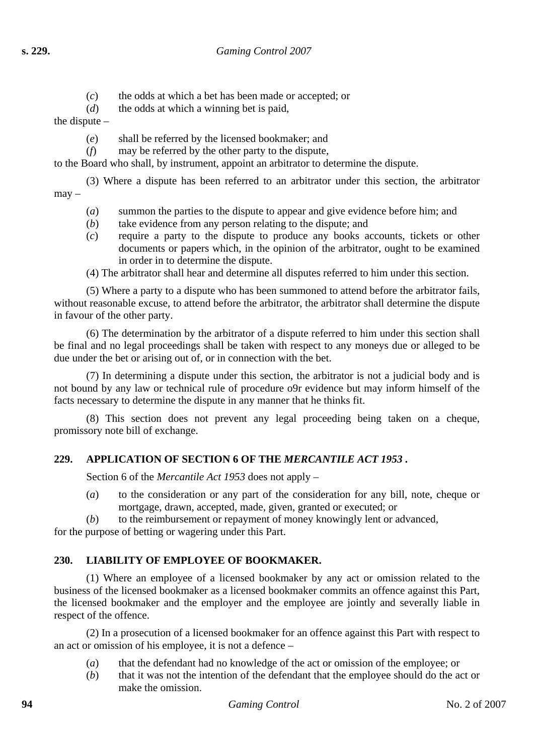- (*c*) the odds at which a bet has been made or accepted; or
- (*d*) the odds at which a winning bet is paid,

the dispute –

- (*e*) shall be referred by the licensed bookmaker; and
- (*f*) may be referred by the other party to the dispute,

to the Board who shall, by instrument, appoint an arbitrator to determine the dispute.

(3) Where a dispute has been referred to an arbitrator under this section, the arbitrator may –

- (*a*) summon the parties to the dispute to appear and give evidence before him; and
- (*b*) take evidence from any person relating to the dispute; and
- (*c*) require a party to the dispute to produce any books accounts, tickets or other documents or papers which, in the opinion of the arbitrator, ought to be examined in order in to determine the dispute.
- (4) The arbitrator shall hear and determine all disputes referred to him under this section.

(5) Where a party to a dispute who has been summoned to attend before the arbitrator fails, without reasonable excuse, to attend before the arbitrator, the arbitrator shall determine the dispute in favour of the other party.

(6) The determination by the arbitrator of a dispute referred to him under this section shall be final and no legal proceedings shall be taken with respect to any moneys due or alleged to be due under the bet or arising out of, or in connection with the bet.

(7) In determining a dispute under this section, the arbitrator is not a judicial body and is not bound by any law or technical rule of procedure o9r evidence but may inform himself of the facts necessary to determine the dispute in any manner that he thinks fit.

(8) This section does not prevent any legal proceeding being taken on a cheque, promissory note bill of exchange.

# **229. APPLICATION OF SECTION 6 OF THE** *MERCANTILE ACT 1953* **.**

Section 6 of the *Mercantile Act 1953* does not apply –

- (*a*) to the consideration or any part of the consideration for any bill, note, cheque or mortgage, drawn, accepted, made, given, granted or executed; or
- (*b*) to the reimbursement or repayment of money knowingly lent or advanced,

for the purpose of betting or wagering under this Part.

# **230. LIABILITY OF EMPLOYEE OF BOOKMAKER.**

(1) Where an employee of a licensed bookmaker by any act or omission related to the business of the licensed bookmaker as a licensed bookmaker commits an offence against this Part, the licensed bookmaker and the employer and the employee are jointly and severally liable in respect of the offence.

(2) In a prosecution of a licensed bookmaker for an offence against this Part with respect to an act or omission of his employee, it is not a defence –

- (*a*) that the defendant had no knowledge of the act or omission of the employee; or
- (*b*) that it was not the intention of the defendant that the employee should do the act or make the omission.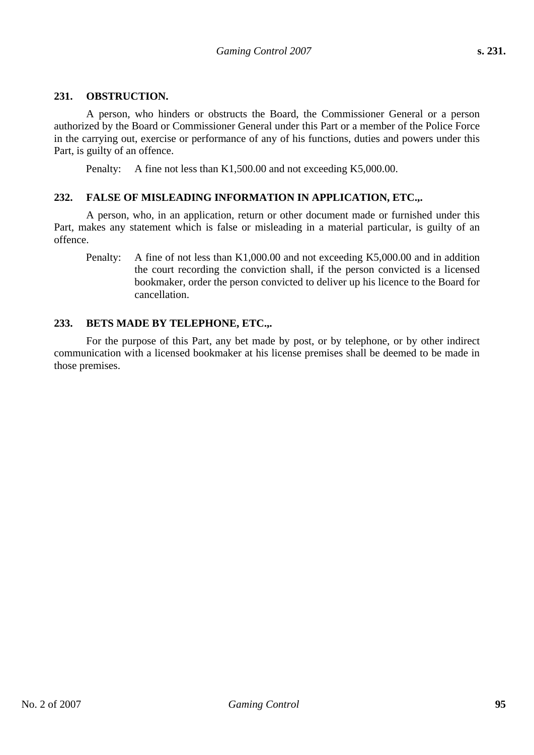#### **231. OBSTRUCTION.**

A person, who hinders or obstructs the Board, the Commissioner General or a person authorized by the Board or Commissioner General under this Part or a member of the Police Force in the carrying out, exercise or performance of any of his functions, duties and powers under this Part, is guilty of an offence.

Penalty: A fine not less than K1,500.00 and not exceeding K5,000.00.

#### **232. FALSE OF MISLEADING INFORMATION IN APPLICATION, ETC.,.**

A person, who, in an application, return or other document made or furnished under this Part, makes any statement which is false or misleading in a material particular, is guilty of an offence.

Penalty: A fine of not less than K1,000.00 and not exceeding K5,000.00 and in addition the court recording the conviction shall, if the person convicted is a licensed bookmaker, order the person convicted to deliver up his licence to the Board for cancellation.

#### **233. BETS MADE BY TELEPHONE, ETC.,.**

For the purpose of this Part, any bet made by post, or by telephone, or by other indirect communication with a licensed bookmaker at his license premises shall be deemed to be made in those premises.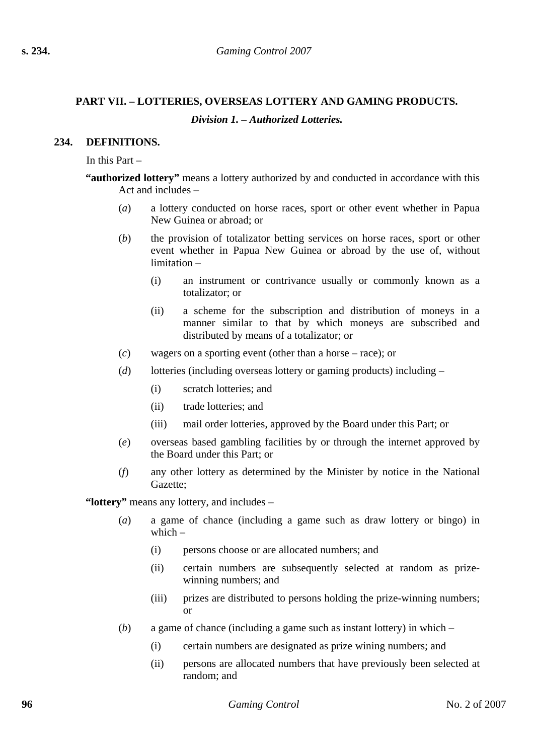# **PART VII. – LOTTERIES, OVERSEAS LOTTERY AND GAMING PRODUCTS.**  *Division 1. – Authorized Lotteries.*

## **234. DEFINITIONS.**

In this Part –

- **"authorized lottery"** means a lottery authorized by and conducted in accordance with this Act and includes –
	- (*a*) a lottery conducted on horse races, sport or other event whether in Papua New Guinea or abroad; or
	- (*b*) the provision of totalizator betting services on horse races, sport or other event whether in Papua New Guinea or abroad by the use of, without limitation –
		- (i) an instrument or contrivance usually or commonly known as a totalizator; or
		- (ii) a scheme for the subscription and distribution of moneys in a manner similar to that by which moneys are subscribed and distributed by means of a totalizator; or
	- (*c*) wagers on a sporting event (other than a horse race); or
	- (*d*) lotteries (including overseas lottery or gaming products) including
		- (i) scratch lotteries; and
		- (ii) trade lotteries; and
		- (iii) mail order lotteries, approved by the Board under this Part; or
	- (*e*) overseas based gambling facilities by or through the internet approved by the Board under this Part; or
	- (*f*) any other lottery as determined by the Minister by notice in the National Gazette;

**"lottery"** means any lottery, and includes –

- (*a*) a game of chance (including a game such as draw lottery or bingo) in which  $-$ 
	- (i) persons choose or are allocated numbers; and
	- (ii) certain numbers are subsequently selected at random as prizewinning numbers; and
	- (iii) prizes are distributed to persons holding the prize-winning numbers; or
- (*b*) a game of chance (including a game such as instant lottery) in which
	- (i) certain numbers are designated as prize wining numbers; and
	- (ii) persons are allocated numbers that have previously been selected at random; and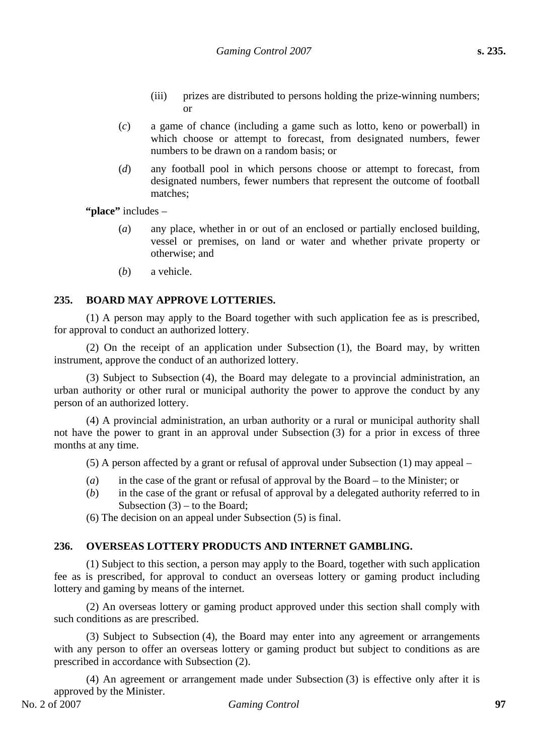- (iii) prizes are distributed to persons holding the prize-winning numbers; or
- (*c*) a game of chance (including a game such as lotto, keno or powerball) in which choose or attempt to forecast, from designated numbers, fewer numbers to be drawn on a random basis; or
- (*d*) any football pool in which persons choose or attempt to forecast, from designated numbers, fewer numbers that represent the outcome of football matches;

**"place"** includes –

- (*a*) any place, whether in or out of an enclosed or partially enclosed building, vessel or premises, on land or water and whether private property or otherwise; and
- (*b*) a vehicle.

### **235. BOARD MAY APPROVE LOTTERIES.**

(1) A person may apply to the Board together with such application fee as is prescribed, for approval to conduct an authorized lottery.

(2) On the receipt of an application under Subsection (1), the Board may, by written instrument, approve the conduct of an authorized lottery.

(3) Subject to Subsection (4), the Board may delegate to a provincial administration, an urban authority or other rural or municipal authority the power to approve the conduct by any person of an authorized lottery.

(4) A provincial administration, an urban authority or a rural or municipal authority shall not have the power to grant in an approval under Subsection (3) for a prior in excess of three months at any time.

(5) A person affected by a grant or refusal of approval under Subsection (1) may appeal –

- (*a*) in the case of the grant or refusal of approval by the Board to the Minister; or
- (*b*) in the case of the grant or refusal of approval by a delegated authority referred to in Subsection  $(3)$  – to the Board;

(6) The decision on an appeal under Subsection (5) is final.

### **236. OVERSEAS LOTTERY PRODUCTS AND INTERNET GAMBLING.**

(1) Subject to this section, a person may apply to the Board, together with such application fee as is prescribed, for approval to conduct an overseas lottery or gaming product including lottery and gaming by means of the internet.

(2) An overseas lottery or gaming product approved under this section shall comply with such conditions as are prescribed.

(3) Subject to Subsection (4), the Board may enter into any agreement or arrangements with any person to offer an overseas lottery or gaming product but subject to conditions as are prescribed in accordance with Subsection (2).

(4) An agreement or arrangement made under Subsection (3) is effective only after it is approved by the Minister.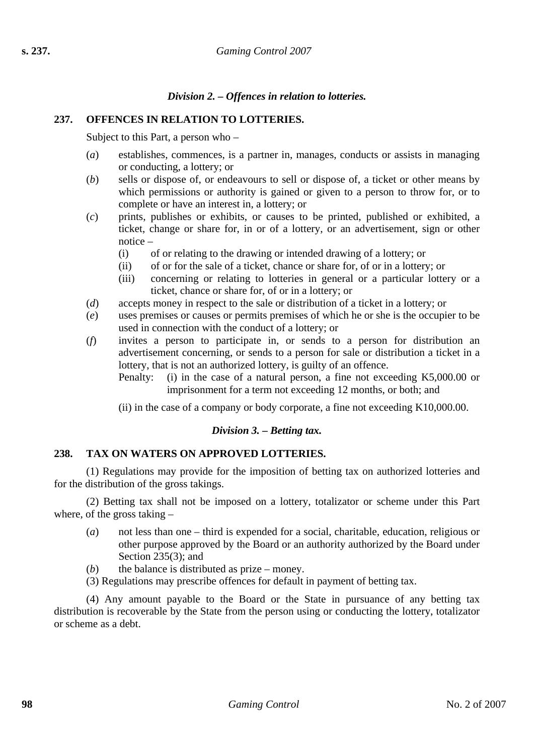# *Division 2. – Offences in relation to lotteries.*

# **237. OFFENCES IN RELATION TO LOTTERIES.**

Subject to this Part, a person who –

- (*a*) establishes, commences, is a partner in, manages, conducts or assists in managing or conducting, a lottery; or
- (*b*) sells or dispose of, or endeavours to sell or dispose of, a ticket or other means by which permissions or authority is gained or given to a person to throw for, or to complete or have an interest in, a lottery; or
- (*c*) prints, publishes or exhibits, or causes to be printed, published or exhibited, a ticket, change or share for, in or of a lottery, or an advertisement, sign or other notice –
	- (i) of or relating to the drawing or intended drawing of a lottery; or
	- (ii) of or for the sale of a ticket, chance or share for, of or in a lottery; or
	- (iii) concerning or relating to lotteries in general or a particular lottery or a ticket, chance or share for, of or in a lottery; or
- (*d*) accepts money in respect to the sale or distribution of a ticket in a lottery; or
- (*e*) uses premises or causes or permits premises of which he or she is the occupier to be used in connection with the conduct of a lottery; or
- (*f*) invites a person to participate in, or sends to a person for distribution an advertisement concerning, or sends to a person for sale or distribution a ticket in a lottery, that is not an authorized lottery, is guilty of an offence.
	- Penalty: (i) in the case of a natural person, a fine not exceeding K5,000.00 or imprisonment for a term not exceeding 12 months, or both; and
	- (ii) in the case of a company or body corporate, a fine not exceeding K10,000.00.

## *Division 3. – Betting tax.*

## **238. TAX ON WATERS ON APPROVED LOTTERIES.**

(1) Regulations may provide for the imposition of betting tax on authorized lotteries and for the distribution of the gross takings.

(2) Betting tax shall not be imposed on a lottery, totalizator or scheme under this Part where, of the gross taking –

- (*a*) not less than one third is expended for a social, charitable, education, religious or other purpose approved by the Board or an authority authorized by the Board under Section 235(3): and
- $(b)$  the balance is distributed as prize money.
- (3) Regulations may prescribe offences for default in payment of betting tax.

(4) Any amount payable to the Board or the State in pursuance of any betting tax distribution is recoverable by the State from the person using or conducting the lottery, totalizator or scheme as a debt.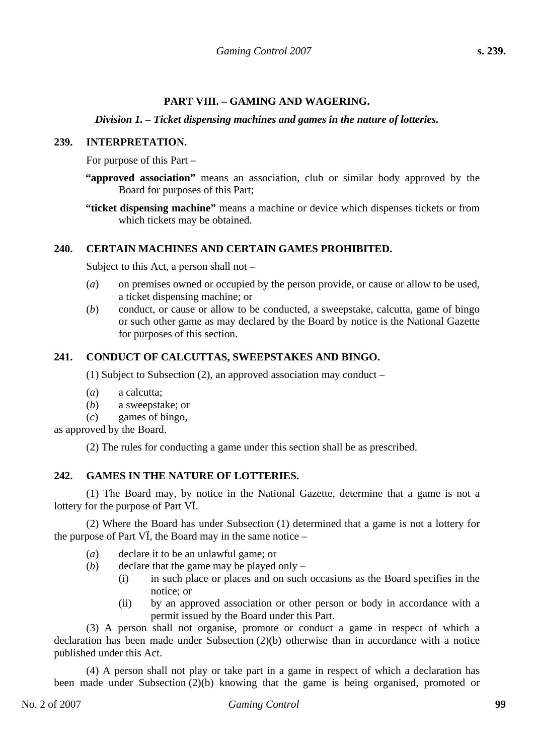# **PART VIII. – GAMING AND WAGERING.**

### *Division 1. – Ticket dispensing machines and games in the nature of lotteries.*

### **239. INTERPRETATION.**

For purpose of this Part –

- **"approved association"** means an association, club or similar body approved by the Board for purposes of this Part;
- **"ticket dispensing machine"** means a machine or device which dispenses tickets or from which tickets may be obtained.

### **240. CERTAIN MACHINES AND CERTAIN GAMES PROHIBITED.**

Subject to this Act, a person shall not –

- (*a*) on premises owned or occupied by the person provide, or cause or allow to be used, a ticket dispensing machine; or
- (*b*) conduct, or cause or allow to be conducted, a sweepstake, calcutta, game of bingo or such other game as may declared by the Board by notice is the National Gazette for purposes of this section.

## **241. CONDUCT OF CALCUTTAS, SWEEPSTAKES AND BINGO.**

(1) Subject to Subsection (2), an approved association may conduct –

- (*a*) a calcutta;
- (*b*) a sweepstake; or
- (*c*) games of bingo,

as approved by the Board.

(2) The rules for conducting a game under this section shall be as prescribed.

## **242. GAMES IN THE NATURE OF LOTTERIES.**

(1) The Board may, by notice in the National Gazette, determine that a game is not a lottery for the purpose of Part VÏ.

(2) Where the Board has under Subsection (1) determined that a game is not a lottery for the purpose of Part VÏ, the Board may in the same notice –

- (*a*) declare it to be an unlawful game; or
- (*b*) declare that the game may be played only
	- (i) in such place or places and on such occasions as the Board specifies in the notice; or
	- (ii) by an approved association or other person or body in accordance with a permit issued by the Board under this Part.

(3) A person shall not organise, promote or conduct a game in respect of which a declaration has been made under Subsection (2)(b) otherwise than in accordance with a notice published under this Act.

(4) A person shall not play or take part in a game in respect of which a declaration has been made under Subsection (2)(b) knowing that the game is being organised, promoted or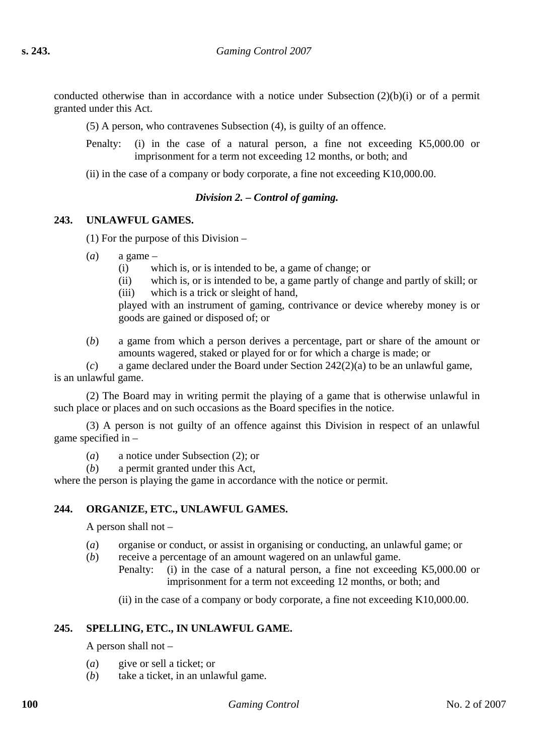conducted otherwise than in accordance with a notice under Subsection  $(2)(b)(i)$  or of a permit granted under this Act.

(5) A person, who contravenes Subsection (4), is guilty of an offence.

- Penalty: (i) in the case of a natural person, a fine not exceeding K5,000.00 or imprisonment for a term not exceeding 12 months, or both; and
- (ii) in the case of a company or body corporate, a fine not exceeding K10,000.00.

### *Division 2. – Control of gaming.*

### **243. UNLAWFUL GAMES.**

(1) For the purpose of this Division –

- $(a)$  a game
	- (i) which is, or is intended to be, a game of change; or
	- (ii) which is, or is intended to be, a game partly of change and partly of skill; or
	- (iii) which is a trick or sleight of hand,

played with an instrument of gaming, contrivance or device whereby money is or goods are gained or disposed of; or

(*b*) a game from which a person derives a percentage, part or share of the amount or amounts wagered, staked or played for or for which a charge is made; or

(*c*) a game declared under the Board under Section 242(2)(a) to be an unlawful game, is an unlawful game.

(2) The Board may in writing permit the playing of a game that is otherwise unlawful in such place or places and on such occasions as the Board specifies in the notice.

(3) A person is not guilty of an offence against this Division in respect of an unlawful game specified in –

- (*a*) a notice under Subsection (2); or
- (*b*) a permit granted under this Act,

where the person is playing the game in accordance with the notice or permit.

## **244. ORGANIZE, ETC., UNLAWFUL GAMES.**

A person shall not –

- (*a*) organise or conduct, or assist in organising or conducting, an unlawful game; or
- (*b*) receive a percentage of an amount wagered on an unlawful game.
	- Penalty: (i) in the case of a natural person, a fine not exceeding K5,000.00 or imprisonment for a term not exceeding 12 months, or both; and
		- (ii) in the case of a company or body corporate, a fine not exceeding K10,000.00.

# **245. SPELLING, ETC., IN UNLAWFUL GAME.**

A person shall not –

- (*a*) give or sell a ticket; or
- (*b*) take a ticket, in an unlawful game.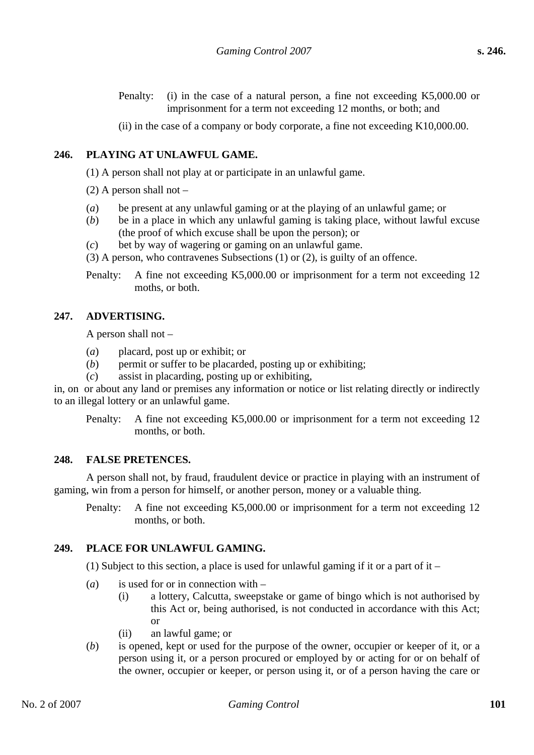Penalty: (i) in the case of a natural person, a fine not exceeding K5,000.00 or imprisonment for a term not exceeding 12 months, or both; and

(ii) in the case of a company or body corporate, a fine not exceeding K10,000.00.

## **246. PLAYING AT UNLAWFUL GAME.**

(1) A person shall not play at or participate in an unlawful game.

 $(2)$  A person shall not –

- (*a*) be present at any unlawful gaming or at the playing of an unlawful game; or
- (*b*) be in a place in which any unlawful gaming is taking place, without lawful excuse (the proof of which excuse shall be upon the person); or
- (*c*) bet by way of wagering or gaming on an unlawful game.
- (3) A person, who contravenes Subsections (1) or (2), is guilty of an offence.
- Penalty: A fine not exceeding K5,000.00 or imprisonment for a term not exceeding 12 moths, or both.

# **247. ADVERTISING.**

A person shall not –

- (*a*) placard, post up or exhibit; or
- (*b*) permit or suffer to be placarded, posting up or exhibiting;
- (*c*) assist in placarding, posting up or exhibiting,

in, on or about any land or premises any information or notice or list relating directly or indirectly to an illegal lottery or an unlawful game.

Penalty: A fine not exceeding K5,000.00 or imprisonment for a term not exceeding 12 months, or both.

### **248. FALSE PRETENCES.**

A person shall not, by fraud, fraudulent device or practice in playing with an instrument of gaming, win from a person for himself, or another person, money or a valuable thing.

Penalty: A fine not exceeding K5,000.00 or imprisonment for a term not exceeding 12 months, or both.

## **249. PLACE FOR UNLAWFUL GAMING.**

(1) Subject to this section, a place is used for unlawful gaming if it or a part of it –

- (*a*) is used for or in connection with
	- (i) a lottery, Calcutta, sweepstake or game of bingo which is not authorised by this Act or, being authorised, is not conducted in accordance with this Act; or
	- (ii) an lawful game; or
- (*b*) is opened, kept or used for the purpose of the owner, occupier or keeper of it, or a person using it, or a person procured or employed by or acting for or on behalf of the owner, occupier or keeper, or person using it, or of a person having the care or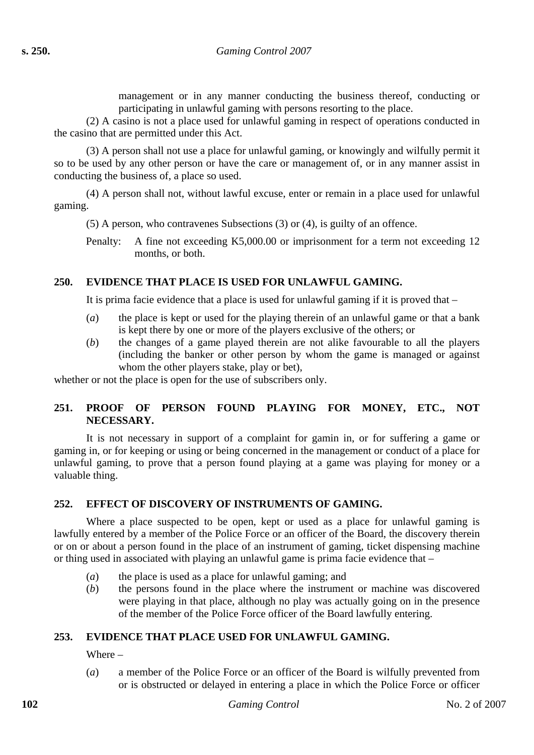management or in any manner conducting the business thereof, conducting or participating in unlawful gaming with persons resorting to the place.

(2) A casino is not a place used for unlawful gaming in respect of operations conducted in the casino that are permitted under this Act.

(3) A person shall not use a place for unlawful gaming, or knowingly and wilfully permit it so to be used by any other person or have the care or management of, or in any manner assist in conducting the business of, a place so used.

(4) A person shall not, without lawful excuse, enter or remain in a place used for unlawful gaming.

(5) A person, who contravenes Subsections (3) or (4), is guilty of an offence.

Penalty: A fine not exceeding K5,000.00 or imprisonment for a term not exceeding 12 months, or both.

# **250. EVIDENCE THAT PLACE IS USED FOR UNLAWFUL GAMING.**

It is prima facie evidence that a place is used for unlawful gaming if it is proved that  $-$ 

- (*a*) the place is kept or used for the playing therein of an unlawful game or that a bank is kept there by one or more of the players exclusive of the others; or
- (*b*) the changes of a game played therein are not alike favourable to all the players (including the banker or other person by whom the game is managed or against whom the other players stake, play or bet),

whether or not the place is open for the use of subscribers only.

# **251. PROOF OF PERSON FOUND PLAYING FOR MONEY, ETC., NOT NECESSARY.**

It is not necessary in support of a complaint for gamin in, or for suffering a game or gaming in, or for keeping or using or being concerned in the management or conduct of a place for unlawful gaming, to prove that a person found playing at a game was playing for money or a valuable thing.

# **252. EFFECT OF DISCOVERY OF INSTRUMENTS OF GAMING.**

Where a place suspected to be open, kept or used as a place for unlawful gaming is lawfully entered by a member of the Police Force or an officer of the Board, the discovery therein or on or about a person found in the place of an instrument of gaming, ticket dispensing machine or thing used in associated with playing an unlawful game is prima facie evidence that –

- (*a*) the place is used as a place for unlawful gaming; and
- (*b*) the persons found in the place where the instrument or machine was discovered were playing in that place, although no play was actually going on in the presence of the member of the Police Force officer of the Board lawfully entering.

# **253. EVIDENCE THAT PLACE USED FOR UNLAWFUL GAMING.**

Where –

(*a*) a member of the Police Force or an officer of the Board is wilfully prevented from or is obstructed or delayed in entering a place in which the Police Force or officer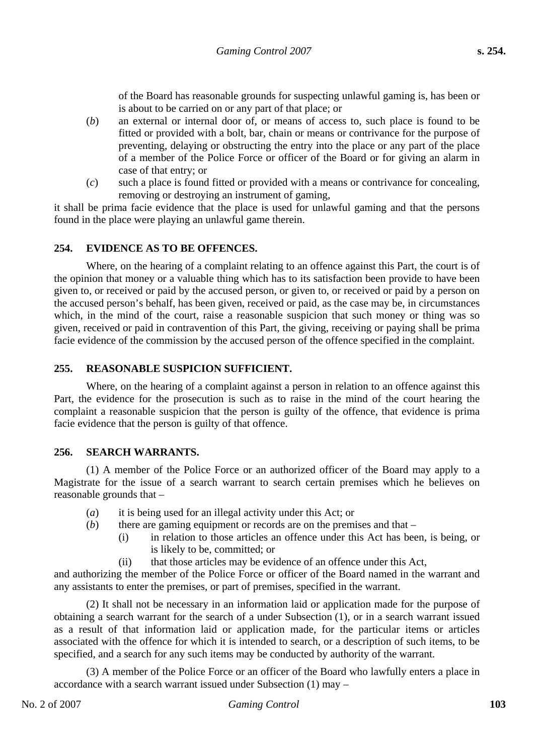of the Board has reasonable grounds for suspecting unlawful gaming is, has been or is about to be carried on or any part of that place; or

- (*b*) an external or internal door of, or means of access to, such place is found to be fitted or provided with a bolt, bar, chain or means or contrivance for the purpose of preventing, delaying or obstructing the entry into the place or any part of the place of a member of the Police Force or officer of the Board or for giving an alarm in case of that entry; or
- (*c*) such a place is found fitted or provided with a means or contrivance for concealing, removing or destroying an instrument of gaming,

it shall be prima facie evidence that the place is used for unlawful gaming and that the persons found in the place were playing an unlawful game therein.

## **254. EVIDENCE AS TO BE OFFENCES.**

Where, on the hearing of a complaint relating to an offence against this Part, the court is of the opinion that money or a valuable thing which has to its satisfaction been provide to have been given to, or received or paid by the accused person, or given to, or received or paid by a person on the accused person's behalf, has been given, received or paid, as the case may be, in circumstances which, in the mind of the court, raise a reasonable suspicion that such money or thing was so given, received or paid in contravention of this Part, the giving, receiving or paying shall be prima facie evidence of the commission by the accused person of the offence specified in the complaint.

### **255. REASONABLE SUSPICION SUFFICIENT.**

Where, on the hearing of a complaint against a person in relation to an offence against this Part, the evidence for the prosecution is such as to raise in the mind of the court hearing the complaint a reasonable suspicion that the person is guilty of the offence, that evidence is prima facie evidence that the person is guilty of that offence.

### **256. SEARCH WARRANTS.**

(1) A member of the Police Force or an authorized officer of the Board may apply to a Magistrate for the issue of a search warrant to search certain premises which he believes on reasonable grounds that –

- (*a*) it is being used for an illegal activity under this Act; or
- (*b*) there are gaming equipment or records are on the premises and that
	- (i) in relation to those articles an offence under this Act has been, is being, or is likely to be, committed; or
	- (ii) that those articles may be evidence of an offence under this Act,

and authorizing the member of the Police Force or officer of the Board named in the warrant and any assistants to enter the premises, or part of premises, specified in the warrant.

(2) It shall not be necessary in an information laid or application made for the purpose of obtaining a search warrant for the search of a under Subsection (1), or in a search warrant issued as a result of that information laid or application made, for the particular items or articles associated with the offence for which it is intended to search, or a description of such items, to be specified, and a search for any such items may be conducted by authority of the warrant.

(3) A member of the Police Force or an officer of the Board who lawfully enters a place in accordance with a search warrant issued under Subsection (1) may –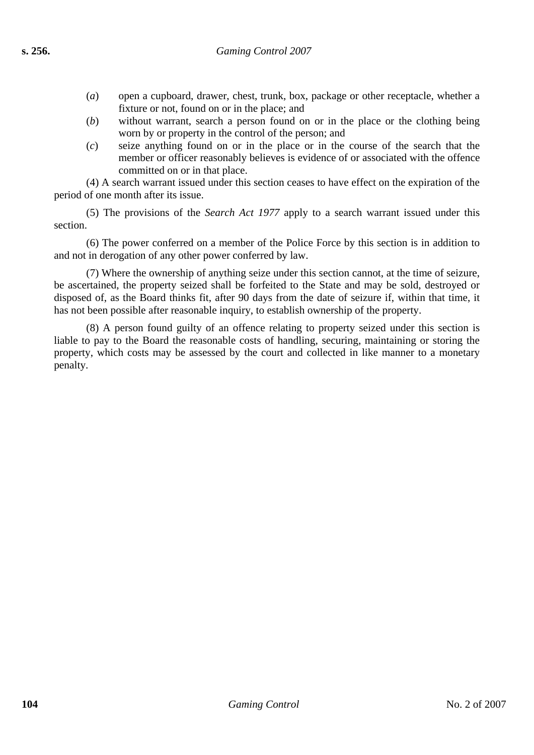- (*a*) open a cupboard, drawer, chest, trunk, box, package or other receptacle, whether a fixture or not, found on or in the place; and
- (*b*) without warrant, search a person found on or in the place or the clothing being worn by or property in the control of the person; and
- (*c*) seize anything found on or in the place or in the course of the search that the member or officer reasonably believes is evidence of or associated with the offence committed on or in that place.

(4) A search warrant issued under this section ceases to have effect on the expiration of the period of one month after its issue.

(5) The provisions of the *Search Act 1977* apply to a search warrant issued under this section.

(6) The power conferred on a member of the Police Force by this section is in addition to and not in derogation of any other power conferred by law.

(7) Where the ownership of anything seize under this section cannot, at the time of seizure, be ascertained, the property seized shall be forfeited to the State and may be sold, destroyed or disposed of, as the Board thinks fit, after 90 days from the date of seizure if, within that time, it has not been possible after reasonable inquiry, to establish ownership of the property.

(8) A person found guilty of an offence relating to property seized under this section is liable to pay to the Board the reasonable costs of handling, securing, maintaining or storing the property, which costs may be assessed by the court and collected in like manner to a monetary penalty.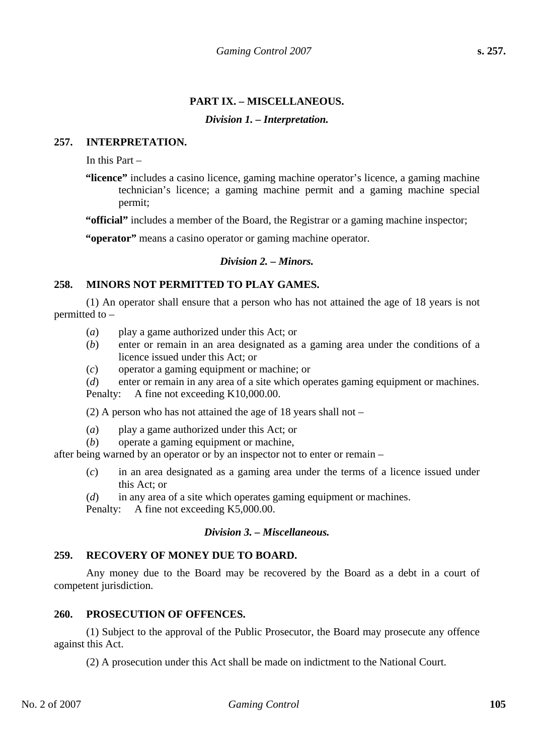# **PART IX. – MISCELLANEOUS.**

## *Division 1. – Interpretation.*

## **257. INTERPRETATION.**

In this Part –

**"licence"** includes a casino licence, gaming machine operator's licence, a gaming machine technician's licence; a gaming machine permit and a gaming machine special permit;

**"official"** includes a member of the Board, the Registrar or a gaming machine inspector;

**"operator"** means a casino operator or gaming machine operator.

# *Division 2. – Minors.*

# **258. MINORS NOT PERMITTED TO PLAY GAMES.**

(1) An operator shall ensure that a person who has not attained the age of 18 years is not permitted to –

- (*a*) play a game authorized under this Act; or
- (*b*) enter or remain in an area designated as a gaming area under the conditions of a licence issued under this Act; or
- (*c*) operator a gaming equipment or machine; or
- (*d*) enter or remain in any area of a site which operates gaming equipment or machines.

Penalty: A fine not exceeding K10,000.00.

(2) A person who has not attained the age of 18 years shall not –

- (*a*) play a game authorized under this Act; or
- (*b*) operate a gaming equipment or machine,

after being warned by an operator or by an inspector not to enter or remain –

- (*c*) in an area designated as a gaming area under the terms of a licence issued under this Act; or
- (*d*) in any area of a site which operates gaming equipment or machines.

Penalty: A fine not exceeding K5,000.00.

# *Division 3. – Miscellaneous.*

# **259. RECOVERY OF MONEY DUE TO BOARD.**

Any money due to the Board may be recovered by the Board as a debt in a court of competent jurisdiction.

## **260. PROSECUTION OF OFFENCES.**

(1) Subject to the approval of the Public Prosecutor, the Board may prosecute any offence against this Act.

(2) A prosecution under this Act shall be made on indictment to the National Court.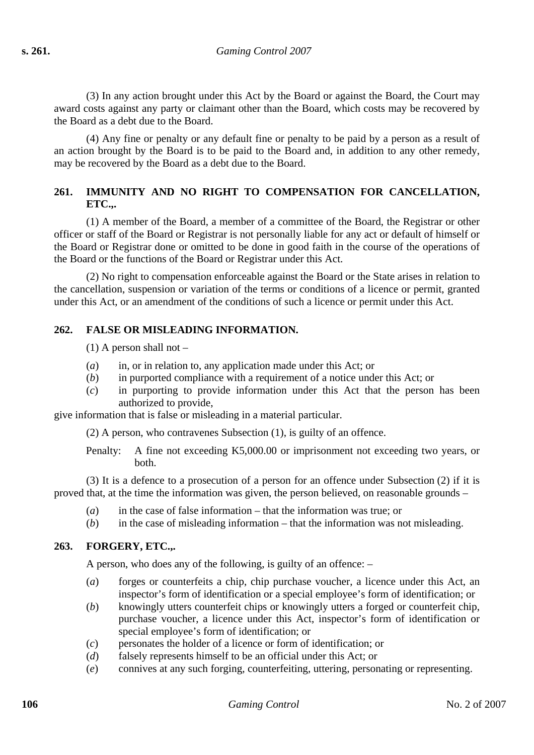(3) In any action brought under this Act by the Board or against the Board, the Court may award costs against any party or claimant other than the Board, which costs may be recovered by the Board as a debt due to the Board.

(4) Any fine or penalty or any default fine or penalty to be paid by a person as a result of an action brought by the Board is to be paid to the Board and, in addition to any other remedy, may be recovered by the Board as a debt due to the Board.

# **261. IMMUNITY AND NO RIGHT TO COMPENSATION FOR CANCELLATION, ETC.,.**

(1) A member of the Board, a member of a committee of the Board, the Registrar or other officer or staff of the Board or Registrar is not personally liable for any act or default of himself or the Board or Registrar done or omitted to be done in good faith in the course of the operations of the Board or the functions of the Board or Registrar under this Act.

(2) No right to compensation enforceable against the Board or the State arises in relation to the cancellation, suspension or variation of the terms or conditions of a licence or permit, granted under this Act, or an amendment of the conditions of such a licence or permit under this Act.

## **262. FALSE OR MISLEADING INFORMATION.**

 $(1)$  A person shall not –

- (*a*) in, or in relation to, any application made under this Act; or
- (*b*) in purported compliance with a requirement of a notice under this Act; or
- (*c*) in purporting to provide information under this Act that the person has been authorized to provide,

give information that is false or misleading in a material particular.

(2) A person, who contravenes Subsection (1), is guilty of an offence.

Penalty: A fine not exceeding K5,000.00 or imprisonment not exceeding two years, or both.

(3) It is a defence to a prosecution of a person for an offence under Subsection (2) if it is proved that, at the time the information was given, the person believed, on reasonable grounds –

- (*a*) in the case of false information that the information was true; or
- (*b*) in the case of misleading information that the information was not misleading.

## **263. FORGERY, ETC.,.**

A person, who does any of the following, is guilty of an offence: –

- (*a*) forges or counterfeits a chip, chip purchase voucher, a licence under this Act, an inspector's form of identification or a special employee's form of identification; or
- (*b*) knowingly utters counterfeit chips or knowingly utters a forged or counterfeit chip, purchase voucher, a licence under this Act, inspector's form of identification or special employee's form of identification; or
- (*c*) personates the holder of a licence or form of identification; or
- (*d*) falsely represents himself to be an official under this Act; or
- (*e*) connives at any such forging, counterfeiting, uttering, personating or representing.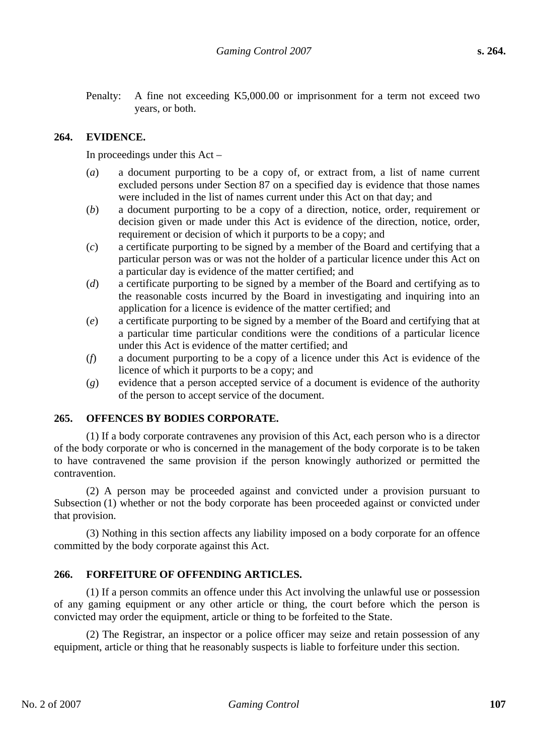Penalty: A fine not exceeding K5,000.00 or imprisonment for a term not exceed two years, or both.

### **264. EVIDENCE.**

In proceedings under this Act –

- (*a*) a document purporting to be a copy of, or extract from, a list of name current excluded persons under Section 87 on a specified day is evidence that those names were included in the list of names current under this Act on that day; and
- (*b*) a document purporting to be a copy of a direction, notice, order, requirement or decision given or made under this Act is evidence of the direction, notice, order, requirement or decision of which it purports to be a copy; and
- (*c*) a certificate purporting to be signed by a member of the Board and certifying that a particular person was or was not the holder of a particular licence under this Act on a particular day is evidence of the matter certified; and
- (*d*) a certificate purporting to be signed by a member of the Board and certifying as to the reasonable costs incurred by the Board in investigating and inquiring into an application for a licence is evidence of the matter certified; and
- (*e*) a certificate purporting to be signed by a member of the Board and certifying that at a particular time particular conditions were the conditions of a particular licence under this Act is evidence of the matter certified; and
- (*f*) a document purporting to be a copy of a licence under this Act is evidence of the licence of which it purports to be a copy; and
- (*g*) evidence that a person accepted service of a document is evidence of the authority of the person to accept service of the document.

### **265. OFFENCES BY BODIES CORPORATE.**

(1) If a body corporate contravenes any provision of this Act, each person who is a director of the body corporate or who is concerned in the management of the body corporate is to be taken to have contravened the same provision if the person knowingly authorized or permitted the contravention.

(2) A person may be proceeded against and convicted under a provision pursuant to Subsection (1) whether or not the body corporate has been proceeded against or convicted under that provision.

(3) Nothing in this section affects any liability imposed on a body corporate for an offence committed by the body corporate against this Act.

### **266. FORFEITURE OF OFFENDING ARTICLES.**

(1) If a person commits an offence under this Act involving the unlawful use or possession of any gaming equipment or any other article or thing, the court before which the person is convicted may order the equipment, article or thing to be forfeited to the State.

(2) The Registrar, an inspector or a police officer may seize and retain possession of any equipment, article or thing that he reasonably suspects is liable to forfeiture under this section.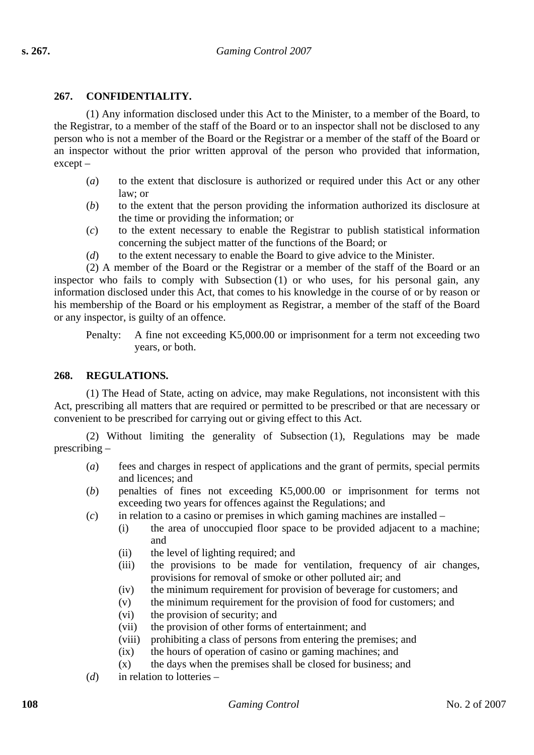# **267. CONFIDENTIALITY.**

(1) Any information disclosed under this Act to the Minister, to a member of the Board, to the Registrar, to a member of the staff of the Board or to an inspector shall not be disclosed to any person who is not a member of the Board or the Registrar or a member of the staff of the Board or an inspector without the prior written approval of the person who provided that information, except –

- (*a*) to the extent that disclosure is authorized or required under this Act or any other law; or
- (*b*) to the extent that the person providing the information authorized its disclosure at the time or providing the information; or
- (*c*) to the extent necessary to enable the Registrar to publish statistical information concerning the subject matter of the functions of the Board; or
- (*d*) to the extent necessary to enable the Board to give advice to the Minister.

(2) A member of the Board or the Registrar or a member of the staff of the Board or an inspector who fails to comply with Subsection (1) or who uses, for his personal gain, any information disclosed under this Act, that comes to his knowledge in the course of or by reason or his membership of the Board or his employment as Registrar, a member of the staff of the Board or any inspector, is guilty of an offence.

Penalty: A fine not exceeding K5,000.00 or imprisonment for a term not exceeding two years, or both.

## **268. REGULATIONS.**

(1) The Head of State, acting on advice, may make Regulations, not inconsistent with this Act, prescribing all matters that are required or permitted to be prescribed or that are necessary or convenient to be prescribed for carrying out or giving effect to this Act.

(2) Without limiting the generality of Subsection (1), Regulations may be made prescribing –

- (*a*) fees and charges in respect of applications and the grant of permits, special permits and licences; and
- (*b*) penalties of fines not exceeding K5,000.00 or imprisonment for terms not exceeding two years for offences against the Regulations; and
- (*c*) in relation to a casino or premises in which gaming machines are installed
	- (i) the area of unoccupied floor space to be provided adjacent to a machine; and
	- (ii) the level of lighting required; and
	- (iii) the provisions to be made for ventilation, frequency of air changes, provisions for removal of smoke or other polluted air; and
	- (iv) the minimum requirement for provision of beverage for customers; and
	- (v) the minimum requirement for the provision of food for customers; and
	- (vi) the provision of security; and
	- (vii) the provision of other forms of entertainment; and
	- (viii) prohibiting a class of persons from entering the premises; and
	- (ix) the hours of operation of casino or gaming machines; and
	- $(x)$  the days when the premises shall be closed for business; and
- (*d*) in relation to lotteries –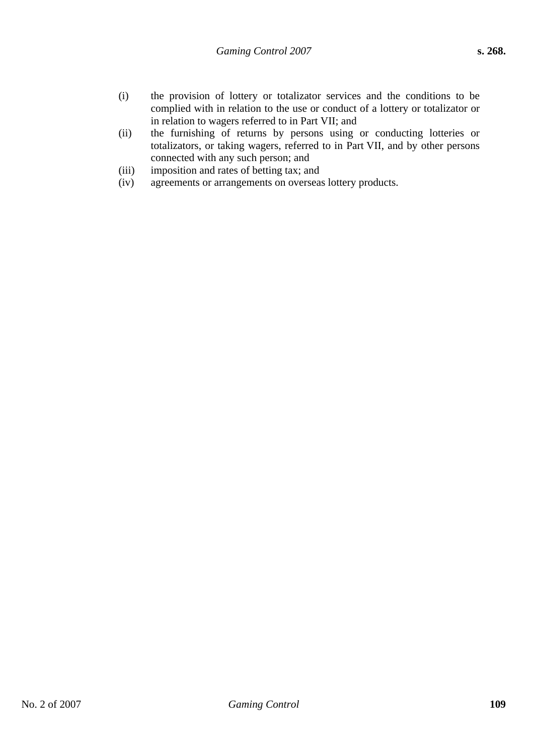- (i) the provision of lottery or totalizator services and the conditions to be complied with in relation to the use or conduct of a lottery or totalizator or in relation to wagers referred to in Part VII; and
- (ii) the furnishing of returns by persons using or conducting lotteries or totalizators, or taking wagers, referred to in Part VII, and by other persons connected with any such person; and
- (iii) imposition and rates of betting tax; and
- (iv) agreements or arrangements on overseas lottery products.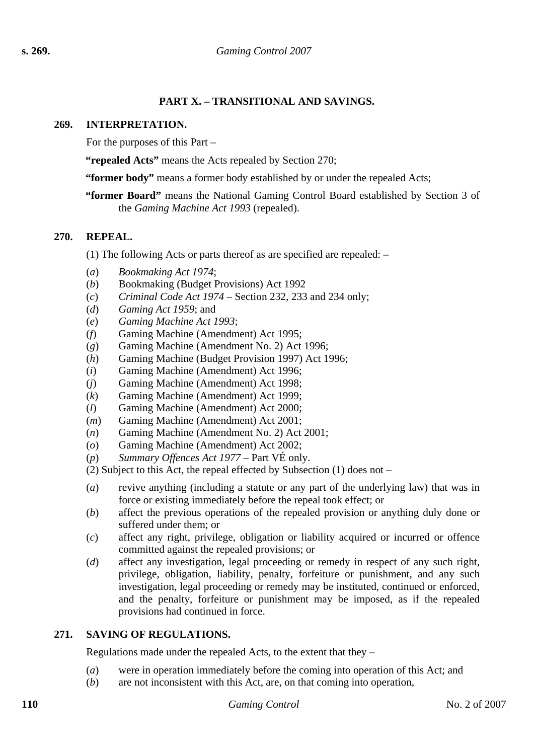# **PART X. – TRANSITIONAL AND SAVINGS.**

## **269. INTERPRETATION.**

For the purposes of this Part –

**"repealed Acts"** means the Acts repealed by Section 270;

**"former body"** means a former body established by or under the repealed Acts;

**"former Board"** means the National Gaming Control Board established by Section 3 of the *Gaming Machine Act 1993* (repealed).

### **270. REPEAL.**

(1) The following Acts or parts thereof as are specified are repealed: –

- (*a*) *Bookmaking Act 1974*;
- (*b*) Bookmaking (Budget Provisions) Act 1992
- (*c*) *Criminal Code Act 1974* Section 232, 233 and 234 only;
- (*d*) *Gaming Act 1959*; and
- (*e*) *Gaming Machine Act 1993*;
- (*f*) Gaming Machine (Amendment) Act 1995;
- (*g*) Gaming Machine (Amendment No. 2) Act 1996;
- (*h*) Gaming Machine (Budget Provision 1997) Act 1996;
- (*i*) Gaming Machine (Amendment) Act 1996;
- (*j*) Gaming Machine (Amendment) Act 1998;
- (*k*) Gaming Machine (Amendment) Act 1999;
- (*l*) Gaming Machine (Amendment) Act 2000;
- (*m*) Gaming Machine (Amendment) Act 2001;
- (*n*) Gaming Machine (Amendment No. 2) Act 2001;
- (*o*) Gaming Machine (Amendment) Act 2002;
- (*p*) *Summary Offences Act 1977* Part VÉ only.

(2) Subject to this Act, the repeal effected by Subsection (1) does not –

- (*a*) revive anything (including a statute or any part of the underlying law) that was in force or existing immediately before the repeal took effect; or
- (*b*) affect the previous operations of the repealed provision or anything duly done or suffered under them; or
- (*c*) affect any right, privilege, obligation or liability acquired or incurred or offence committed against the repealed provisions; or
- (*d*) affect any investigation, legal proceeding or remedy in respect of any such right, privilege, obligation, liability, penalty, forfeiture or punishment, and any such investigation, legal proceeding or remedy may be instituted, continued or enforced, and the penalty, forfeiture or punishment may be imposed, as if the repealed provisions had continued in force.

## **271. SAVING OF REGULATIONS.**

Regulations made under the repealed Acts, to the extent that they –

- (*a*) were in operation immediately before the coming into operation of this Act; and
- (*b*) are not inconsistent with this Act, are, on that coming into operation,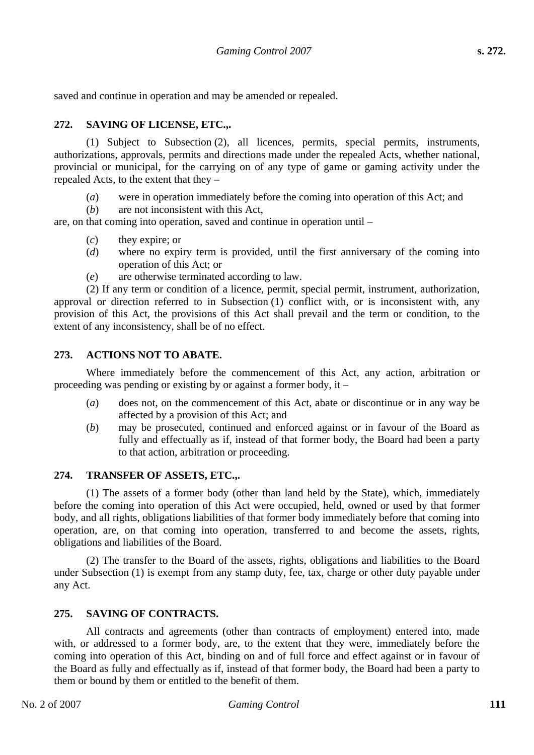saved and continue in operation and may be amended or repealed.

# **272. SAVING OF LICENSE, ETC.,.**

(1) Subject to Subsection (2), all licences, permits, special permits, instruments, authorizations, approvals, permits and directions made under the repealed Acts, whether national, provincial or municipal, for the carrying on of any type of game or gaming activity under the repealed Acts, to the extent that they –

- (*a*) were in operation immediately before the coming into operation of this Act; and
- (*b*) are not inconsistent with this Act,

are, on that coming into operation, saved and continue in operation until –

- (*c*) they expire; or
- (*d*) where no expiry term is provided, until the first anniversary of the coming into operation of this Act; or
- (*e*) are otherwise terminated according to law.

(2) If any term or condition of a licence, permit, special permit, instrument, authorization, approval or direction referred to in Subsection (1) conflict with, or is inconsistent with, any provision of this Act, the provisions of this Act shall prevail and the term or condition, to the extent of any inconsistency, shall be of no effect.

## **273. ACTIONS NOT TO ABATE.**

Where immediately before the commencement of this Act, any action, arbitration or proceeding was pending or existing by or against a former body, it –

- (*a*) does not, on the commencement of this Act, abate or discontinue or in any way be affected by a provision of this Act; and
- (*b*) may be prosecuted, continued and enforced against or in favour of the Board as fully and effectually as if, instead of that former body, the Board had been a party to that action, arbitration or proceeding.

## **274. TRANSFER OF ASSETS, ETC.,.**

(1) The assets of a former body (other than land held by the State), which, immediately before the coming into operation of this Act were occupied, held, owned or used by that former body, and all rights, obligations liabilities of that former body immediately before that coming into operation, are, on that coming into operation, transferred to and become the assets, rights, obligations and liabilities of the Board.

(2) The transfer to the Board of the assets, rights, obligations and liabilities to the Board under Subsection (1) is exempt from any stamp duty, fee, tax, charge or other duty payable under any Act.

## **275. SAVING OF CONTRACTS.**

All contracts and agreements (other than contracts of employment) entered into, made with, or addressed to a former body, are, to the extent that they were, immediately before the coming into operation of this Act, binding on and of full force and effect against or in favour of the Board as fully and effectually as if, instead of that former body, the Board had been a party to them or bound by them or entitled to the benefit of them.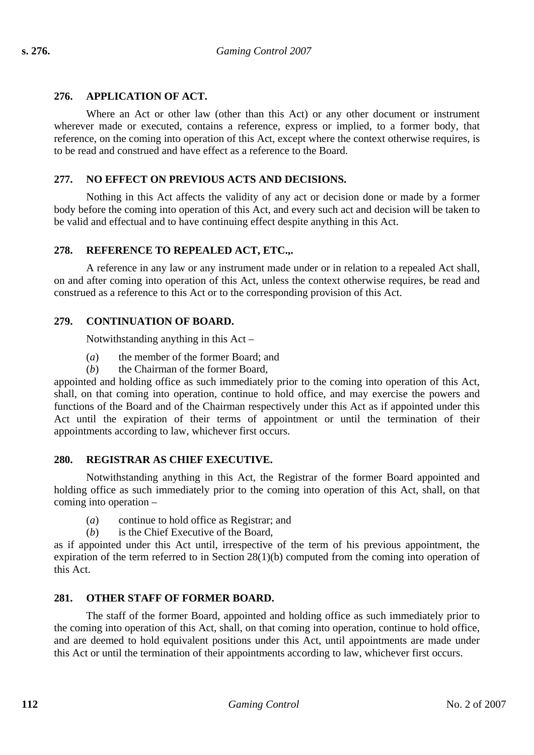# **276. APPLICATION OF ACT.**

Where an Act or other law (other than this Act) or any other document or instrument wherever made or executed, contains a reference, express or implied, to a former body, that reference, on the coming into operation of this Act, except where the context otherwise requires, is to be read and construed and have effect as a reference to the Board.

# **277. NO EFFECT ON PREVIOUS ACTS AND DECISIONS.**

Nothing in this Act affects the validity of any act or decision done or made by a former body before the coming into operation of this Act, and every such act and decision will be taken to be valid and effectual and to have continuing effect despite anything in this Act.

## **278. REFERENCE TO REPEALED ACT, ETC.,.**

A reference in any law or any instrument made under or in relation to a repealed Act shall, on and after coming into operation of this Act, unless the context otherwise requires, be read and construed as a reference to this Act or to the corresponding provision of this Act.

## **279. CONTINUATION OF BOARD.**

Notwithstanding anything in this Act –

- (*a*) the member of the former Board; and
- (*b*) the Chairman of the former Board,

appointed and holding office as such immediately prior to the coming into operation of this Act, shall, on that coming into operation, continue to hold office, and may exercise the powers and functions of the Board and of the Chairman respectively under this Act as if appointed under this Act until the expiration of their terms of appointment or until the termination of their appointments according to law, whichever first occurs.

## **280. REGISTRAR AS CHIEF EXECUTIVE.**

Notwithstanding anything in this Act, the Registrar of the former Board appointed and holding office as such immediately prior to the coming into operation of this Act, shall, on that coming into operation –

- (*a*) continue to hold office as Registrar; and
- (*b*) is the Chief Executive of the Board,

as if appointed under this Act until, irrespective of the term of his previous appointment, the expiration of the term referred to in Section 28(1)(b) computed from the coming into operation of this Act.

## **281. OTHER STAFF OF FORMER BOARD.**

The staff of the former Board, appointed and holding office as such immediately prior to the coming into operation of this Act, shall, on that coming into operation, continue to hold office, and are deemed to hold equivalent positions under this Act, until appointments are made under this Act or until the termination of their appointments according to law, whichever first occurs.